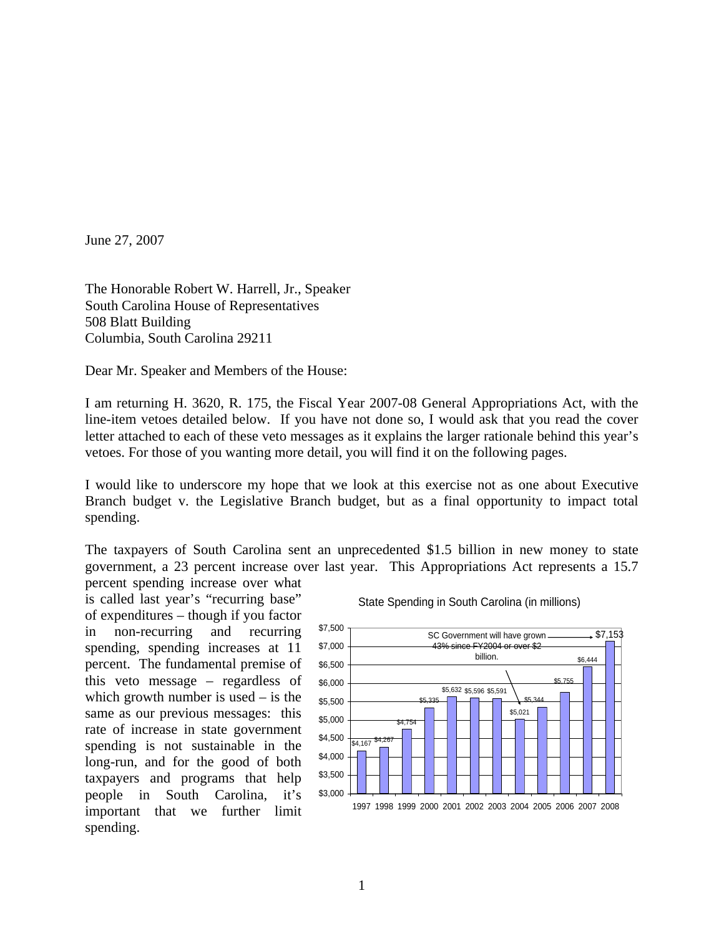June 27, 2007

The Honorable Robert W. Harrell, Jr., Speaker South Carolina House of Representatives 508 Blatt Building Columbia, South Carolina 29211

Dear Mr. Speaker and Members of the House:

I am returning H. 3620, R. 175, the Fiscal Year 2007-08 General Appropriations Act, with the line-item vetoes detailed below. If you have not done so, I would ask that you read the cover letter attached to each of these veto messages as it explains the larger rationale behind this year's vetoes. For those of you wanting more detail, you will find it on the following pages.

I would like to underscore my hope that we look at this exercise not as one about Executive Branch budget v. the Legislative Branch budget, but as a final opportunity to impact total spending.

The taxpayers of South Carolina sent an unprecedented \$1.5 billion in new money to state government, a 23 percent increase over last year. This Appropriations Act represents a 15.7

percent spending increase over what is called last year's "recurring base" of expenditures – though if you factor in non-recurring and recurring spending, spending increases at 11 percent. The fundamental premise of this veto message – regardless of which growth number is used – is the same as our previous messages: this rate of increase in state government spending is not sustainable in the long-run, and for the good of both taxpayers and programs that help people in South Carolina, it's important that we further limit spending.



State Spending in South Carolina (in millions)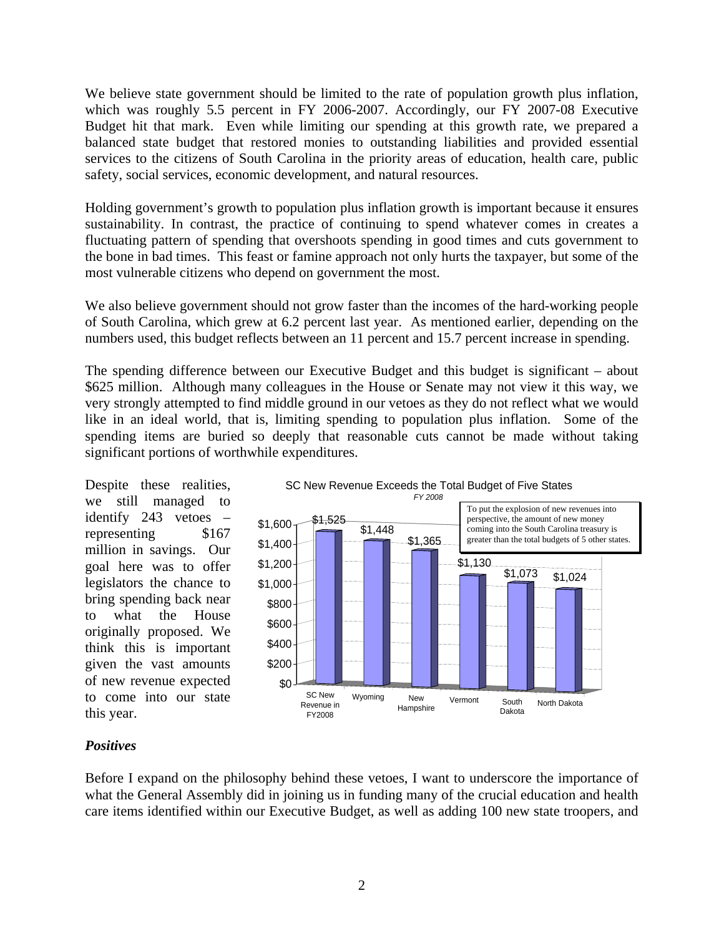We believe state government should be limited to the rate of population growth plus inflation, which was roughly 5.5 percent in FY 2006-2007. Accordingly, our FY 2007-08 Executive Budget hit that mark. Even while limiting our spending at this growth rate, we prepared a balanced state budget that restored monies to outstanding liabilities and provided essential services to the citizens of South Carolina in the priority areas of education, health care, public safety, social services, economic development, and natural resources.

Holding government's growth to population plus inflation growth is important because it ensures sustainability. In contrast, the practice of continuing to spend whatever comes in creates a fluctuating pattern of spending that overshoots spending in good times and cuts government to the bone in bad times. This feast or famine approach not only hurts the taxpayer, but some of the most vulnerable citizens who depend on government the most.

We also believe government should not grow faster than the incomes of the hard-working people of South Carolina, which grew at 6.2 percent last year. As mentioned earlier, depending on the numbers used, this budget reflects between an 11 percent and 15.7 percent increase in spending.

The spending difference between our Executive Budget and this budget is significant – about \$625 million. Although many colleagues in the House or Senate may not view it this way, we very strongly attempted to find middle ground in our vetoes as they do not reflect what we would like in an ideal world, that is, limiting spending to population plus inflation. Some of the spending items are buried so deeply that reasonable cuts cannot be made without taking significant portions of worthwhile expenditures.

Despite these realities, we still managed to identify 243 vetoes – representing \$167 million in savings. Our goal here was to offer legislators the chance to bring spending back near to what the House originally proposed. We think this is important given the vast amounts of new revenue expected to come into our state this year.



#### *Positives*

Before I expand on the philosophy behind these vetoes, I want to underscore the importance of what the General Assembly did in joining us in funding many of the crucial education and health care items identified within our Executive Budget, as well as adding 100 new state troopers, and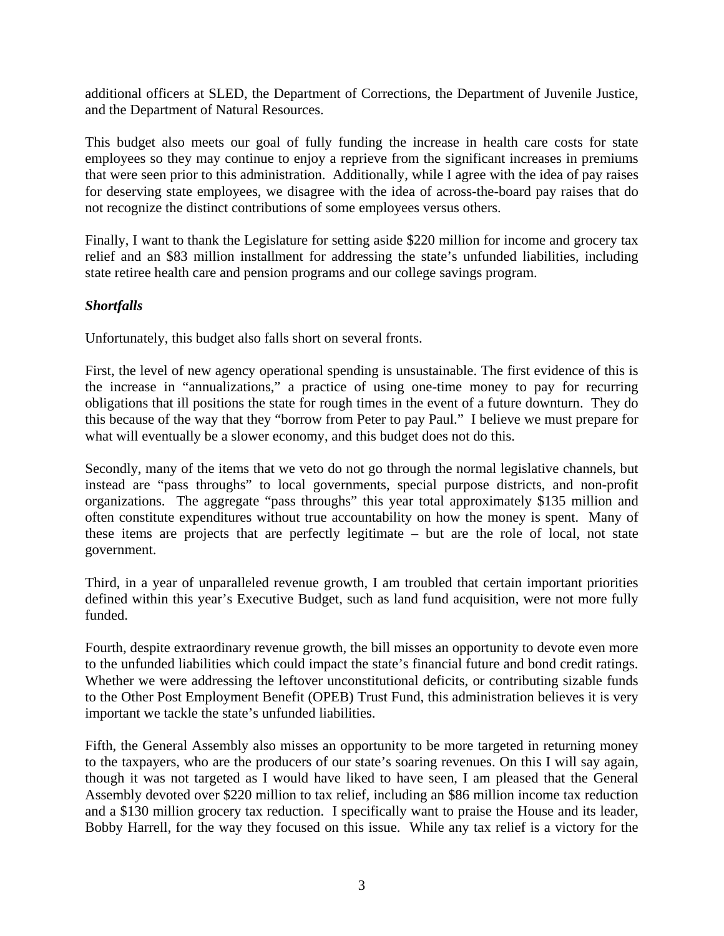additional officers at SLED, the Department of Corrections, the Department of Juvenile Justice, and the Department of Natural Resources.

This budget also meets our goal of fully funding the increase in health care costs for state employees so they may continue to enjoy a reprieve from the significant increases in premiums that were seen prior to this administration. Additionally, while I agree with the idea of pay raises for deserving state employees, we disagree with the idea of across-the-board pay raises that do not recognize the distinct contributions of some employees versus others.

Finally, I want to thank the Legislature for setting aside \$220 million for income and grocery tax relief and an \$83 million installment for addressing the state's unfunded liabilities, including state retiree health care and pension programs and our college savings program.

#### *Shortfalls*

Unfortunately, this budget also falls short on several fronts.

First, the level of new agency operational spending is unsustainable. The first evidence of this is the increase in "annualizations," a practice of using one-time money to pay for recurring obligations that ill positions the state for rough times in the event of a future downturn. They do this because of the way that they "borrow from Peter to pay Paul." I believe we must prepare for what will eventually be a slower economy, and this budget does not do this.

Secondly, many of the items that we veto do not go through the normal legislative channels, but instead are "pass throughs" to local governments, special purpose districts, and non-profit organizations. The aggregate "pass throughs" this year total approximately \$135 million and often constitute expenditures without true accountability on how the money is spent. Many of these items are projects that are perfectly legitimate – but are the role of local, not state government.

Third, in a year of unparalleled revenue growth, I am troubled that certain important priorities defined within this year's Executive Budget, such as land fund acquisition, were not more fully funded.

Fourth, despite extraordinary revenue growth, the bill misses an opportunity to devote even more to the unfunded liabilities which could impact the state's financial future and bond credit ratings. Whether we were addressing the leftover unconstitutional deficits, or contributing sizable funds to the Other Post Employment Benefit (OPEB) Trust Fund, this administration believes it is very important we tackle the state's unfunded liabilities.

Fifth, the General Assembly also misses an opportunity to be more targeted in returning money to the taxpayers, who are the producers of our state's soaring revenues. On this I will say again, though it was not targeted as I would have liked to have seen, I am pleased that the General Assembly devoted over \$220 million to tax relief, including an \$86 million income tax reduction and a \$130 million grocery tax reduction. I specifically want to praise the House and its leader, Bobby Harrell, for the way they focused on this issue. While any tax relief is a victory for the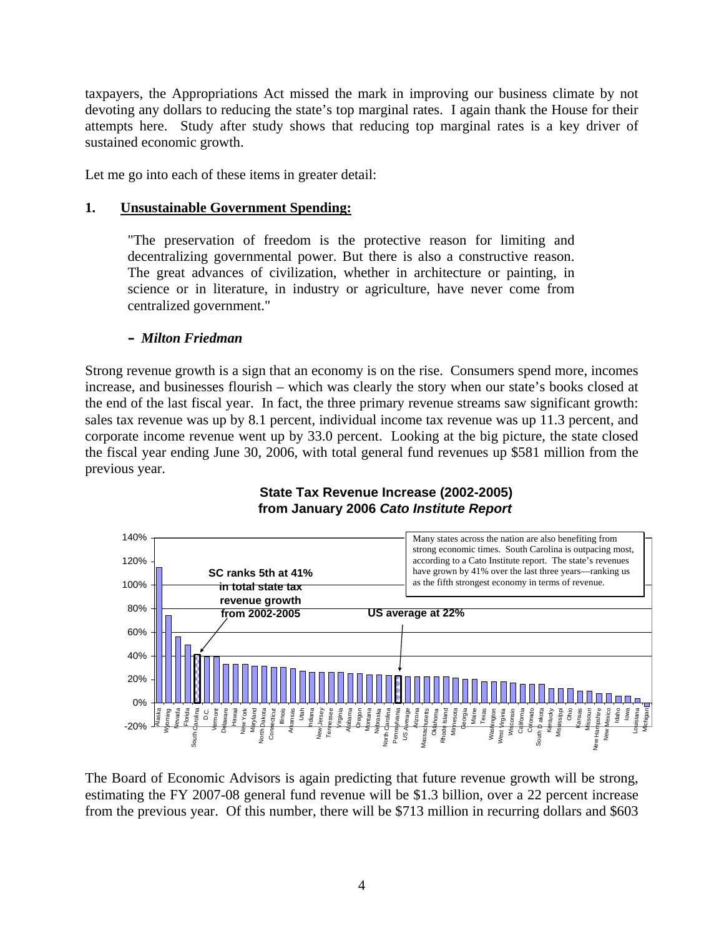taxpayers, the Appropriations Act missed the mark in improving our business climate by not devoting any dollars to reducing the state's top marginal rates. I again thank the House for their attempts here. Study after study shows that reducing top marginal rates is a key driver of sustained economic growth.

Let me go into each of these items in greater detail:

#### **1. Unsustainable Government Spending:**

"The preservation of freedom is the protective reason for limiting and decentralizing governmental power. But there is also a constructive reason. The great advances of civilization, whether in architecture or painting, in science or in literature, in industry or agriculture, have never come from centralized government."

#### **–** *Milton Friedman*

Strong revenue growth is a sign that an economy is on the rise. Consumers spend more, incomes increase, and businesses flourish – which was clearly the story when our state's books closed at the end of the last fiscal year. In fact, the three primary revenue streams saw significant growth: sales tax revenue was up by 8.1 percent, individual income tax revenue was up 11.3 percent, and corporate income revenue went up by 33.0 percent. Looking at the big picture, the state closed the fiscal year ending June 30, 2006, with total general fund revenues up \$581 million from the previous year.



#### **State Tax Revenue Increase (2002-2005) from January 2006** *Cato Institute Report*

The Board of Economic Advisors is again predicting that future revenue growth will be strong, estimating the FY 2007-08 general fund revenue will be \$1.3 billion, over a 22 percent increase from the previous year. Of this number, there will be \$713 million in recurring dollars and \$603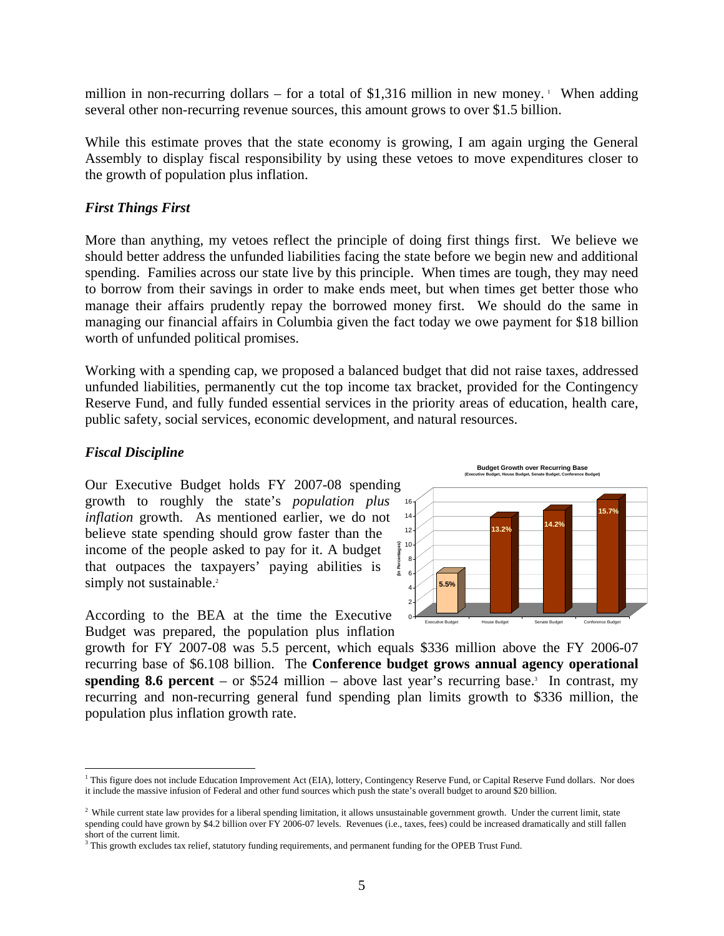million in non-recurring dollars – for a total of \$1,316 million in new money. When adding several other non-recurring revenue sources, this amount grows to over \$1.5 billion.

While this estimate proves that the state economy is growing, I am again urging the General Assembly to display fiscal responsibility by using these vetoes to move expenditures closer to the growth of population plus inflation.

#### *First Things First*

More than anything, my vetoes reflect the principle of doing first things first. We believe we should better address the unfunded liabilities facing the state before we begin new and additional spending. Families across our state live by this principle. When times are tough, they may need to borrow from their savings in order to make ends meet, but when times get better those who manage their affairs prudently repay the borrowed money first. We should do the same in managing our financial affairs in Columbia given the fact today we owe payment for \$18 billion worth of unfunded political promises.

Working with a spending cap, we proposed a balanced budget that did not raise taxes, addressed unfunded liabilities, permanently cut the top income tax bracket, provided for the Contingency Reserve Fund, and fully funded essential services in the priority areas of education, health care, public safety, social services, economic development, and natural resources.

#### *Fiscal Discipline*

 $\overline{a}$ 

Our Executive Budget holds FY 2007-08 spending growth to roughly the state's *population plus inflation* growth. As mentioned earlier, we do not believe state spending should grow faster than the income of the people asked to pay for it. A budget that outpaces the taxpayers' paying abilities is simply not sustainable.<sup>2</sup>

According to the BEA at the time the Executive Budget was prepared, the population plus inflation







<sup>&</sup>lt;sup>1</sup> This figure does not include Education Improvement Act (EIA), lottery, Contingency Reserve Fund, or Capital Reserve Fund dollars. Nor does it include the massive infusion of Federal and other fund sources which push the state's overall budget to around \$20 billion.

<sup>&</sup>lt;sup>2</sup> While current state law provides for a liberal spending limitation, it allows unsustainable government growth. Under the current limit, state spending could have grown by \$4.2 billion over FY 2006-07 levels. Revenues (i.e., taxes, fees) could be increased dramatically and still fallen short of the current limit.

<sup>&</sup>lt;sup>3</sup> This growth excludes tax relief, statutory funding requirements, and permanent funding for the OPEB Trust Fund.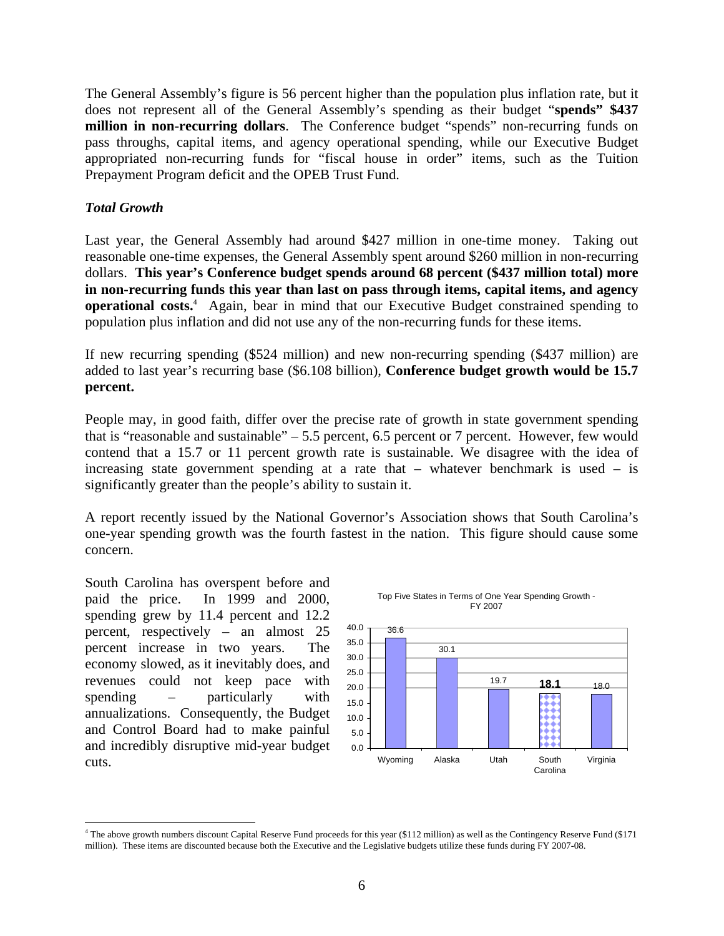The General Assembly's figure is 56 percent higher than the population plus inflation rate, but it does not represent all of the General Assembly's spending as their budget "**spends" \$437 million in non-recurring dollars**. The Conference budget "spends" non-recurring funds on pass throughs, capital items, and agency operational spending, while our Executive Budget appropriated non-recurring funds for "fiscal house in order" items, such as the Tuition Prepayment Program deficit and the OPEB Trust Fund.

#### *Total Growth*

Last year, the General Assembly had around \$427 million in one-time money. Taking out reasonable one-time expenses, the General Assembly spent around \$260 million in non-recurring dollars. **This year's Conference budget spends around 68 percent (\$437 million total) more in non-recurring funds this year than last on pass through items, capital items, and agency operational costs.**<sup>4</sup> Again, bear in mind that our Executive Budget constrained spending to population plus inflation and did not use any of the non-recurring funds for these items.

If new recurring spending (\$524 million) and new non-recurring spending (\$437 million) are added to last year's recurring base (\$6.108 billion), **Conference budget growth would be 15.7 percent.** 

People may, in good faith, differ over the precise rate of growth in state government spending that is "reasonable and sustainable" – 5.5 percent, 6.5 percent or 7 percent. However, few would contend that a 15.7 or 11 percent growth rate is sustainable. We disagree with the idea of increasing state government spending at a rate that – whatever benchmark is used – is significantly greater than the people's ability to sustain it.

A report recently issued by the National Governor's Association shows that South Carolina's one-year spending growth was the fourth fastest in the nation. This figure should cause some concern.

South Carolina has overspent before and paid the price. In 1999 and 2000, spending grew by 11.4 percent and 12.2 percent, respectively – an almost 25 percent increase in two years. The economy slowed, as it inevitably does, and revenues could not keep pace with spending – particularly with annualizations. Consequently, the Budget and Control Board had to make painful and incredibly disruptive mid-year budget cuts.



Top Five States in Terms of One Year Spending Growth -

 $\overline{a}$ 4 The above growth numbers discount Capital Reserve Fund proceeds for this year (\$112 million) as well as the Contingency Reserve Fund (\$171 million). These items are discounted because both the Executive and the Legislative budgets utilize these funds during FY 2007-08.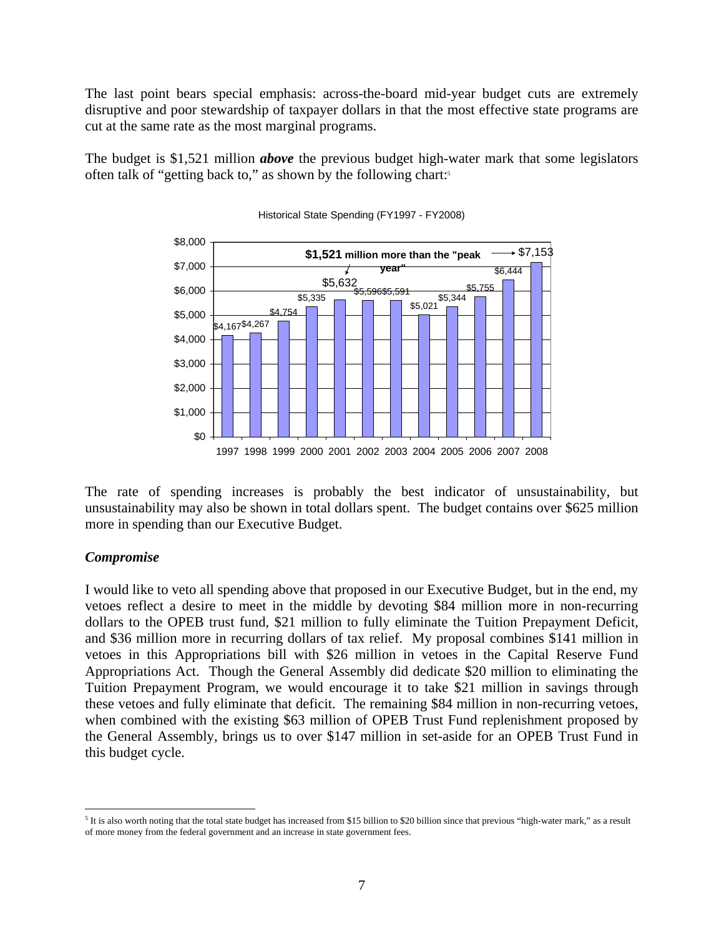The last point bears special emphasis: across-the-board mid-year budget cuts are extremely disruptive and poor stewardship of taxpayer dollars in that the most effective state programs are cut at the same rate as the most marginal programs.

The budget is \$1,521 million *above* the previous budget high-water mark that some legislators often talk of "getting back to," as shown by the following chart:<sup>5</sup>



Historical State Spending (FY1997 - FY2008)

The rate of spending increases is probably the best indicator of unsustainability, but unsustainability may also be shown in total dollars spent. The budget contains over \$625 million more in spending than our Executive Budget.

#### *Compromise*

 $\overline{a}$ 

I would like to veto all spending above that proposed in our Executive Budget, but in the end, my vetoes reflect a desire to meet in the middle by devoting \$84 million more in non-recurring dollars to the OPEB trust fund, \$21 million to fully eliminate the Tuition Prepayment Deficit, and \$36 million more in recurring dollars of tax relief. My proposal combines \$141 million in vetoes in this Appropriations bill with \$26 million in vetoes in the Capital Reserve Fund Appropriations Act. Though the General Assembly did dedicate \$20 million to eliminating the Tuition Prepayment Program, we would encourage it to take \$21 million in savings through these vetoes and fully eliminate that deficit. The remaining \$84 million in non-recurring vetoes, when combined with the existing \$63 million of OPEB Trust Fund replenishment proposed by the General Assembly, brings us to over \$147 million in set-aside for an OPEB Trust Fund in this budget cycle.

 $5$  It is also worth noting that the total state budget has increased from \$15 billion to \$20 billion since that previous "high-water mark," as a result of more money from the federal government and an increase in state government fees.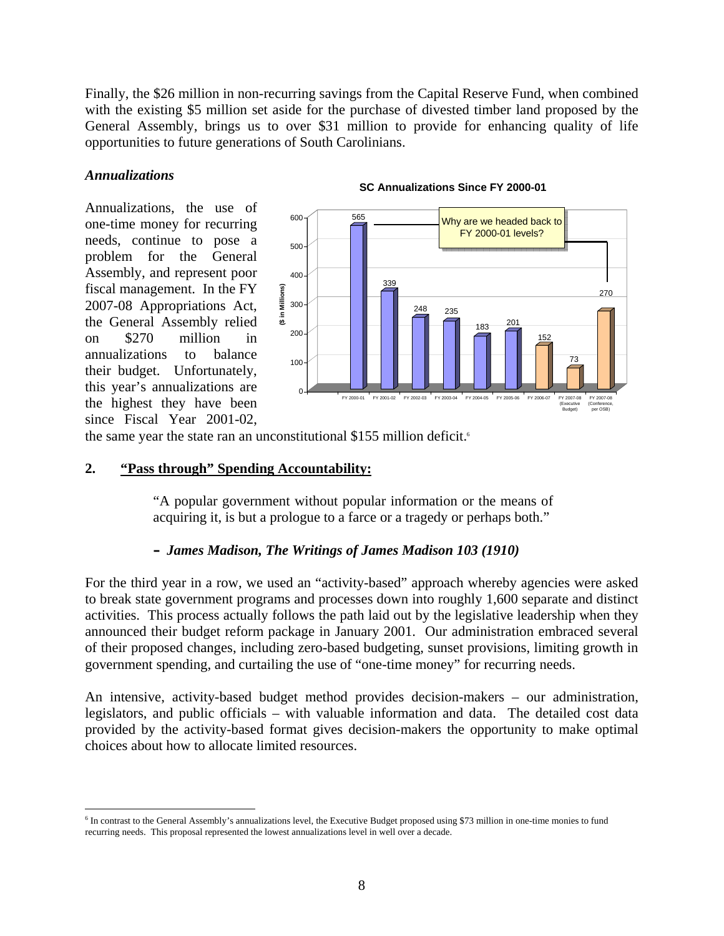Finally, the \$26 million in non-recurring savings from the Capital Reserve Fund, when combined with the existing \$5 million set aside for the purchase of divested timber land proposed by the General Assembly, brings us to over \$31 million to provide for enhancing quality of life opportunities to future generations of South Carolinians.

#### *Annualizations*

 $\overline{a}$ 

Annualizations, the use of one-time money for recurring needs, continue to pose a problem for the General Assembly, and represent poor fiscal management. In the FY 2007-08 Appropriations Act, the General Assembly relied on \$270 million in annualizations to balance their budget. Unfortunately, this year's annualizations are the highest they have been since Fiscal Year 2001-02,



#### **SC Annualizations Since FY 2000-01**

the same year the state ran an unconstitutional \$155 million deficit.<sup>6</sup>

#### **2. "Pass through" Spending Accountability:**

"A popular government without popular information or the means of acquiring it, is but a prologue to a farce or a tragedy or perhaps both."

#### **–** *James Madison, The Writings of James Madison 103 (1910)*

For the third year in a row, we used an "activity-based" approach whereby agencies were asked to break state government programs and processes down into roughly 1,600 separate and distinct activities. This process actually follows the path laid out by the legislative leadership when they announced their budget reform package in January 2001. Our administration embraced several of their proposed changes, including zero-based budgeting, sunset provisions, limiting growth in government spending, and curtailing the use of "one-time money" for recurring needs.

An intensive, activity-based budget method provides decision-makers – our administration, legislators, and public officials – with valuable information and data. The detailed cost data provided by the activity-based format gives decision-makers the opportunity to make optimal choices about how to allocate limited resources.

<sup>&</sup>lt;sup>6</sup> In contrast to the General Assembly's annualizations level, the Executive Budget proposed using \$73 million in one-time monies to fund recurring needs. This proposal represented the lowest annualizations level in well over a decade.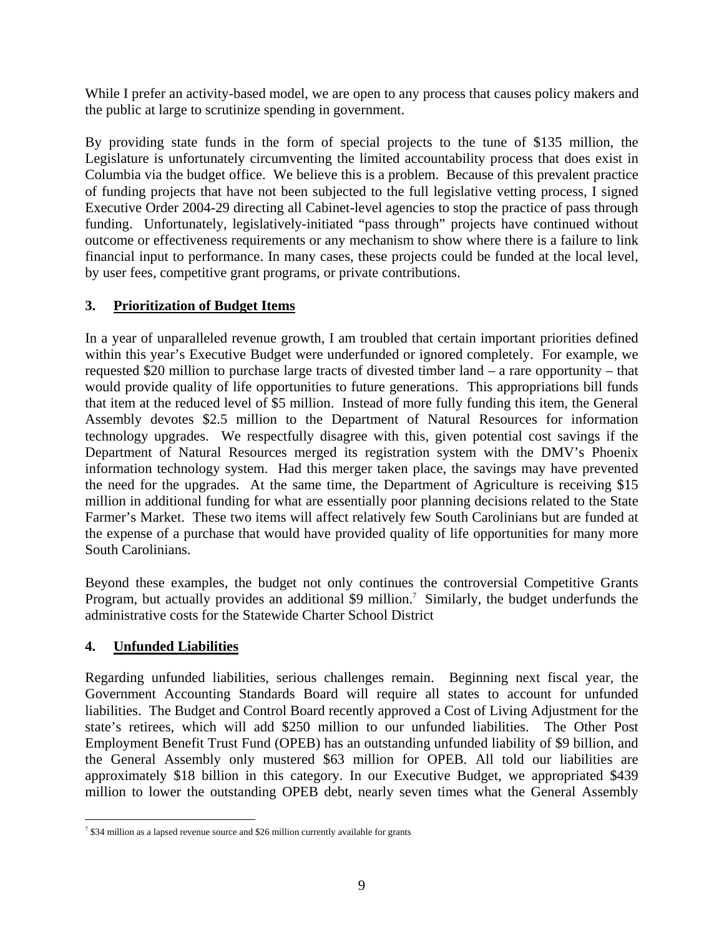While I prefer an activity-based model, we are open to any process that causes policy makers and the public at large to scrutinize spending in government.

By providing state funds in the form of special projects to the tune of \$135 million, the Legislature is unfortunately circumventing the limited accountability process that does exist in Columbia via the budget office. We believe this is a problem. Because of this prevalent practice of funding projects that have not been subjected to the full legislative vetting process, I signed Executive Order 2004-29 directing all Cabinet-level agencies to stop the practice of pass through funding. Unfortunately, legislatively-initiated "pass through" projects have continued without outcome or effectiveness requirements or any mechanism to show where there is a failure to link financial input to performance. In many cases, these projects could be funded at the local level, by user fees, competitive grant programs, or private contributions.

## **3. Prioritization of Budget Items**

In a year of unparalleled revenue growth, I am troubled that certain important priorities defined within this year's Executive Budget were underfunded or ignored completely. For example, we requested \$20 million to purchase large tracts of divested timber land – a rare opportunity – that would provide quality of life opportunities to future generations. This appropriations bill funds that item at the reduced level of \$5 million. Instead of more fully funding this item, the General Assembly devotes \$2.5 million to the Department of Natural Resources for information technology upgrades. We respectfully disagree with this, given potential cost savings if the Department of Natural Resources merged its registration system with the DMV's Phoenix information technology system. Had this merger taken place, the savings may have prevented the need for the upgrades. At the same time, the Department of Agriculture is receiving \$15 million in additional funding for what are essentially poor planning decisions related to the State Farmer's Market. These two items will affect relatively few South Carolinians but are funded at the expense of a purchase that would have provided quality of life opportunities for many more South Carolinians.

Beyond these examples, the budget not only continues the controversial Competitive Grants Program, but actually provides an additional \$9 million.<sup>7</sup> Similarly, the budget underfunds the administrative costs for the Statewide Charter School District

#### **4. Unfunded Liabilities**

Regarding unfunded liabilities, serious challenges remain. Beginning next fiscal year, the Government Accounting Standards Board will require all states to account for unfunded liabilities. The Budget and Control Board recently approved a Cost of Living Adjustment for the state's retirees, which will add \$250 million to our unfunded liabilities. The Other Post Employment Benefit Trust Fund (OPEB) has an outstanding unfunded liability of \$9 billion, and the General Assembly only mustered \$63 million for OPEB. All told our liabilities are approximately \$18 billion in this category. In our Executive Budget, we appropriated \$439 million to lower the outstanding OPEB debt, nearly seven times what the General Assembly

<sup>&</sup>lt;sup>7</sup> \$34 million as a lapsed revenue source and \$26 million currently available for grants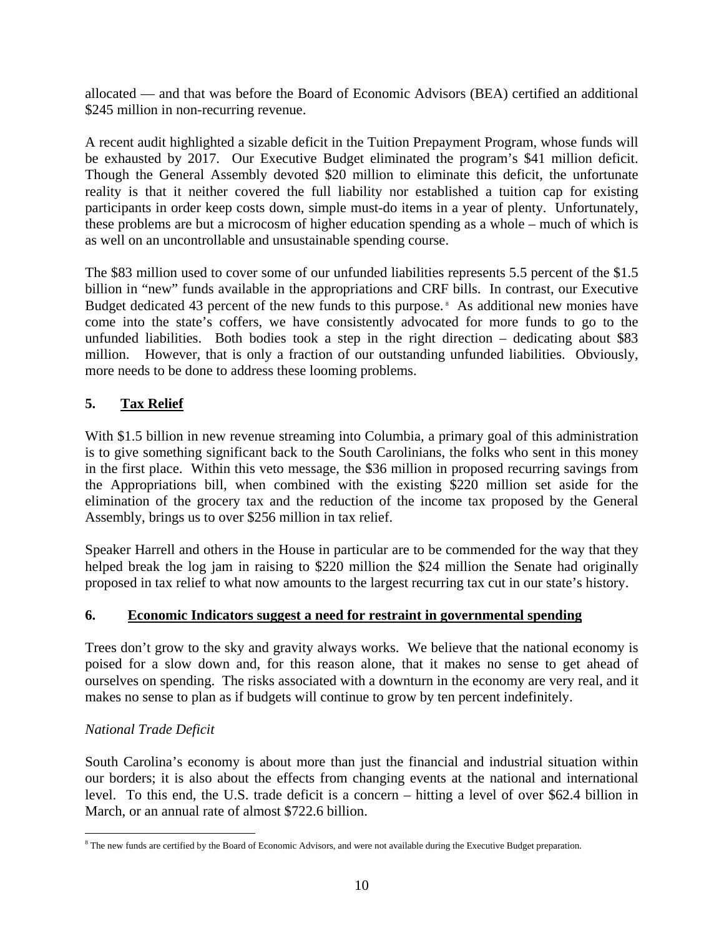allocated — and that was before the Board of Economic Advisors (BEA) certified an additional \$245 million in non-recurring revenue.

A recent audit highlighted a sizable deficit in the Tuition Prepayment Program, whose funds will be exhausted by 2017. Our Executive Budget eliminated the program's \$41 million deficit. Though the General Assembly devoted \$20 million to eliminate this deficit, the unfortunate reality is that it neither covered the full liability nor established a tuition cap for existing participants in order keep costs down, simple must-do items in a year of plenty. Unfortunately, these problems are but a microcosm of higher education spending as a whole – much of which is as well on an uncontrollable and unsustainable spending course.

The \$83 million used to cover some of our unfunded liabilities represents 5.5 percent of the \$1.5 billion in "new" funds available in the appropriations and CRF bills. In contrast, our Executive Budget dedicated 43 percent of the new funds to this purpose.<sup>8</sup> As additional new monies have come into the state's coffers, we have consistently advocated for more funds to go to the unfunded liabilities. Both bodies took a step in the right direction – dedicating about \$83 million. However, that is only a fraction of our outstanding unfunded liabilities. Obviously, more needs to be done to address these looming problems.

### **5. Tax Relief**

With \$1.5 billion in new revenue streaming into Columbia, a primary goal of this administration is to give something significant back to the South Carolinians, the folks who sent in this money in the first place. Within this veto message, the \$36 million in proposed recurring savings from the Appropriations bill, when combined with the existing \$220 million set aside for the elimination of the grocery tax and the reduction of the income tax proposed by the General Assembly, brings us to over \$256 million in tax relief.

Speaker Harrell and others in the House in particular are to be commended for the way that they helped break the log jam in raising to \$220 million the \$24 million the Senate had originally proposed in tax relief to what now amounts to the largest recurring tax cut in our state's history.

#### **6. Economic Indicators suggest a need for restraint in governmental spending**

Trees don't grow to the sky and gravity always works. We believe that the national economy is poised for a slow down and, for this reason alone, that it makes no sense to get ahead of ourselves on spending. The risks associated with a downturn in the economy are very real, and it makes no sense to plan as if budgets will continue to grow by ten percent indefinitely.

#### *National Trade Deficit*

South Carolina's economy is about more than just the financial and industrial situation within our borders; it is also about the effects from changing events at the national and international level. To this end, the U.S. trade deficit is a concern – hitting a level of over \$62.4 billion in March, or an annual rate of almost \$722.6 billion.

<sup>1</sup> <sup>8</sup> The new funds are certified by the Board of Economic Advisors, and were not available during the Executive Budget preparation.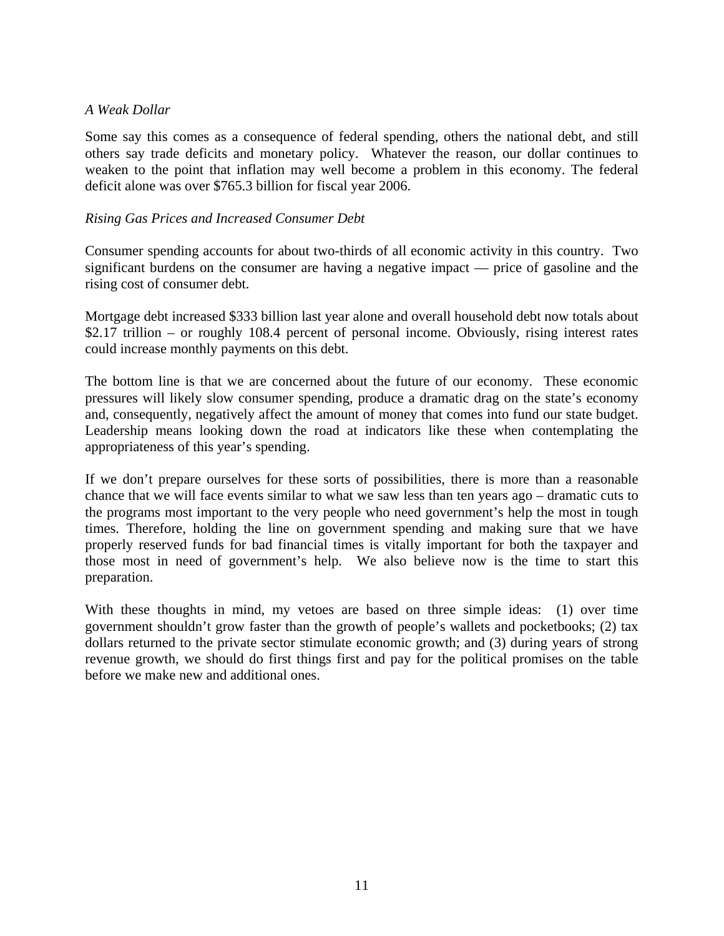#### *A Weak Dollar*

Some say this comes as a consequence of federal spending, others the national debt, and still others say trade deficits and monetary policy. Whatever the reason, our dollar continues to weaken to the point that inflation may well become a problem in this economy. The federal deficit alone was over \$765.3 billion for fiscal year 2006.

#### *Rising Gas Prices and Increased Consumer Debt*

Consumer spending accounts for about two-thirds of all economic activity in this country. Two significant burdens on the consumer are having a negative impact — price of gasoline and the rising cost of consumer debt.

Mortgage debt increased \$333 billion last year alone and overall household debt now totals about \$2.17 trillion – or roughly 108.4 percent of personal income. Obviously, rising interest rates could increase monthly payments on this debt.

The bottom line is that we are concerned about the future of our economy. These economic pressures will likely slow consumer spending, produce a dramatic drag on the state's economy and, consequently, negatively affect the amount of money that comes into fund our state budget. Leadership means looking down the road at indicators like these when contemplating the appropriateness of this year's spending.

If we don't prepare ourselves for these sorts of possibilities, there is more than a reasonable chance that we will face events similar to what we saw less than ten years ago – dramatic cuts to the programs most important to the very people who need government's help the most in tough times. Therefore, holding the line on government spending and making sure that we have properly reserved funds for bad financial times is vitally important for both the taxpayer and those most in need of government's help. We also believe now is the time to start this preparation.

With these thoughts in mind, my vetoes are based on three simple ideas: (1) over time government shouldn't grow faster than the growth of people's wallets and pocketbooks; (2) tax dollars returned to the private sector stimulate economic growth; and (3) during years of strong revenue growth, we should do first things first and pay for the political promises on the table before we make new and additional ones.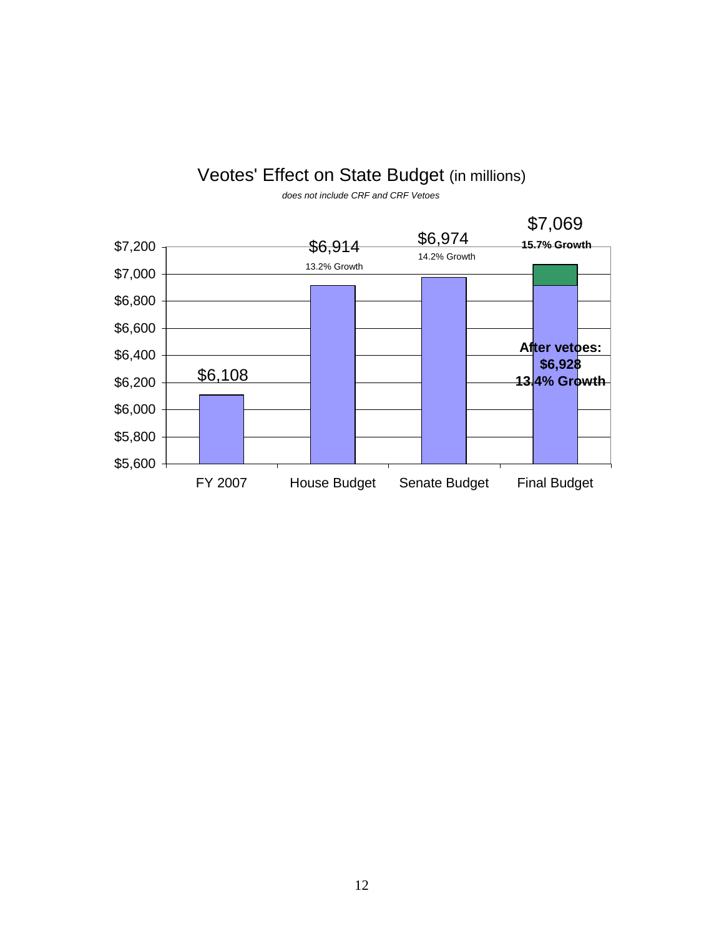## Veotes' Effect on State Budget (in millions)



*does not include CRF and CRF Vetoes*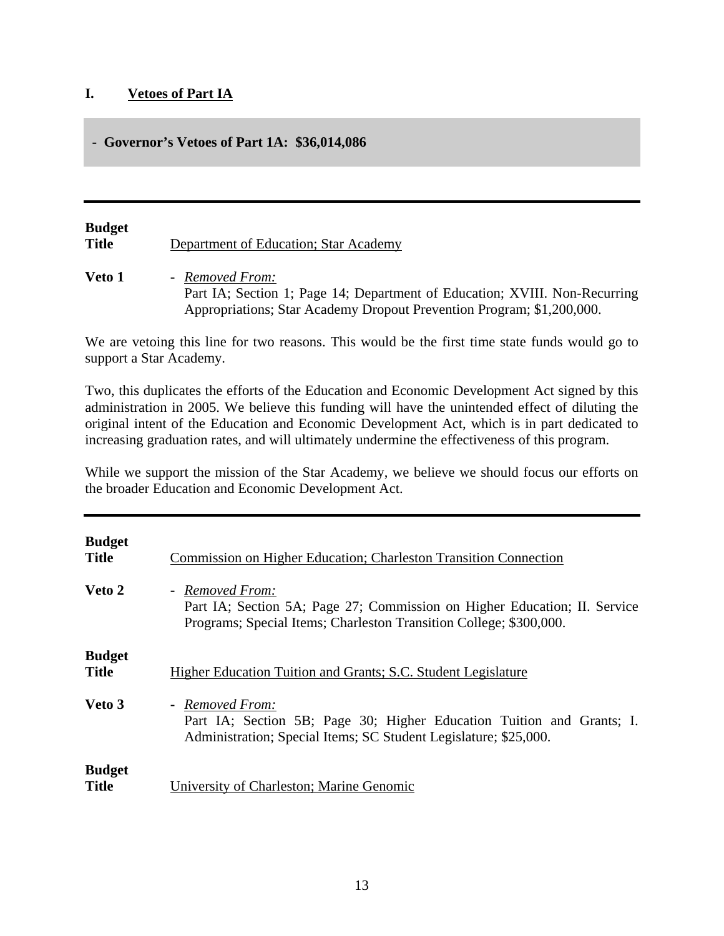#### **I. Vetoes of Part IA**

#### **- Governor's Vetoes of Part 1A: \$36,014,086**

## **Budget Title** Department of Education; Star Academy

**Veto 1 -** *Removed From:* Part IA; Section 1; Page 14; Department of Education; XVIII. Non-Recurring Appropriations; Star Academy Dropout Prevention Program; \$1,200,000.

We are vetoing this line for two reasons. This would be the first time state funds would go to support a Star Academy.

Two, this duplicates the efforts of the Education and Economic Development Act signed by this administration in 2005. We believe this funding will have the unintended effect of diluting the original intent of the Education and Economic Development Act, which is in part dedicated to increasing graduation rates, and will ultimately undermine the effectiveness of this program.

While we support the mission of the Star Academy, we believe we should focus our efforts on the broader Education and Economic Development Act.

| <b>Budget</b><br><b>Title</b> | Commission on Higher Education; Charleston Transition Connection                                                                                                   |
|-------------------------------|--------------------------------------------------------------------------------------------------------------------------------------------------------------------|
| Veto 2                        | - Removed From:<br>Part IA; Section 5A; Page 27; Commission on Higher Education; II. Service<br>Programs; Special Items; Charleston Transition College; \$300,000. |
| <b>Budget</b><br><b>Title</b> | Higher Education Tuition and Grants; S.C. Student Legislature                                                                                                      |
| Veto 3                        | - Removed From:<br>Part IA; Section 5B; Page 30; Higher Education Tuition and Grants; I.<br>Administration; Special Items; SC Student Legislature; \$25,000.       |
| <b>Budget</b><br><b>Title</b> | University of Charleston; Marine Genomic                                                                                                                           |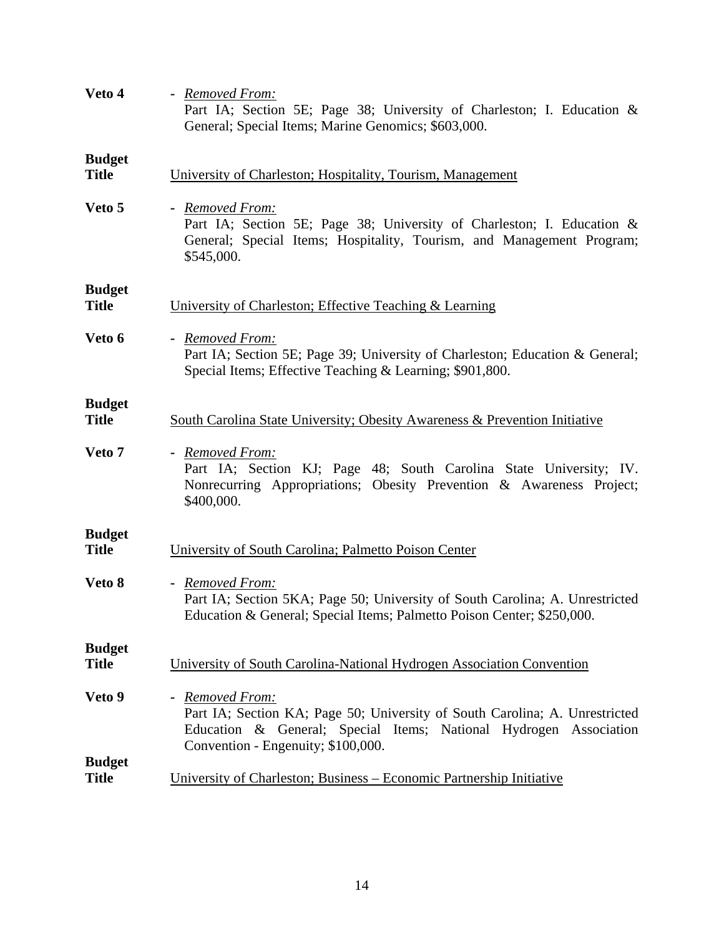| Veto 4                        | - Removed From:<br>Part IA; Section 5E; Page 38; University of Charleston; I. Education &<br>General; Special Items; Marine Genomics; \$603,000.                                                          |
|-------------------------------|-----------------------------------------------------------------------------------------------------------------------------------------------------------------------------------------------------------|
| <b>Budget</b><br><b>Title</b> | University of Charleston; Hospitality, Tourism, Management                                                                                                                                                |
| Veto 5                        | - Removed From:<br>Part IA; Section 5E; Page 38; University of Charleston; I. Education &<br>General; Special Items; Hospitality, Tourism, and Management Program;<br>\$545,000.                          |
| <b>Budget</b><br><b>Title</b> | University of Charleston; Effective Teaching & Learning                                                                                                                                                   |
| Veto 6                        | - Removed From:<br>Part IA; Section 5E; Page 39; University of Charleston; Education & General;<br>Special Items; Effective Teaching & Learning; \$901,800.                                               |
| <b>Budget</b><br><b>Title</b> | South Carolina State University; Obesity Awareness & Prevention Initiative                                                                                                                                |
| Veto 7                        | - Removed From:<br>Part IA; Section KJ; Page 48; South Carolina State University; IV.<br>Nonrecurring Appropriations; Obesity Prevention & Awareness Project;<br>\$400,000.                               |
| <b>Budget</b><br><b>Title</b> | University of South Carolina; Palmetto Poison Center                                                                                                                                                      |
| Veto 8                        | - Removed From:<br>Part IA; Section 5KA; Page 50; University of South Carolina; A. Unrestricted<br>Education & General; Special Items; Palmetto Poison Center; \$250,000.                                 |
| <b>Budget</b><br><b>Title</b> | University of South Carolina-National Hydrogen Association Convention                                                                                                                                     |
| Veto 9                        | - Removed From:<br>Part IA; Section KA; Page 50; University of South Carolina; A. Unrestricted<br>Education & General; Special Items; National Hydrogen Association<br>Convention - Engenuity; \$100,000. |
| <b>Budget</b><br><b>Title</b> | University of Charleston; Business - Economic Partnership Initiative                                                                                                                                      |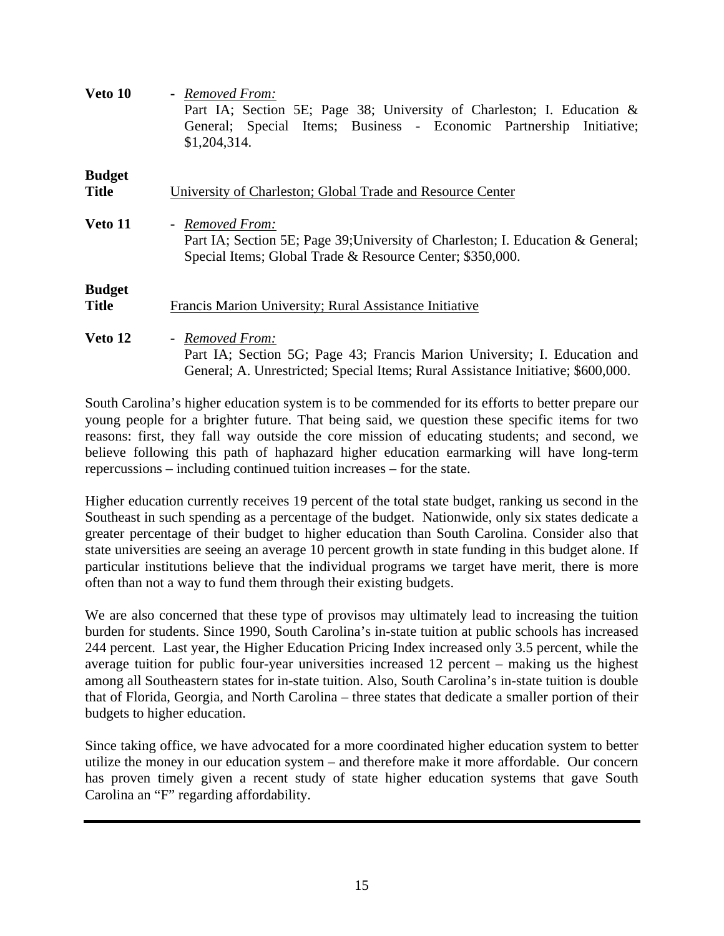| Veto 10                       | - Removed From:<br>Part IA; Section 5E; Page 38; University of Charleston; I. Education &<br>General; Special Items; Business - Economic Partnership Initiative;<br>\$1,204,314. |
|-------------------------------|----------------------------------------------------------------------------------------------------------------------------------------------------------------------------------|
| <b>Budget</b><br><b>Title</b> | University of Charleston; Global Trade and Resource Center                                                                                                                       |
| Veto 11                       | - Removed From:<br>Part IA; Section 5E; Page 39; University of Charleston; I. Education & General;<br>Special Items; Global Trade & Resource Center; \$350,000.                  |
| <b>Budget</b><br><b>Title</b> | Francis Marion University; Rural Assistance Initiative                                                                                                                           |
| Veto 12                       | - Removed From:<br>Part IA; Section 5G; Page 43; Francis Marion University; I. Education and<br>General; A. Unrestricted; Special Items; Rural Assistance Initiative; \$600,000. |

South Carolina's higher education system is to be commended for its efforts to better prepare our young people for a brighter future. That being said, we question these specific items for two reasons: first, they fall way outside the core mission of educating students; and second, we believe following this path of haphazard higher education earmarking will have long-term repercussions – including continued tuition increases – for the state.

Higher education currently receives 19 percent of the total state budget, ranking us second in the Southeast in such spending as a percentage of the budget. Nationwide, only six states dedicate a greater percentage of their budget to higher education than South Carolina. Consider also that state universities are seeing an average 10 percent growth in state funding in this budget alone. If particular institutions believe that the individual programs we target have merit, there is more often than not a way to fund them through their existing budgets.

We are also concerned that these type of provisos may ultimately lead to increasing the tuition burden for students. Since 1990, South Carolina's in-state tuition at public schools has increased 244 percent. Last year, the Higher Education Pricing Index increased only 3.5 percent, while the average tuition for public four-year universities increased 12 percent – making us the highest among all Southeastern states for in-state tuition. Also, South Carolina's in-state tuition is double that of Florida, Georgia, and North Carolina – three states that dedicate a smaller portion of their budgets to higher education.

Since taking office, we have advocated for a more coordinated higher education system to better utilize the money in our education system – and therefore make it more affordable. Our concern has proven timely given a recent study of state higher education systems that gave South Carolina an "F" regarding affordability.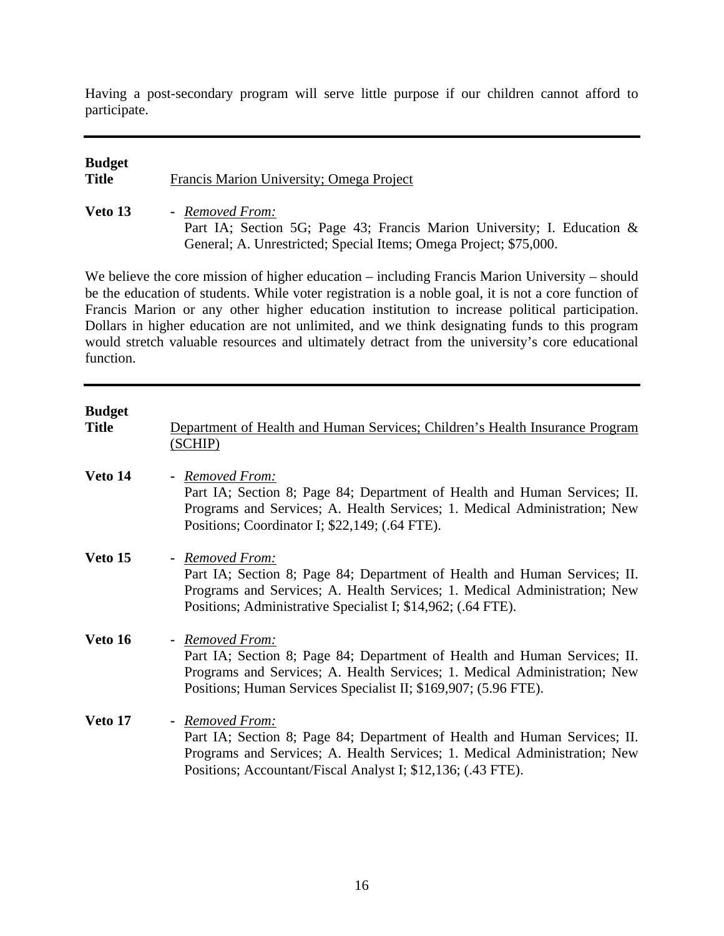Having a post-secondary program will serve little purpose if our children cannot afford to participate.

# **Budget Title** Francis Marion University; Omega Project **Veto 13 -** *Removed From:*

Part IA; Section 5G; Page 43; Francis Marion University; I. Education & General; A. Unrestricted; Special Items; Omega Project; \$75,000.

We believe the core mission of higher education – including Francis Marion University – should be the education of students. While voter registration is a noble goal, it is not a core function of Francis Marion or any other higher education institution to increase political participation. Dollars in higher education are not unlimited, and we think designating funds to this program would stretch valuable resources and ultimately detract from the university's core educational function.

| <b>Budget</b><br><b>Title</b> | Department of Health and Human Services; Children's Health Insurance Program<br>(SCHIP)                                                                                                                                                      |
|-------------------------------|----------------------------------------------------------------------------------------------------------------------------------------------------------------------------------------------------------------------------------------------|
| Veto 14                       | - Removed From:<br>Part IA; Section 8; Page 84; Department of Health and Human Services; II.<br>Programs and Services; A. Health Services; 1. Medical Administration; New<br>Positions; Coordinator I; \$22,149; (.64 FTE).                  |
| Veto 15                       | - Removed From:<br>Part IA; Section 8; Page 84; Department of Health and Human Services; II.<br>Programs and Services; A. Health Services; 1. Medical Administration; New<br>Positions; Administrative Specialist I; \$14,962; (.64 FTE).    |
| Veto 16                       | - Removed From:<br>Part IA; Section 8; Page 84; Department of Health and Human Services; II.<br>Programs and Services; A. Health Services; 1. Medical Administration; New<br>Positions; Human Services Specialist II; \$169,907; (5.96 FTE). |
| Veto 17                       | - Removed From:<br>Part IA; Section 8; Page 84; Department of Health and Human Services; II.<br>Programs and Services; A. Health Services; 1. Medical Administration; New<br>Positions; Accountant/Fiscal Analyst I; \$12,136; (.43 FTE).    |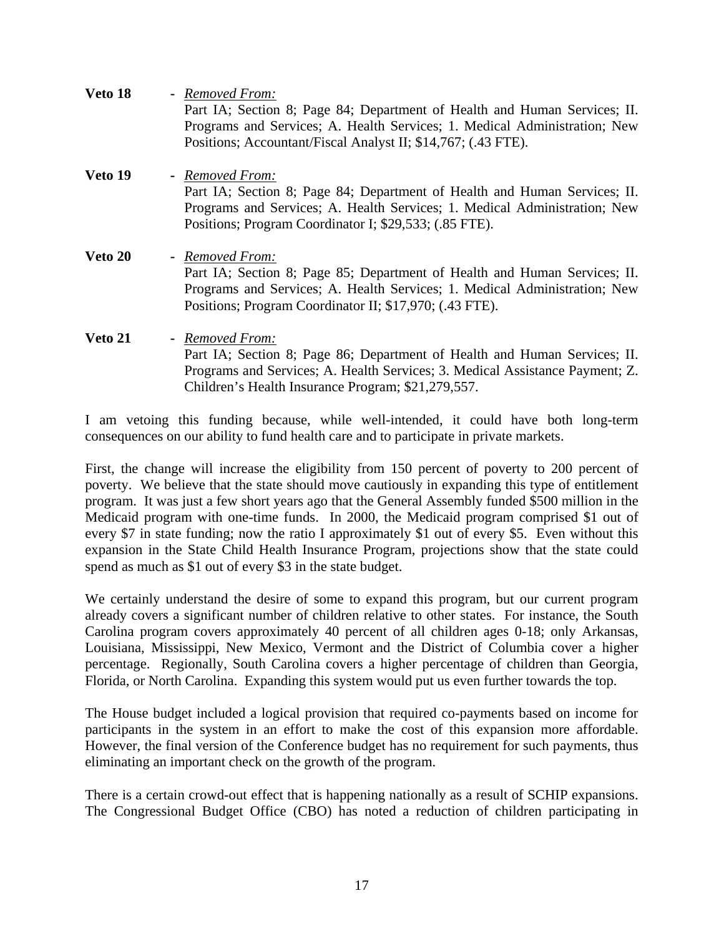| Veto 18 | - Removed From:<br>Part IA; Section 8; Page 84; Department of Health and Human Services; II.<br>Programs and Services; A. Health Services; 1. Medical Administration; New<br>Positions; Accountant/Fiscal Analyst II; \$14,767; (.43 FTE). |
|---------|--------------------------------------------------------------------------------------------------------------------------------------------------------------------------------------------------------------------------------------------|
| Veto 19 | - Removed From:<br>Part IA; Section 8; Page 84; Department of Health and Human Services; II.<br>Programs and Services; A. Health Services; 1. Medical Administration; New<br>Positions; Program Coordinator I; \$29,533; (.85 FTE).        |
| Veto 20 | - Removed From:<br>Part IA; Section 8; Page 85; Department of Health and Human Services; II.<br>Programs and Services; A. Health Services; 1. Medical Administration; New<br>Positions; Program Coordinator II; \$17,970; (.43 FTE).       |
| Veto 21 | - Removed From:<br>Part IA; Section 8; Page 86; Department of Health and Human Services; II.<br>Programs and Services; A. Health Services; 3. Medical Assistance Payment; Z.<br>Children's Health Insurance Program; \$21,279,557.         |

I am vetoing this funding because, while well-intended, it could have both long-term consequences on our ability to fund health care and to participate in private markets.

First, the change will increase the eligibility from 150 percent of poverty to 200 percent of poverty. We believe that the state should move cautiously in expanding this type of entitlement program. It was just a few short years ago that the General Assembly funded \$500 million in the Medicaid program with one-time funds. In 2000, the Medicaid program comprised \$1 out of every \$7 in state funding; now the ratio I approximately \$1 out of every \$5. Even without this expansion in the State Child Health Insurance Program, projections show that the state could spend as much as \$1 out of every \$3 in the state budget.

We certainly understand the desire of some to expand this program, but our current program already covers a significant number of children relative to other states. For instance, the South Carolina program covers approximately 40 percent of all children ages 0-18; only Arkansas, Louisiana, Mississippi, New Mexico, Vermont and the District of Columbia cover a higher percentage. Regionally, South Carolina covers a higher percentage of children than Georgia, Florida, or North Carolina. Expanding this system would put us even further towards the top.

The House budget included a logical provision that required co-payments based on income for participants in the system in an effort to make the cost of this expansion more affordable. However, the final version of the Conference budget has no requirement for such payments, thus eliminating an important check on the growth of the program.

There is a certain crowd-out effect that is happening nationally as a result of SCHIP expansions. The Congressional Budget Office (CBO) has noted a reduction of children participating in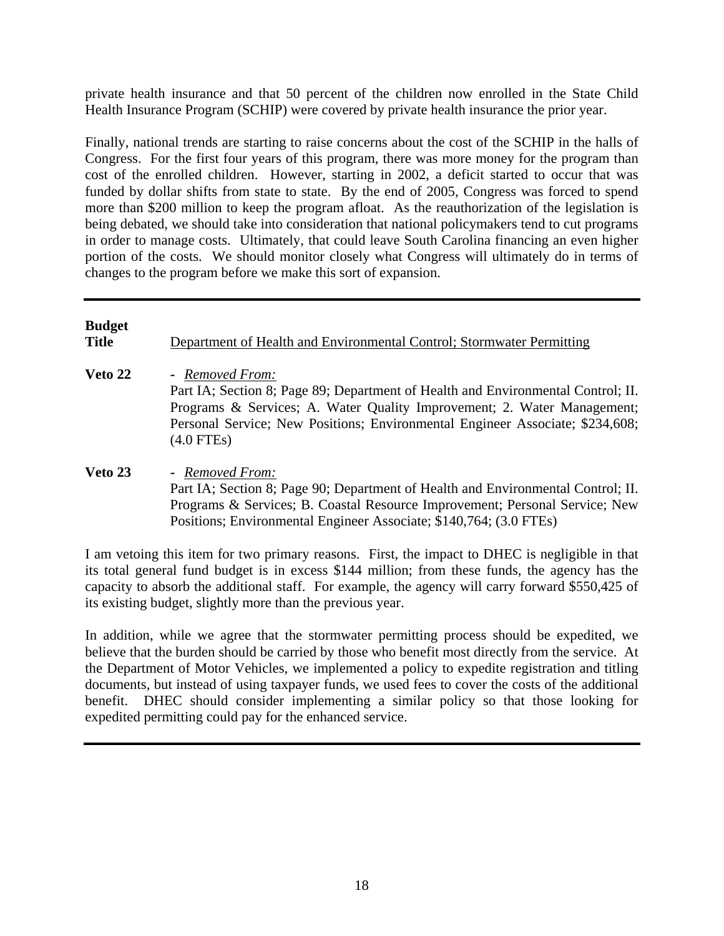private health insurance and that 50 percent of the children now enrolled in the State Child Health Insurance Program (SCHIP) were covered by private health insurance the prior year.

Finally, national trends are starting to raise concerns about the cost of the SCHIP in the halls of Congress. For the first four years of this program, there was more money for the program than cost of the enrolled children. However, starting in 2002, a deficit started to occur that was funded by dollar shifts from state to state. By the end of 2005, Congress was forced to spend more than \$200 million to keep the program afloat. As the reauthorization of the legislation is being debated, we should take into consideration that national policymakers tend to cut programs in order to manage costs. Ultimately, that could leave South Carolina financing an even higher portion of the costs. We should monitor closely what Congress will ultimately do in terms of changes to the program before we make this sort of expansion.

#### **Budget**

**Title Department of Health and Environmental Control; Stormwater Permitting** 

- **Veto 22** *Removed From:* Part IA; Section 8; Page 89; Department of Health and Environmental Control; II. Programs & Services; A. Water Quality Improvement; 2. Water Management; Personal Service; New Positions; Environmental Engineer Associate; \$234,608; (4.0 FTEs)
- **Veto 23** *Removed From:* Part IA; Section 8; Page 90; Department of Health and Environmental Control; II. Programs & Services; B. Coastal Resource Improvement; Personal Service; New Positions; Environmental Engineer Associate; \$140,764; (3.0 FTEs)

I am vetoing this item for two primary reasons. First, the impact to DHEC is negligible in that its total general fund budget is in excess \$144 million; from these funds, the agency has the capacity to absorb the additional staff. For example, the agency will carry forward \$550,425 of its existing budget, slightly more than the previous year.

In addition, while we agree that the stormwater permitting process should be expedited, we believe that the burden should be carried by those who benefit most directly from the service. At the Department of Motor Vehicles, we implemented a policy to expedite registration and titling documents, but instead of using taxpayer funds, we used fees to cover the costs of the additional benefit. DHEC should consider implementing a similar policy so that those looking for expedited permitting could pay for the enhanced service.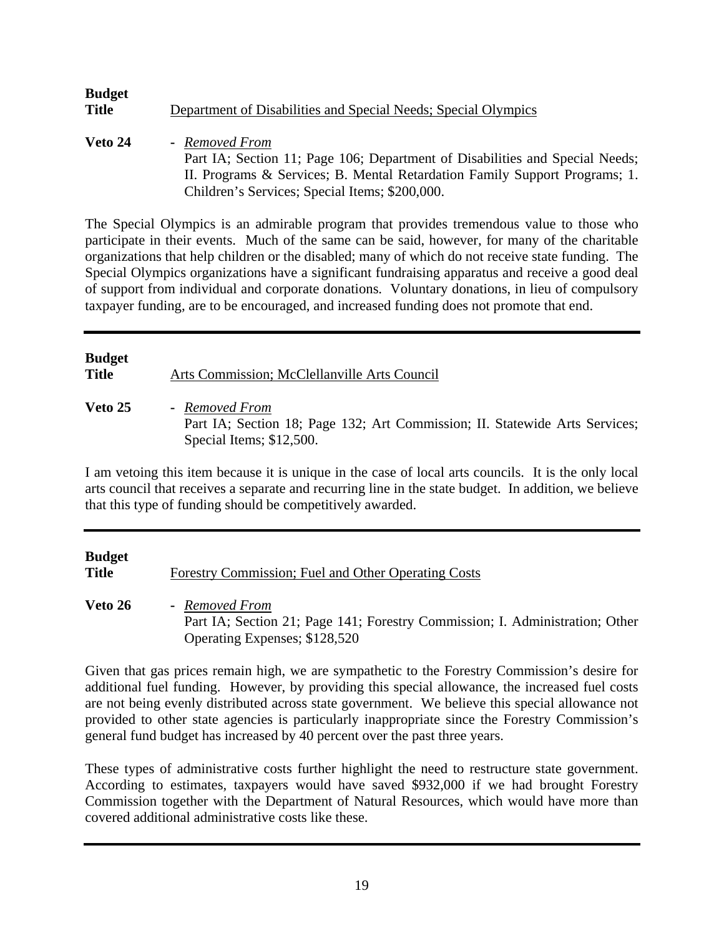| <b>Budget</b><br><b>Title</b> | Department of Disabilities and Special Needs; Special Olympics                          |
|-------------------------------|-----------------------------------------------------------------------------------------|
| Veto 24                       | - Removed From<br>Part IA; Section 11; Page 106; Department of Disabilities and Special |

Part IA; Section 11; Page 106; Department of Disabilities and Special Needs; II. Programs & Services; B. Mental Retardation Family Support Programs; 1. Children's Services; Special Items; \$200,000.

The Special Olympics is an admirable program that provides tremendous value to those who participate in their events. Much of the same can be said, however, for many of the charitable organizations that help children or the disabled; many of which do not receive state funding. The Special Olympics organizations have a significant fundraising apparatus and receive a good deal of support from individual and corporate donations. Voluntary donations, in lieu of compulsory taxpayer funding, are to be encouraged, and increased funding does not promote that end.

## **Budget Title** Arts Commission; McClellanville Arts Council **Veto 25 -** *Removed From* Part IA; Section 18; Page 132; Art Commission; II. Statewide Arts Services; Special Items; \$12,500.

I am vetoing this item because it is unique in the case of local arts councils. It is the only local arts council that receives a separate and recurring line in the state budget. In addition, we believe that this type of funding should be competitively awarded.

| Budget<br>Title | Forestry Commission; Fuel and Other Operating Costs                                                                             |
|-----------------|---------------------------------------------------------------------------------------------------------------------------------|
| <b>Veto 26</b>  | - Removed From<br>Part IA; Section 21; Page 141; Forestry Commission; I. Administration; Other<br>Operating Expenses; \$128,520 |

Given that gas prices remain high, we are sympathetic to the Forestry Commission's desire for additional fuel funding. However, by providing this special allowance, the increased fuel costs are not being evenly distributed across state government. We believe this special allowance not provided to other state agencies is particularly inappropriate since the Forestry Commission's general fund budget has increased by 40 percent over the past three years.

These types of administrative costs further highlight the need to restructure state government. According to estimates, taxpayers would have saved \$932,000 if we had brought Forestry Commission together with the Department of Natural Resources, which would have more than covered additional administrative costs like these.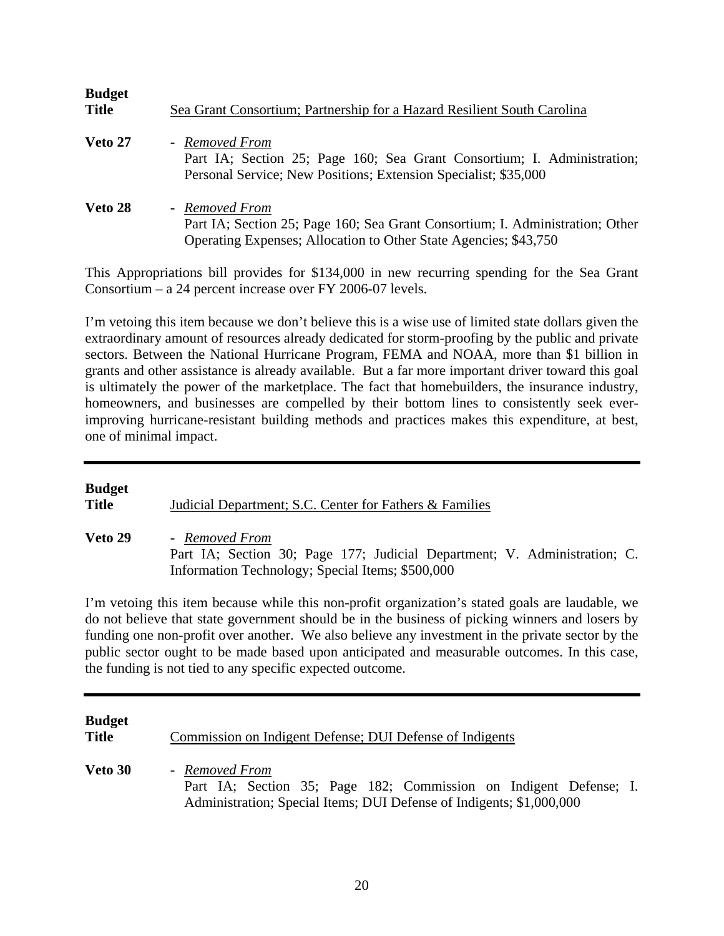| <b>Budget</b><br><b>Title</b> | Sea Grant Consortium; Partnership for a Hazard Resilient South Carolina                                                                                             |
|-------------------------------|---------------------------------------------------------------------------------------------------------------------------------------------------------------------|
| Veto 27                       | - Removed From<br>Part IA; Section 25; Page 160; Sea Grant Consortium; I. Administration;<br>Personal Service; New Positions; Extension Specialist; \$35,000        |
| Veto 28                       | - Removed From<br>Part IA; Section 25; Page 160; Sea Grant Consortium; I. Administration; Other<br>Operating Expenses; Allocation to Other State Agencies; \$43,750 |

This Appropriations bill provides for \$134,000 in new recurring spending for the Sea Grant Consortium – a 24 percent increase over FY 2006-07 levels.

I'm vetoing this item because we don't believe this is a wise use of limited state dollars given the extraordinary amount of resources already dedicated for storm-proofing by the public and private sectors. Between the National Hurricane Program, FEMA and NOAA, more than \$1 billion in grants and other assistance is already available. But a far more important driver toward this goal is ultimately the power of the marketplace. The fact that homebuilders, the insurance industry, homeowners, and businesses are compelled by their bottom lines to consistently seek everimproving hurricane-resistant building methods and practices makes this expenditure, at best, one of minimal impact.

#### **Budget**

**Title** Judicial Department; S.C. Center for Fathers & Families

**Veto 29 -** *Removed From*  Part IA; Section 30; Page 177; Judicial Department; V. Administration; C. Information Technology; Special Items; \$500,000

I'm vetoing this item because while this non-profit organization's stated goals are laudable, we do not believe that state government should be in the business of picking winners and losers by funding one non-profit over another. We also believe any investment in the private sector by the public sector ought to be made based upon anticipated and measurable outcomes. In this case, the funding is not tied to any specific expected outcome.

**Budget Title** Commission on Indigent Defense; DUI Defense of Indigents **Veto 30 -** *Removed From* Part IA; Section 35; Page 182; Commission on Indigent Defense; I. Administration; Special Items; DUI Defense of Indigents; \$1,000,000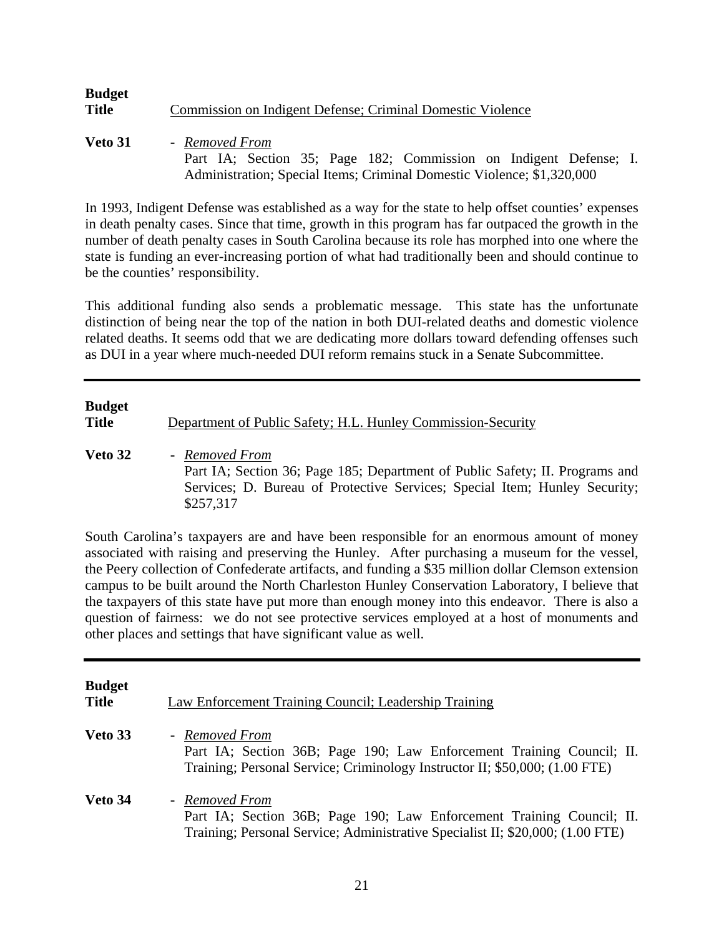| <b>Budget</b> |                                                            |
|---------------|------------------------------------------------------------|
| Title         | Commission on Indigent Defense; Criminal Domestic Violence |
|               |                                                            |

**Veto 31 -** *Removed From* Part IA; Section 35; Page 182; Commission on Indigent Defense; I. Administration; Special Items; Criminal Domestic Violence; \$1,320,000

In 1993, Indigent Defense was established as a way for the state to help offset counties' expenses in death penalty cases. Since that time, growth in this program has far outpaced the growth in the number of death penalty cases in South Carolina because its role has morphed into one where the state is funding an ever-increasing portion of what had traditionally been and should continue to be the counties' responsibility.

This additional funding also sends a problematic message. This state has the unfortunate distinction of being near the top of the nation in both DUI-related deaths and domestic violence related deaths. It seems odd that we are dedicating more dollars toward defending offenses such as DUI in a year where much-needed DUI reform remains stuck in a Senate Subcommittee.

# **Budget Title** Department of Public Safety; H.L. Hunley Commission-Security

**Veto 32 -** *Removed From* Part IA; Section 36; Page 185; Department of Public Safety; II. Programs and Services; D. Bureau of Protective Services; Special Item; Hunley Security; \$257,317

South Carolina's taxpayers are and have been responsible for an enormous amount of money associated with raising and preserving the Hunley. After purchasing a museum for the vessel, the Peery collection of Confederate artifacts, and funding a \$35 million dollar Clemson extension campus to be built around the North Charleston Hunley Conservation Laboratory, I believe that the taxpayers of this state have put more than enough money into this endeavor. There is also a question of fairness: we do not see protective services employed at a host of monuments and other places and settings that have significant value as well.

| <b>Budget</b><br><b>Title</b> | Law Enforcement Training Council; Leadership Training                                                                                                                     |
|-------------------------------|---------------------------------------------------------------------------------------------------------------------------------------------------------------------------|
| Veto 33                       | - Removed From<br>Part IA; Section 36B; Page 190; Law Enforcement Training Council; II.<br>Training; Personal Service; Criminology Instructor II; \$50,000; (1.00 FTE)    |
| Veto 34                       | - Removed From<br>Part IA; Section 36B; Page 190; Law Enforcement Training Council; II.<br>Training; Personal Service; Administrative Specialist II; \$20,000; (1.00 FTE) |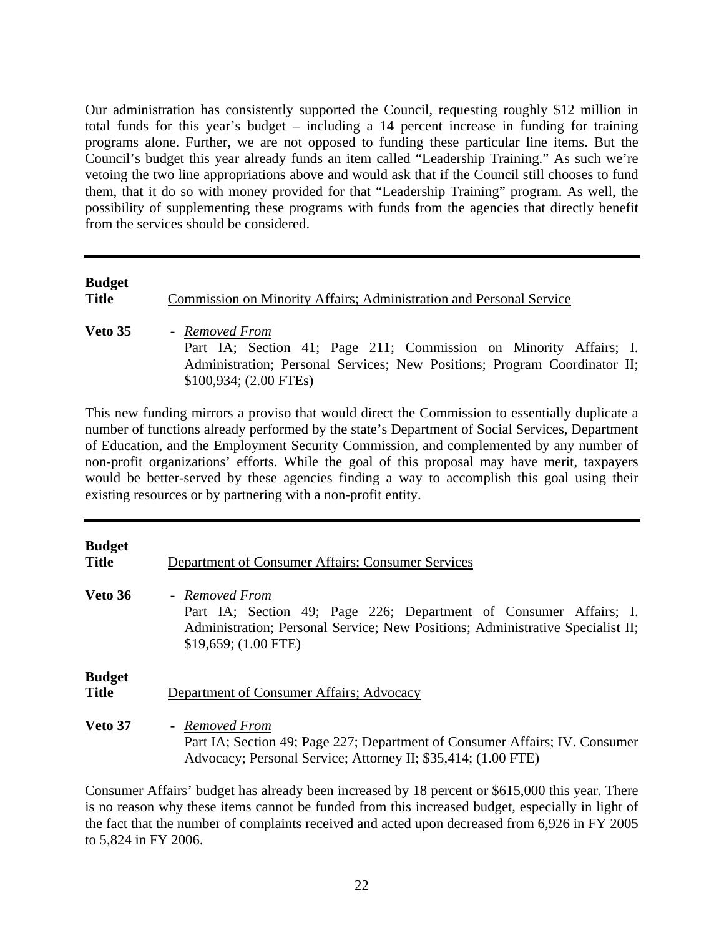Our administration has consistently supported the Council, requesting roughly \$12 million in total funds for this year's budget – including a 14 percent increase in funding for training programs alone. Further, we are not opposed to funding these particular line items. But the Council's budget this year already funds an item called "Leadership Training." As such we're vetoing the two line appropriations above and would ask that if the Council still chooses to fund them, that it do so with money provided for that "Leadership Training" program. As well, the possibility of supplementing these programs with funds from the agencies that directly benefit from the services should be considered.

| <b>Budget</b><br><b>Title</b> | Commission on Minority Affairs; Administration and Personal Service                                 |
|-------------------------------|-----------------------------------------------------------------------------------------------------|
| Veto 35                       | - Removed From<br>Part IA; Section 41; Page 211; Commission on Minority Affairs; I.                 |
|                               | Administration; Personal Services; New Positions; Program Coordinator II;<br>\$100,934; (2.00 FTEs) |

This new funding mirrors a proviso that would direct the Commission to essentially duplicate a number of functions already performed by the state's Department of Social Services, Department of Education, and the Employment Security Commission, and complemented by any number of non-profit organizations' efforts. While the goal of this proposal may have merit, taxpayers would be better-served by these agencies finding a way to accomplish this goal using their existing resources or by partnering with a non-profit entity.

| <b>Budget</b><br><b>Title</b> | Department of Consumer Affairs; Consumer Services                                                                                                                                              |
|-------------------------------|------------------------------------------------------------------------------------------------------------------------------------------------------------------------------------------------|
| Veto 36                       | - Removed From<br>Part IA; Section 49; Page 226; Department of Consumer Affairs; I.<br>Administration; Personal Service; New Positions; Administrative Specialist II;<br>$$19,659; (1.00$ FTE) |
| <b>Budget</b><br><b>Title</b> | Department of Consumer Affairs; Advocacy                                                                                                                                                       |
| Veto 37                       | - Removed From<br>Part IA; Section 49; Page 227; Department of Consumer Affairs; IV. Consumer<br>Advocacy; Personal Service; Attorney II; \$35,414; (1.00 FTE)                                 |

Consumer Affairs' budget has already been increased by 18 percent or \$615,000 this year. There is no reason why these items cannot be funded from this increased budget, especially in light of the fact that the number of complaints received and acted upon decreased from 6,926 in FY 2005 to 5,824 in FY 2006.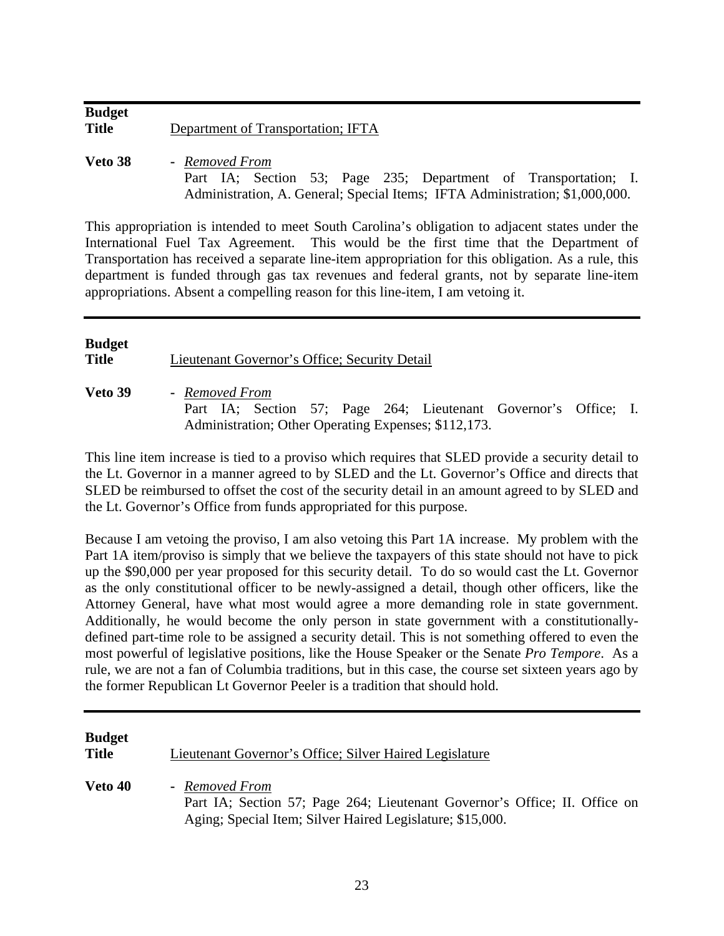| <b>Budget</b> |                                    |
|---------------|------------------------------------|
| <b>Title</b>  | Department of Transportation; IFTA |

**Veto 38 -** *Removed From* Part IA; Section 53; Page 235; Department of Transportation; I. Administration, A. General; Special Items; IFTA Administration; \$1,000,000.

This appropriation is intended to meet South Carolina's obligation to adjacent states under the International Fuel Tax Agreement. This would be the first time that the Department of Transportation has received a separate line-item appropriation for this obligation. As a rule, this department is funded through gas tax revenues and federal grants, not by separate line-item appropriations. Absent a compelling reason for this line-item, I am vetoing it.

# **Budget Title** Lieutenant Governor's Office; Security Detail **Veto 39 -** *Removed From*

 Part IA; Section 57; Page 264; Lieutenant Governor's Office; I. Administration; Other Operating Expenses; \$112,173.

This line item increase is tied to a proviso which requires that SLED provide a security detail to the Lt. Governor in a manner agreed to by SLED and the Lt. Governor's Office and directs that SLED be reimbursed to offset the cost of the security detail in an amount agreed to by SLED and the Lt. Governor's Office from funds appropriated for this purpose.

Because I am vetoing the proviso, I am also vetoing this Part 1A increase. My problem with the Part 1A item/proviso is simply that we believe the taxpayers of this state should not have to pick up the \$90,000 per year proposed for this security detail. To do so would cast the Lt. Governor as the only constitutional officer to be newly-assigned a detail, though other officers, like the Attorney General, have what most would agree a more demanding role in state government. Additionally, he would become the only person in state government with a constitutionallydefined part-time role to be assigned a security detail. This is not something offered to even the most powerful of legislative positions, like the House Speaker or the Senate *Pro Tempore*. As a rule, we are not a fan of Columbia traditions, but in this case, the course set sixteen years ago by the former Republican Lt Governor Peeler is a tradition that should hold.

| <b>Budget</b><br><b>Title</b> | Lieutenant Governor's Office; Silver Haired Legislature                                                                                                   |
|-------------------------------|-----------------------------------------------------------------------------------------------------------------------------------------------------------|
| Veto 40                       | - Removed From<br>Part IA; Section 57; Page 264; Lieutenant Governor's Office; II. Office on<br>Aging; Special Item; Silver Haired Legislature; \$15,000. |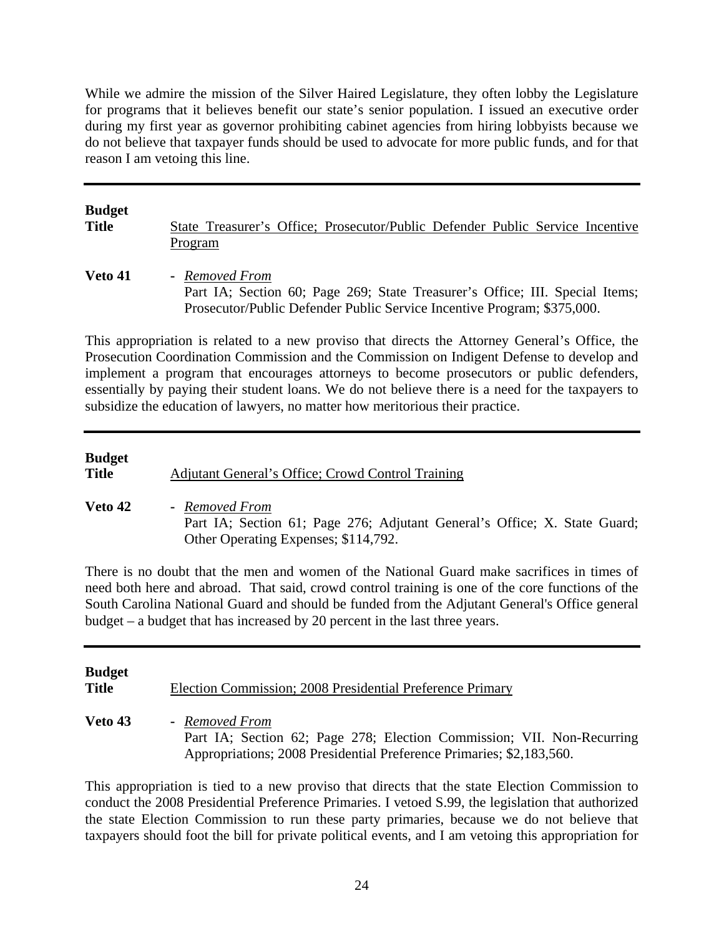While we admire the mission of the Silver Haired Legislature, they often lobby the Legislature for programs that it believes benefit our state's senior population. I issued an executive order during my first year as governor prohibiting cabinet agencies from hiring lobbyists because we do not believe that taxpayer funds should be used to advocate for more public funds, and for that reason I am vetoing this line.

| <b>Budget</b> | State Treasurer's Office; Prosecutor/Public Defender Public Service Incentive                                                                                             |
|---------------|---------------------------------------------------------------------------------------------------------------------------------------------------------------------------|
| <b>Title</b>  | Program                                                                                                                                                                   |
| Veto 41       | - Removed From<br>Part IA; Section 60; Page 269; State Treasurer's Office; III. Special Items;<br>Prosecutor/Public Defender Public Service Incentive Program; \$375,000. |

This appropriation is related to a new proviso that directs the Attorney General's Office, the Prosecution Coordination Commission and the Commission on Indigent Defense to develop and implement a program that encourages attorneys to become prosecutors or public defenders, essentially by paying their student loans. We do not believe there is a need for the taxpayers to subsidize the education of lawyers, no matter how meritorious their practice.

| <b>Budget</b><br><b>Title</b> | Adjutant General's Office; Crowd Control Training                                                                                   |
|-------------------------------|-------------------------------------------------------------------------------------------------------------------------------------|
| Veto 42                       | - Removed From<br>Part IA; Section 61; Page 276; Adjutant General's Office; X. State Guard;<br>Other Operating Expenses; \$114,792. |

There is no doubt that the men and women of the National Guard make sacrifices in times of need both here and abroad. That said, crowd control training is one of the core functions of the South Carolina National Guard and should be funded from the Adjutant General's Office general budget – a budget that has increased by 20 percent in the last three years.

| <b>Budget</b><br><b>Title</b> | Election Commission; 2008 Presidential Preference Primary                                                                                                        |
|-------------------------------|------------------------------------------------------------------------------------------------------------------------------------------------------------------|
| <b>Veto 43</b>                | - Removed From<br>Part IA; Section 62; Page 278; Election Commission; VII. Non-Recurring<br>Appropriations; 2008 Presidential Preference Primaries; \$2,183,560. |

This appropriation is tied to a new proviso that directs that the state Election Commission to conduct the 2008 Presidential Preference Primaries. I vetoed S.99, the legislation that authorized the state Election Commission to run these party primaries, because we do not believe that taxpayers should foot the bill for private political events, and I am vetoing this appropriation for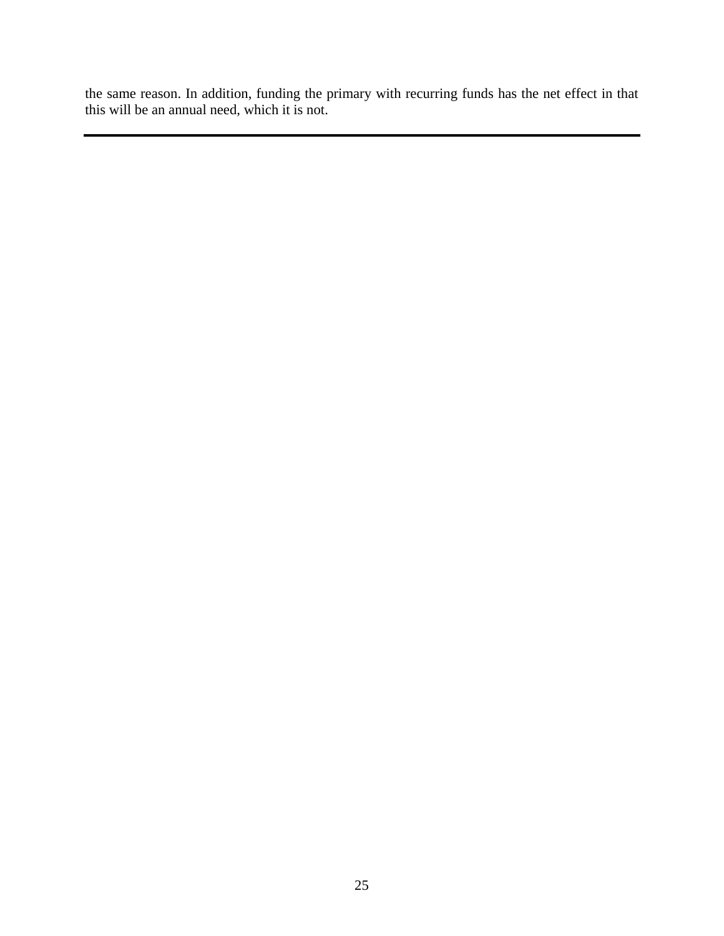the same reason. In addition, funding the primary with recurring funds has the net effect in that this will be an annual need, which it is not.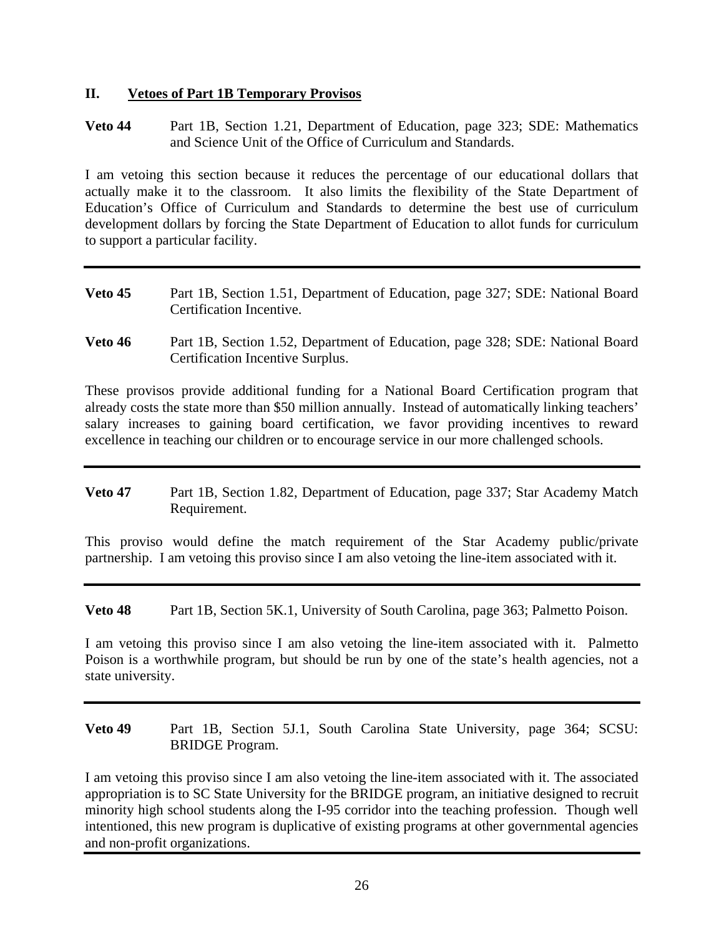#### **II. Vetoes of Part 1B Temporary Provisos**

**Veto 44** Part 1B, Section 1.21, Department of Education, page 323; SDE: Mathematics and Science Unit of the Office of Curriculum and Standards.

I am vetoing this section because it reduces the percentage of our educational dollars that actually make it to the classroom. It also limits the flexibility of the State Department of Education's Office of Curriculum and Standards to determine the best use of curriculum development dollars by forcing the State Department of Education to allot funds for curriculum to support a particular facility.

- **Veto 45** Part 1B, Section 1.51, Department of Education, page 327; SDE: National Board Certification Incentive.
- **Veto 46** Part 1B, Section 1.52, Department of Education, page 328; SDE: National Board Certification Incentive Surplus.

These provisos provide additional funding for a National Board Certification program that already costs the state more than \$50 million annually. Instead of automatically linking teachers' salary increases to gaining board certification, we favor providing incentives to reward excellence in teaching our children or to encourage service in our more challenged schools.

**Veto 47** Part 1B, Section 1.82, Department of Education, page 337; Star Academy Match Requirement.

This proviso would define the match requirement of the Star Academy public/private partnership. I am vetoing this proviso since I am also vetoing the line-item associated with it.

**Veto 48** Part 1B, Section 5K.1, University of South Carolina, page 363; Palmetto Poison.

I am vetoing this proviso since I am also vetoing the line-item associated with it. Palmetto Poison is a worthwhile program, but should be run by one of the state's health agencies, not a state university.

**Veto 49** Part 1B, Section 5J.1, South Carolina State University, page 364; SCSU: BRIDGE Program.

I am vetoing this proviso since I am also vetoing the line-item associated with it. The associated appropriation is to SC State University for the BRIDGE program, an initiative designed to recruit minority high school students along the I-95 corridor into the teaching profession. Though well intentioned, this new program is duplicative of existing programs at other governmental agencies and non-profit organizations.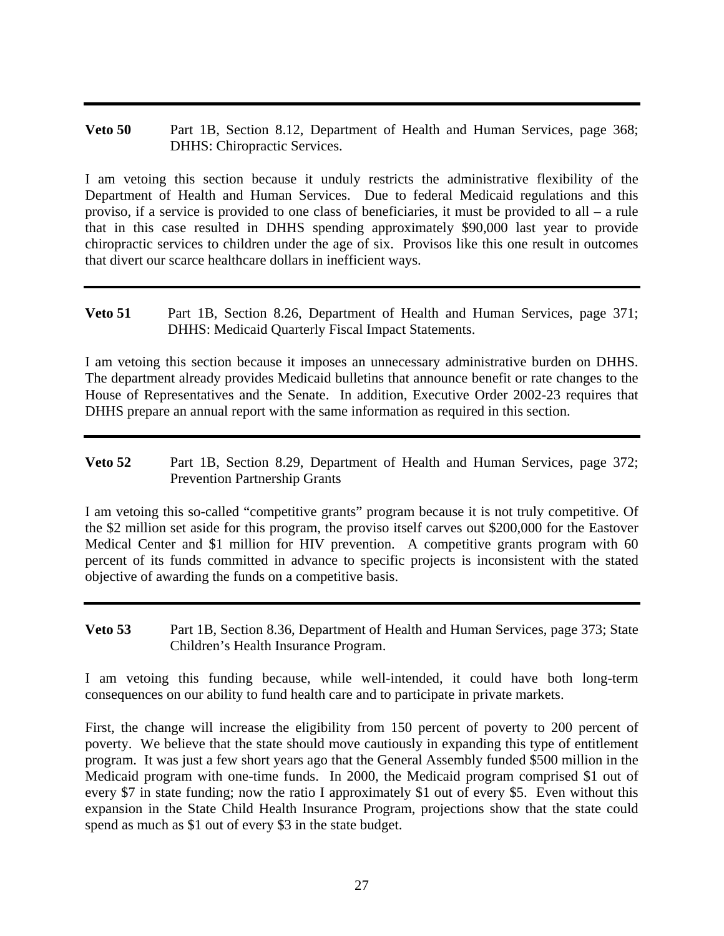**Veto 50** Part 1B, Section 8.12, Department of Health and Human Services, page 368; DHHS: Chiropractic Services.

I am vetoing this section because it unduly restricts the administrative flexibility of the Department of Health and Human Services. Due to federal Medicaid regulations and this proviso, if a service is provided to one class of beneficiaries, it must be provided to all – a rule that in this case resulted in DHHS spending approximately \$90,000 last year to provide chiropractic services to children under the age of six. Provisos like this one result in outcomes that divert our scarce healthcare dollars in inefficient ways.

**Veto 51** Part 1B, Section 8.26, Department of Health and Human Services, page 371; DHHS: Medicaid Quarterly Fiscal Impact Statements.

I am vetoing this section because it imposes an unnecessary administrative burden on DHHS. The department already provides Medicaid bulletins that announce benefit or rate changes to the House of Representatives and the Senate. In addition, Executive Order 2002-23 requires that DHHS prepare an annual report with the same information as required in this section.

**Veto 52** Part 1B, Section 8.29, Department of Health and Human Services, page 372; Prevention Partnership Grants

I am vetoing this so-called "competitive grants" program because it is not truly competitive. Of the \$2 million set aside for this program, the proviso itself carves out \$200,000 for the Eastover Medical Center and \$1 million for HIV prevention. A competitive grants program with 60 percent of its funds committed in advance to specific projects is inconsistent with the stated objective of awarding the funds on a competitive basis.

**Veto 53** Part 1B, Section 8.36, Department of Health and Human Services, page 373; State Children's Health Insurance Program.

I am vetoing this funding because, while well-intended, it could have both long-term consequences on our ability to fund health care and to participate in private markets.

First, the change will increase the eligibility from 150 percent of poverty to 200 percent of poverty. We believe that the state should move cautiously in expanding this type of entitlement program. It was just a few short years ago that the General Assembly funded \$500 million in the Medicaid program with one-time funds. In 2000, the Medicaid program comprised \$1 out of every \$7 in state funding; now the ratio I approximately \$1 out of every \$5. Even without this expansion in the State Child Health Insurance Program, projections show that the state could spend as much as \$1 out of every \$3 in the state budget.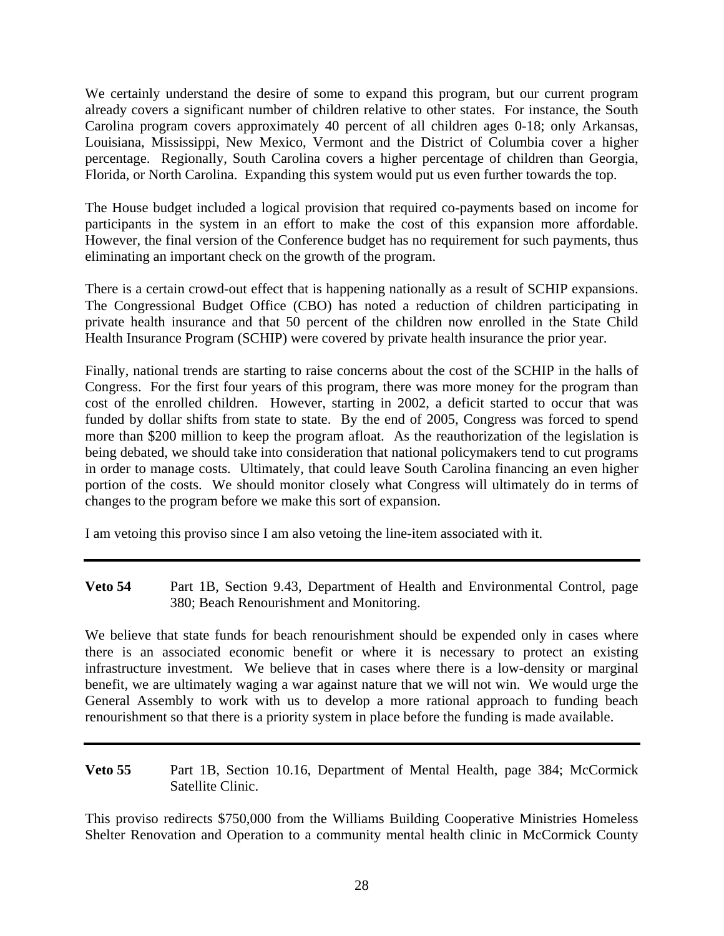We certainly understand the desire of some to expand this program, but our current program already covers a significant number of children relative to other states. For instance, the South Carolina program covers approximately 40 percent of all children ages 0-18; only Arkansas, Louisiana, Mississippi, New Mexico, Vermont and the District of Columbia cover a higher percentage. Regionally, South Carolina covers a higher percentage of children than Georgia, Florida, or North Carolina. Expanding this system would put us even further towards the top.

The House budget included a logical provision that required co-payments based on income for participants in the system in an effort to make the cost of this expansion more affordable. However, the final version of the Conference budget has no requirement for such payments, thus eliminating an important check on the growth of the program.

There is a certain crowd-out effect that is happening nationally as a result of SCHIP expansions. The Congressional Budget Office (CBO) has noted a reduction of children participating in private health insurance and that 50 percent of the children now enrolled in the State Child Health Insurance Program (SCHIP) were covered by private health insurance the prior year.

Finally, national trends are starting to raise concerns about the cost of the SCHIP in the halls of Congress. For the first four years of this program, there was more money for the program than cost of the enrolled children. However, starting in 2002, a deficit started to occur that was funded by dollar shifts from state to state. By the end of 2005, Congress was forced to spend more than \$200 million to keep the program afloat. As the reauthorization of the legislation is being debated, we should take into consideration that national policymakers tend to cut programs in order to manage costs. Ultimately, that could leave South Carolina financing an even higher portion of the costs. We should monitor closely what Congress will ultimately do in terms of changes to the program before we make this sort of expansion.

I am vetoing this proviso since I am also vetoing the line-item associated with it.

**Veto 54** Part 1B, Section 9.43, Department of Health and Environmental Control, page 380; Beach Renourishment and Monitoring.

We believe that state funds for beach renourishment should be expended only in cases where there is an associated economic benefit or where it is necessary to protect an existing infrastructure investment. We believe that in cases where there is a low-density or marginal benefit, we are ultimately waging a war against nature that we will not win. We would urge the General Assembly to work with us to develop a more rational approach to funding beach renourishment so that there is a priority system in place before the funding is made available.

**Veto 55** Part 1B, Section 10.16, Department of Mental Health, page 384; McCormick Satellite Clinic.

This proviso redirects \$750,000 from the Williams Building Cooperative Ministries Homeless Shelter Renovation and Operation to a community mental health clinic in McCormick County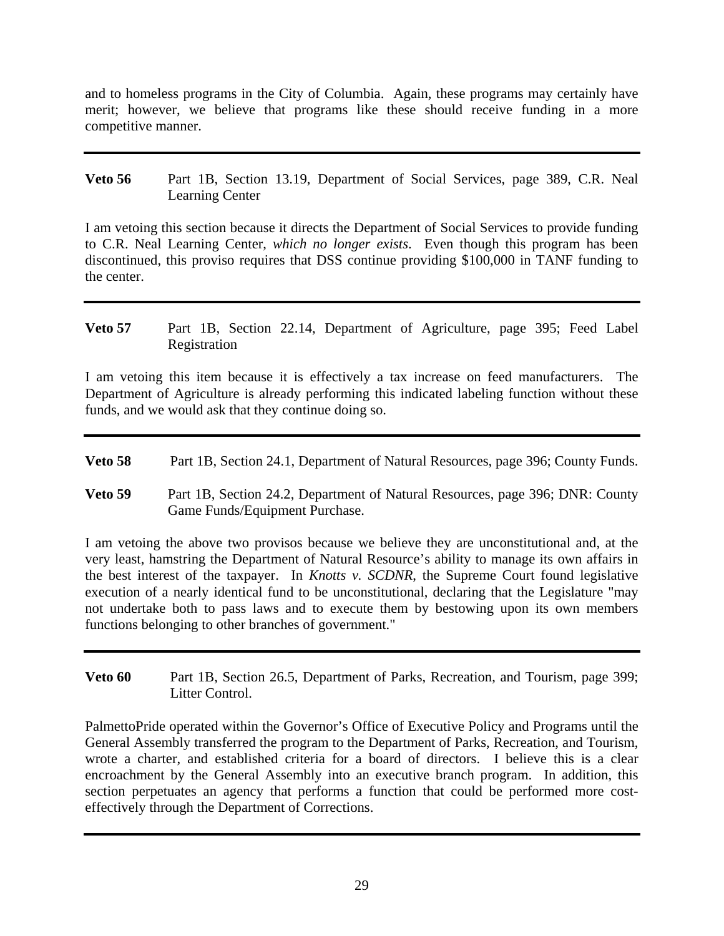and to homeless programs in the City of Columbia. Again, these programs may certainly have merit; however, we believe that programs like these should receive funding in a more competitive manner.

**Veto 56** Part 1B, Section 13.19, Department of Social Services, page 389, C.R. Neal Learning Center

I am vetoing this section because it directs the Department of Social Services to provide funding to C.R. Neal Learning Center, *which no longer exists*. Even though this program has been discontinued, this proviso requires that DSS continue providing \$100,000 in TANF funding to the center.

**Veto 57** Part 1B, Section 22.14, Department of Agriculture, page 395; Feed Label Registration

I am vetoing this item because it is effectively a tax increase on feed manufacturers. The Department of Agriculture is already performing this indicated labeling function without these funds, and we would ask that they continue doing so.

- **Veto 58** Part 1B, Section 24.1, Department of Natural Resources, page 396; County Funds.
- **Veto 59** Part 1B, Section 24.2, Department of Natural Resources, page 396; DNR: County Game Funds/Equipment Purchase.

I am vetoing the above two provisos because we believe they are unconstitutional and, at the very least, hamstring the Department of Natural Resource's ability to manage its own affairs in the best interest of the taxpayer. In *Knotts v. SCDNR*, the Supreme Court found legislative execution of a nearly identical fund to be unconstitutional, declaring that the Legislature "may not undertake both to pass laws and to execute them by bestowing upon its own members functions belonging to other branches of government."

**Veto 60** Part 1B, Section 26.5, Department of Parks, Recreation, and Tourism, page 399; Litter Control.

PalmettoPride operated within the Governor's Office of Executive Policy and Programs until the General Assembly transferred the program to the Department of Parks, Recreation, and Tourism, wrote a charter, and established criteria for a board of directors. I believe this is a clear encroachment by the General Assembly into an executive branch program. In addition, this section perpetuates an agency that performs a function that could be performed more costeffectively through the Department of Corrections.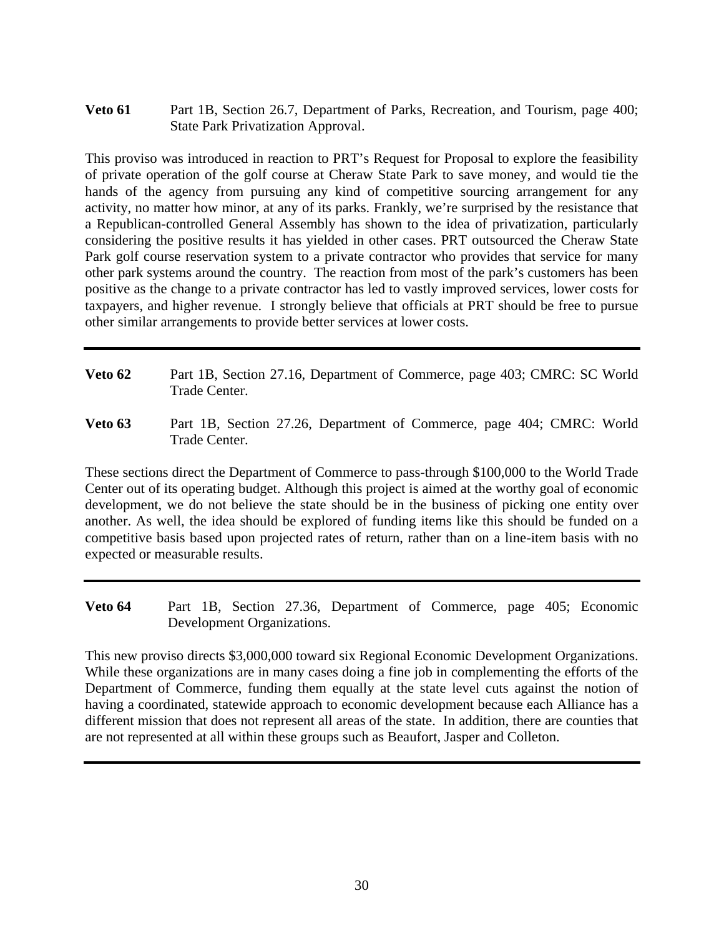**Veto 61** Part 1B, Section 26.7, Department of Parks, Recreation, and Tourism, page 400; State Park Privatization Approval.

This proviso was introduced in reaction to PRT's Request for Proposal to explore the feasibility of private operation of the golf course at Cheraw State Park to save money, and would tie the hands of the agency from pursuing any kind of competitive sourcing arrangement for any activity, no matter how minor, at any of its parks. Frankly, we're surprised by the resistance that a Republican-controlled General Assembly has shown to the idea of privatization, particularly considering the positive results it has yielded in other cases. PRT outsourced the Cheraw State Park golf course reservation system to a private contractor who provides that service for many other park systems around the country. The reaction from most of the park's customers has been positive as the change to a private contractor has led to vastly improved services, lower costs for taxpayers, and higher revenue. I strongly believe that officials at PRT should be free to pursue other similar arrangements to provide better services at lower costs.

- **Veto 62** Part 1B, Section 27.16, Department of Commerce, page 403; CMRC: SC World Trade Center.
- **Veto 63** Part 1B, Section 27.26, Department of Commerce, page 404; CMRC: World Trade Center.

These sections direct the Department of Commerce to pass-through \$100,000 to the World Trade Center out of its operating budget. Although this project is aimed at the worthy goal of economic development, we do not believe the state should be in the business of picking one entity over another. As well, the idea should be explored of funding items like this should be funded on a competitive basis based upon projected rates of return, rather than on a line-item basis with no expected or measurable results.

**Veto 64** Part 1B, Section 27.36, Department of Commerce, page 405; Economic Development Organizations.

This new proviso directs \$3,000,000 toward six Regional Economic Development Organizations. While these organizations are in many cases doing a fine job in complementing the efforts of the Department of Commerce, funding them equally at the state level cuts against the notion of having a coordinated, statewide approach to economic development because each Alliance has a different mission that does not represent all areas of the state. In addition, there are counties that are not represented at all within these groups such as Beaufort, Jasper and Colleton.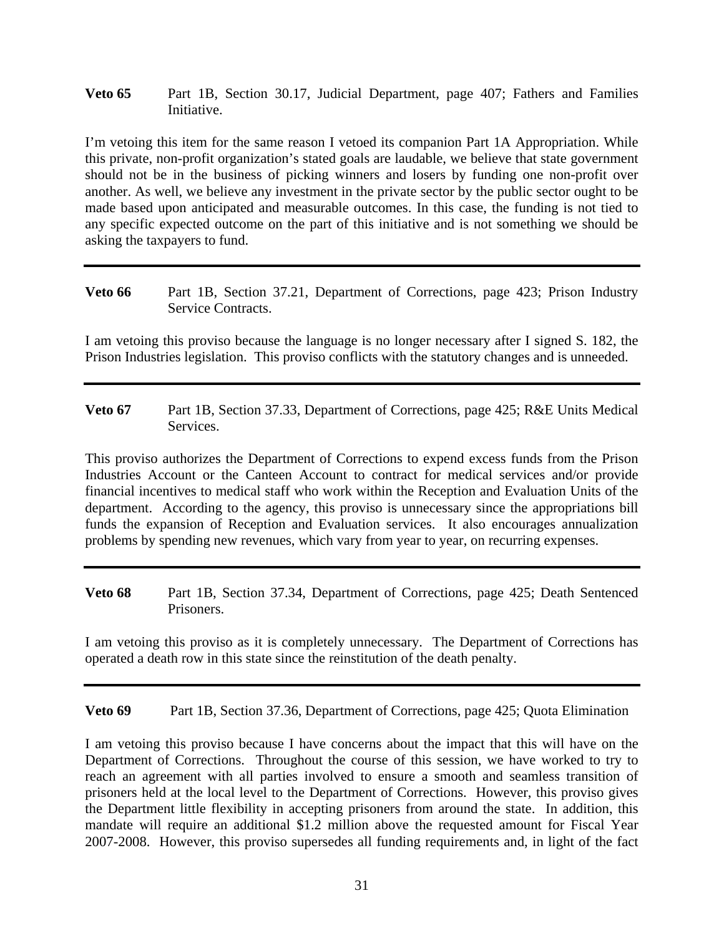#### **Veto 65** Part 1B, Section 30.17, Judicial Department, page 407; Fathers and Families Initiative.

I'm vetoing this item for the same reason I vetoed its companion Part 1A Appropriation. While this private, non-profit organization's stated goals are laudable, we believe that state government should not be in the business of picking winners and losers by funding one non-profit over another. As well, we believe any investment in the private sector by the public sector ought to be made based upon anticipated and measurable outcomes. In this case, the funding is not tied to any specific expected outcome on the part of this initiative and is not something we should be asking the taxpayers to fund.

**Veto 66** Part 1B, Section 37.21, Department of Corrections, page 423; Prison Industry Service Contracts.

I am vetoing this proviso because the language is no longer necessary after I signed S. 182, the Prison Industries legislation. This proviso conflicts with the statutory changes and is unneeded.

**Veto 67** Part 1B, Section 37.33, Department of Corrections, page 425; R&E Units Medical Services.

This proviso authorizes the Department of Corrections to expend excess funds from the Prison Industries Account or the Canteen Account to contract for medical services and/or provide financial incentives to medical staff who work within the Reception and Evaluation Units of the department. According to the agency, this proviso is unnecessary since the appropriations bill funds the expansion of Reception and Evaluation services. It also encourages annualization problems by spending new revenues, which vary from year to year, on recurring expenses.

**Veto 68** Part 1B, Section 37.34, Department of Corrections, page 425; Death Sentenced Prisoners.

I am vetoing this proviso as it is completely unnecessary. The Department of Corrections has operated a death row in this state since the reinstitution of the death penalty.

**Veto 69** Part 1B, Section 37.36, Department of Corrections, page 425; Quota Elimination

I am vetoing this proviso because I have concerns about the impact that this will have on the Department of Corrections. Throughout the course of this session, we have worked to try to reach an agreement with all parties involved to ensure a smooth and seamless transition of prisoners held at the local level to the Department of Corrections. However, this proviso gives the Department little flexibility in accepting prisoners from around the state. In addition, this mandate will require an additional \$1.2 million above the requested amount for Fiscal Year 2007-2008. However, this proviso supersedes all funding requirements and, in light of the fact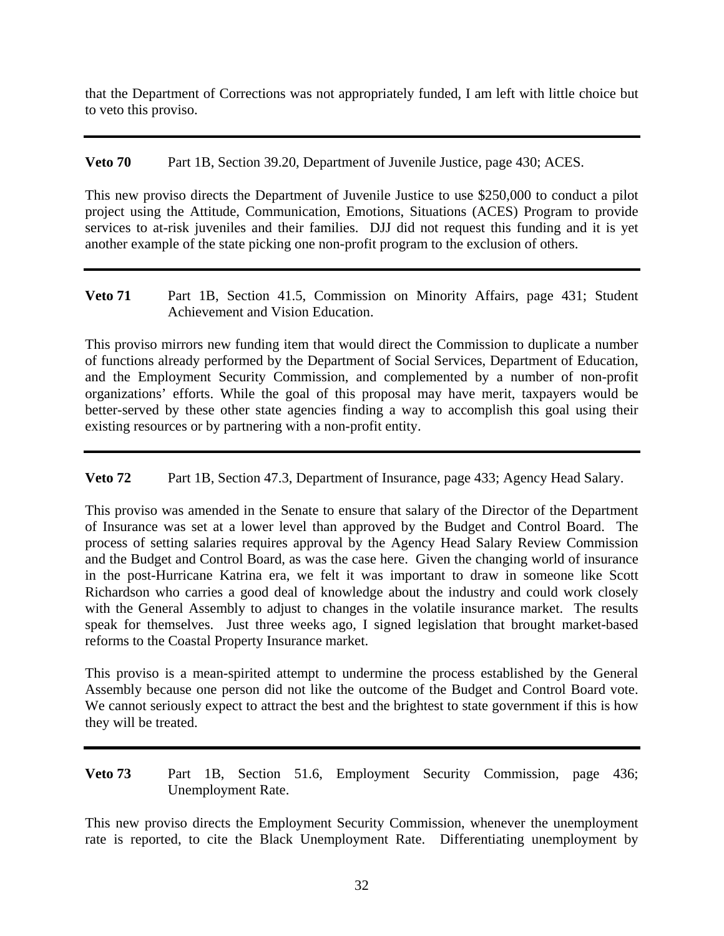that the Department of Corrections was not appropriately funded, I am left with little choice but to veto this proviso.

**Veto 70** Part 1B, Section 39.20, Department of Juvenile Justice, page 430; ACES.

This new proviso directs the Department of Juvenile Justice to use \$250,000 to conduct a pilot project using the Attitude, Communication, Emotions, Situations (ACES) Program to provide services to at-risk juveniles and their families. DJJ did not request this funding and it is yet another example of the state picking one non-profit program to the exclusion of others.

**Veto 71** Part 1B, Section 41.5, Commission on Minority Affairs, page 431; Student Achievement and Vision Education.

This proviso mirrors new funding item that would direct the Commission to duplicate a number of functions already performed by the Department of Social Services, Department of Education, and the Employment Security Commission, and complemented by a number of non-profit organizations' efforts. While the goal of this proposal may have merit, taxpayers would be better-served by these other state agencies finding a way to accomplish this goal using their existing resources or by partnering with a non-profit entity.

**Veto 72** Part 1B, Section 47.3, Department of Insurance, page 433; Agency Head Salary.

This proviso was amended in the Senate to ensure that salary of the Director of the Department of Insurance was set at a lower level than approved by the Budget and Control Board. The process of setting salaries requires approval by the Agency Head Salary Review Commission and the Budget and Control Board, as was the case here. Given the changing world of insurance in the post-Hurricane Katrina era, we felt it was important to draw in someone like Scott Richardson who carries a good deal of knowledge about the industry and could work closely with the General Assembly to adjust to changes in the volatile insurance market. The results speak for themselves. Just three weeks ago, I signed legislation that brought market-based reforms to the Coastal Property Insurance market.

This proviso is a mean-spirited attempt to undermine the process established by the General Assembly because one person did not like the outcome of the Budget and Control Board vote. We cannot seriously expect to attract the best and the brightest to state government if this is how they will be treated.

**Veto 73** Part 1B, Section 51.6, Employment Security Commission, page 436; Unemployment Rate.

This new proviso directs the Employment Security Commission, whenever the unemployment rate is reported, to cite the Black Unemployment Rate. Differentiating unemployment by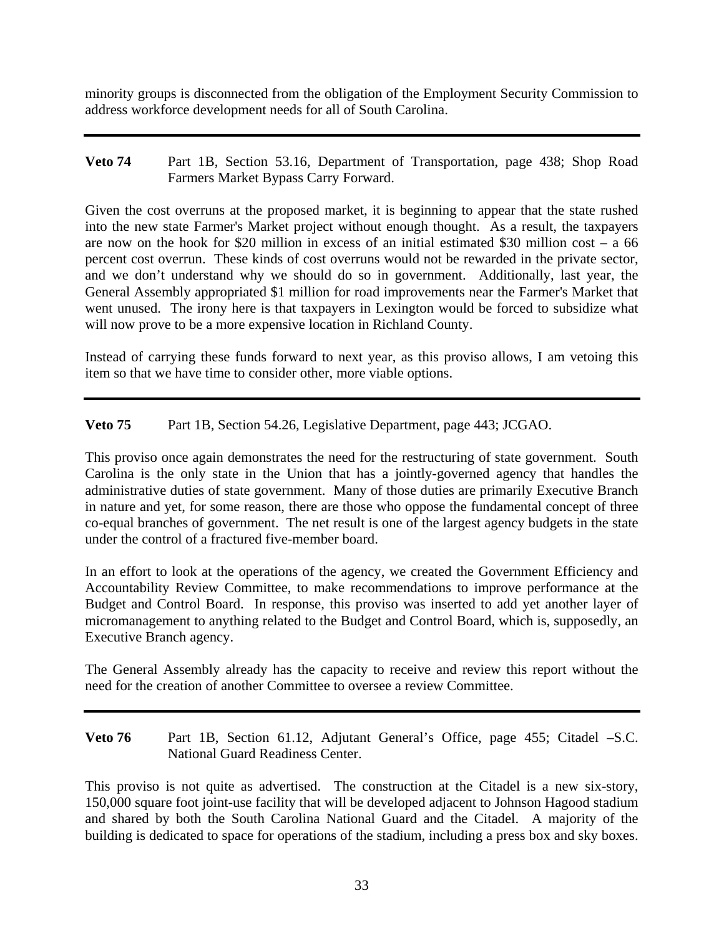minority groups is disconnected from the obligation of the Employment Security Commission to address workforce development needs for all of South Carolina.

**Veto 74** Part 1B, Section 53.16, Department of Transportation, page 438; Shop Road Farmers Market Bypass Carry Forward.

Given the cost overruns at the proposed market, it is beginning to appear that the state rushed into the new state Farmer's Market project without enough thought. As a result, the taxpayers are now on the hook for \$20 million in excess of an initial estimated \$30 million cost – a 66 percent cost overrun. These kinds of cost overruns would not be rewarded in the private sector, and we don't understand why we should do so in government. Additionally, last year, the General Assembly appropriated \$1 million for road improvements near the Farmer's Market that went unused. The irony here is that taxpayers in Lexington would be forced to subsidize what will now prove to be a more expensive location in Richland County.

Instead of carrying these funds forward to next year, as this proviso allows, I am vetoing this item so that we have time to consider other, more viable options.

**Veto 75** Part 1B, Section 54.26, Legislative Department, page 443; JCGAO.

This proviso once again demonstrates the need for the restructuring of state government. South Carolina is the only state in the Union that has a jointly-governed agency that handles the administrative duties of state government. Many of those duties are primarily Executive Branch in nature and yet, for some reason, there are those who oppose the fundamental concept of three co-equal branches of government. The net result is one of the largest agency budgets in the state under the control of a fractured five-member board.

In an effort to look at the operations of the agency, we created the Government Efficiency and Accountability Review Committee, to make recommendations to improve performance at the Budget and Control Board. In response, this proviso was inserted to add yet another layer of micromanagement to anything related to the Budget and Control Board, which is, supposedly, an Executive Branch agency.

The General Assembly already has the capacity to receive and review this report without the need for the creation of another Committee to oversee a review Committee.

**Veto 76** Part 1B, Section 61.12, Adjutant General's Office, page 455; Citadel –S.C. National Guard Readiness Center.

This proviso is not quite as advertised. The construction at the Citadel is a new six-story, 150,000 square foot joint-use facility that will be developed adjacent to Johnson Hagood stadium and shared by both the South Carolina National Guard and the Citadel. A majority of the building is dedicated to space for operations of the stadium, including a press box and sky boxes.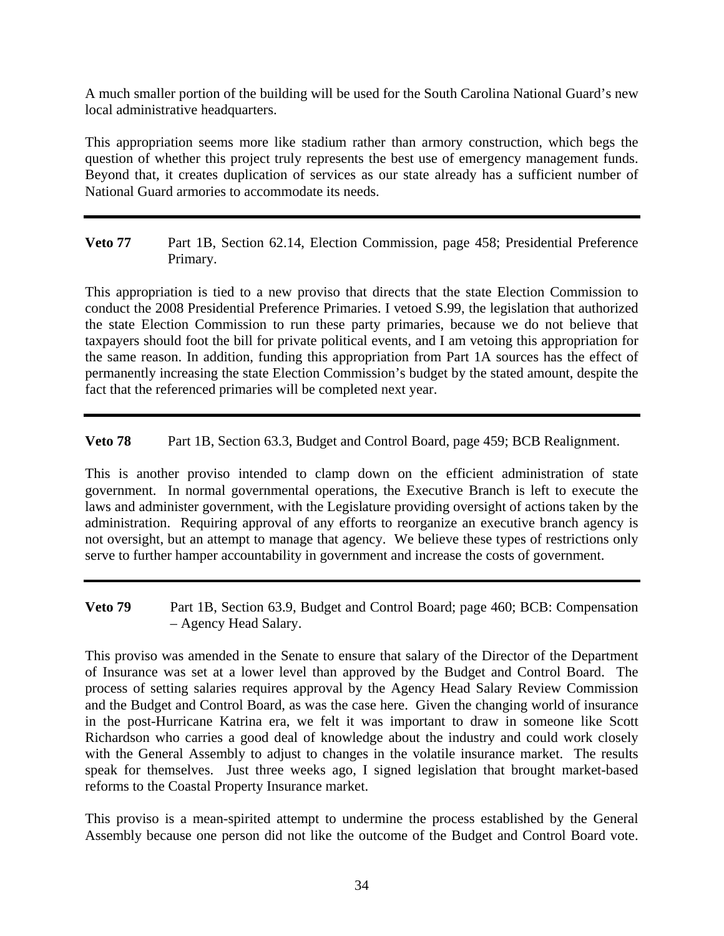A much smaller portion of the building will be used for the South Carolina National Guard's new local administrative headquarters.

This appropriation seems more like stadium rather than armory construction, which begs the question of whether this project truly represents the best use of emergency management funds. Beyond that, it creates duplication of services as our state already has a sufficient number of National Guard armories to accommodate its needs.

**Veto 77** Part 1B, Section 62.14, Election Commission, page 458; Presidential Preference Primary.

This appropriation is tied to a new proviso that directs that the state Election Commission to conduct the 2008 Presidential Preference Primaries. I vetoed S.99, the legislation that authorized the state Election Commission to run these party primaries, because we do not believe that taxpayers should foot the bill for private political events, and I am vetoing this appropriation for the same reason. In addition, funding this appropriation from Part 1A sources has the effect of permanently increasing the state Election Commission's budget by the stated amount, despite the fact that the referenced primaries will be completed next year.

**Veto 78** Part 1B, Section 63.3, Budget and Control Board, page 459; BCB Realignment.

This is another proviso intended to clamp down on the efficient administration of state government. In normal governmental operations, the Executive Branch is left to execute the laws and administer government, with the Legislature providing oversight of actions taken by the administration. Requiring approval of any efforts to reorganize an executive branch agency is not oversight, but an attempt to manage that agency. We believe these types of restrictions only serve to further hamper accountability in government and increase the costs of government.

**Veto 79** Part 1B, Section 63.9, Budget and Control Board; page 460; BCB: Compensation – Agency Head Salary.

This proviso was amended in the Senate to ensure that salary of the Director of the Department of Insurance was set at a lower level than approved by the Budget and Control Board. The process of setting salaries requires approval by the Agency Head Salary Review Commission and the Budget and Control Board, as was the case here. Given the changing world of insurance in the post-Hurricane Katrina era, we felt it was important to draw in someone like Scott Richardson who carries a good deal of knowledge about the industry and could work closely with the General Assembly to adjust to changes in the volatile insurance market. The results speak for themselves. Just three weeks ago, I signed legislation that brought market-based reforms to the Coastal Property Insurance market.

This proviso is a mean-spirited attempt to undermine the process established by the General Assembly because one person did not like the outcome of the Budget and Control Board vote.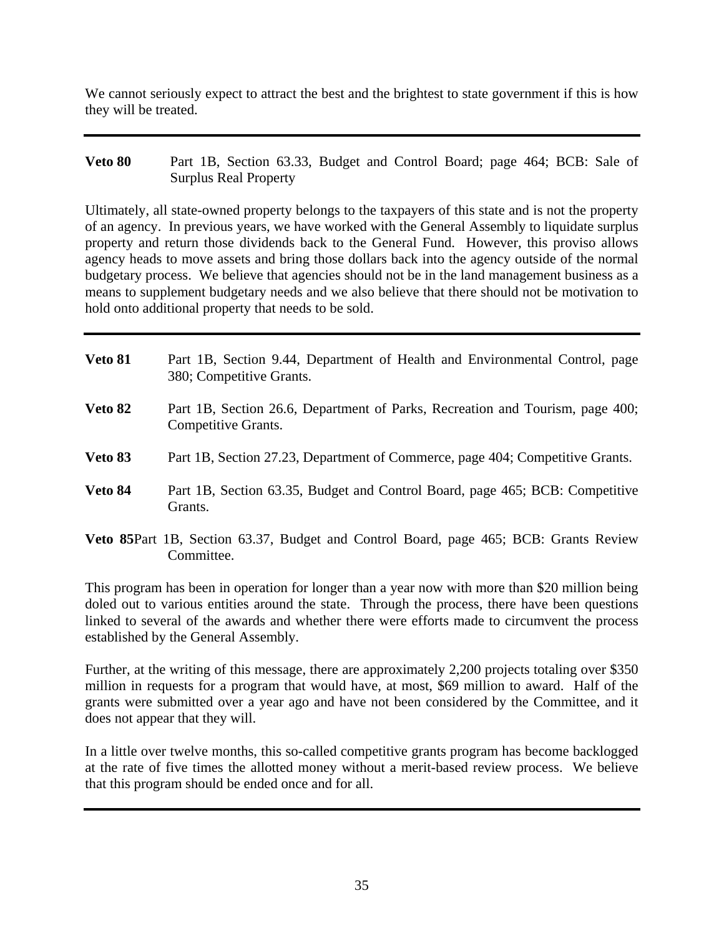We cannot seriously expect to attract the best and the brightest to state government if this is how they will be treated.

**Veto 80** Part 1B, Section 63.33, Budget and Control Board; page 464; BCB: Sale of Surplus Real Property

Ultimately, all state-owned property belongs to the taxpayers of this state and is not the property of an agency. In previous years, we have worked with the General Assembly to liquidate surplus property and return those dividends back to the General Fund. However, this proviso allows agency heads to move assets and bring those dollars back into the agency outside of the normal budgetary process. We believe that agencies should not be in the land management business as a means to supplement budgetary needs and we also believe that there should not be motivation to hold onto additional property that needs to be sold.

| <b>Veto 81</b> | Part 1B, Section 9.44, Department of Health and Environmental Control, page<br>380; Competitive Grants. |
|----------------|---------------------------------------------------------------------------------------------------------|
| Veto 82        | Part 1B, Section 26.6, Department of Parks, Recreation and Tourism, page 400;<br>Competitive Grants.    |
| Veto 83        | Part 1B, Section 27.23, Department of Commerce, page 404; Competitive Grants.                           |
| Veto 84        | Part 1B, Section 63.35, Budget and Control Board, page 465; BCB: Competitive<br>Grants.                 |
|                | Veto 85Part 1B, Section 63.37, Budget and Control Board, page 465; BCB: Grants Review<br>Committee.     |

This program has been in operation for longer than a year now with more than \$20 million being doled out to various entities around the state. Through the process, there have been questions linked to several of the awards and whether there were efforts made to circumvent the process established by the General Assembly.

Further, at the writing of this message, there are approximately 2,200 projects totaling over \$350 million in requests for a program that would have, at most, \$69 million to award. Half of the grants were submitted over a year ago and have not been considered by the Committee, and it does not appear that they will.

In a little over twelve months, this so-called competitive grants program has become backlogged at the rate of five times the allotted money without a merit-based review process. We believe that this program should be ended once and for all.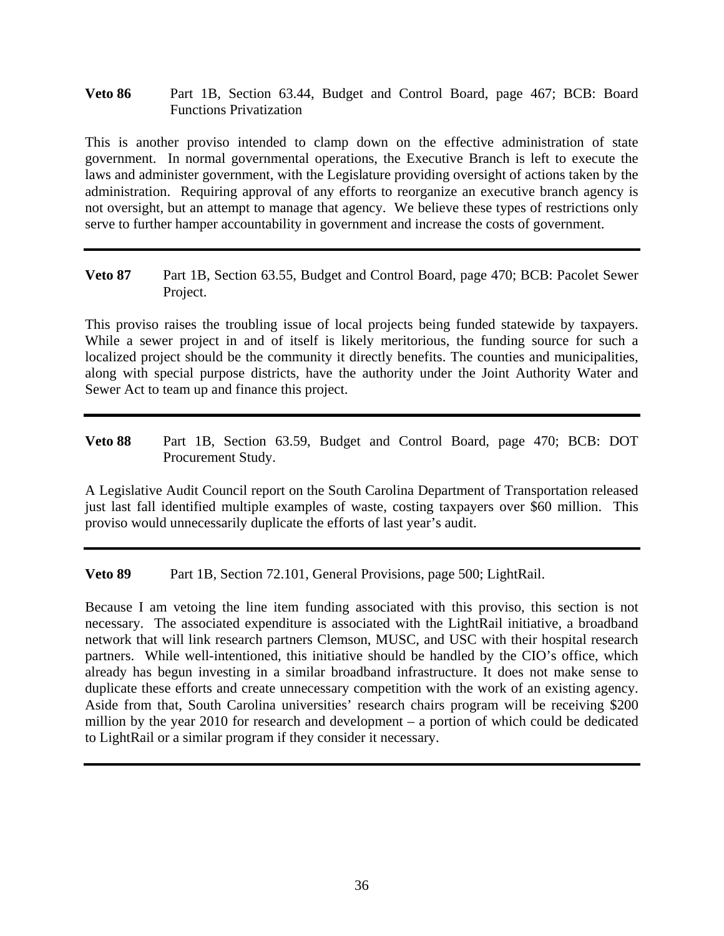**Veto 86** Part 1B, Section 63.44, Budget and Control Board, page 467; BCB: Board Functions Privatization

This is another proviso intended to clamp down on the effective administration of state government. In normal governmental operations, the Executive Branch is left to execute the laws and administer government, with the Legislature providing oversight of actions taken by the administration. Requiring approval of any efforts to reorganize an executive branch agency is not oversight, but an attempt to manage that agency. We believe these types of restrictions only serve to further hamper accountability in government and increase the costs of government.

**Veto 87** Part 1B, Section 63.55, Budget and Control Board, page 470; BCB: Pacolet Sewer Project.

This proviso raises the troubling issue of local projects being funded statewide by taxpayers. While a sewer project in and of itself is likely meritorious, the funding source for such a localized project should be the community it directly benefits. The counties and municipalities, along with special purpose districts, have the authority under the Joint Authority Water and Sewer Act to team up and finance this project.

**Veto 88** Part 1B, Section 63.59, Budget and Control Board, page 470; BCB: DOT Procurement Study.

A Legislative Audit Council report on the South Carolina Department of Transportation released just last fall identified multiple examples of waste, costing taxpayers over \$60 million. This proviso would unnecessarily duplicate the efforts of last year's audit.

**Veto 89** Part 1B, Section 72.101, General Provisions, page 500; LightRail.

Because I am vetoing the line item funding associated with this proviso, this section is not necessary. The associated expenditure is associated with the LightRail initiative, a broadband network that will link research partners Clemson, MUSC, and USC with their hospital research partners. While well-intentioned, this initiative should be handled by the CIO's office, which already has begun investing in a similar broadband infrastructure. It does not make sense to duplicate these efforts and create unnecessary competition with the work of an existing agency. Aside from that, South Carolina universities' research chairs program will be receiving \$200 million by the year 2010 for research and development – a portion of which could be dedicated to LightRail or a similar program if they consider it necessary.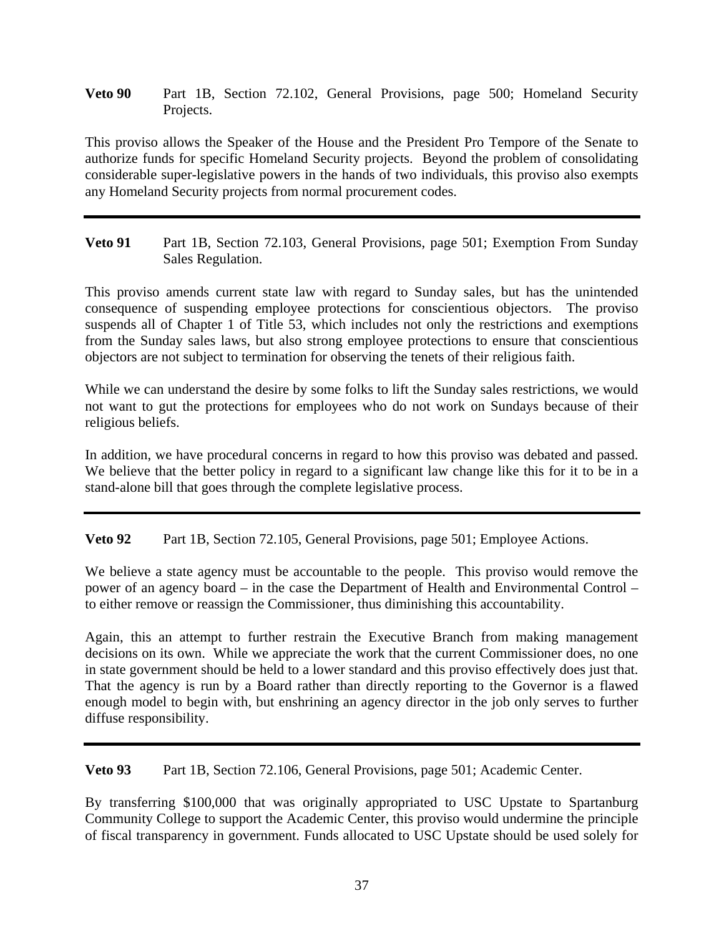**Veto 90** Part 1B, Section 72.102, General Provisions, page 500; Homeland Security Projects.

This proviso allows the Speaker of the House and the President Pro Tempore of the Senate to authorize funds for specific Homeland Security projects. Beyond the problem of consolidating considerable super-legislative powers in the hands of two individuals, this proviso also exempts any Homeland Security projects from normal procurement codes.

**Veto 91** Part 1B, Section 72.103, General Provisions, page 501; Exemption From Sunday Sales Regulation.

This proviso amends current state law with regard to Sunday sales, but has the unintended consequence of suspending employee protections for conscientious objectors. The proviso suspends all of Chapter 1 of Title 53, which includes not only the restrictions and exemptions from the Sunday sales laws, but also strong employee protections to ensure that conscientious objectors are not subject to termination for observing the tenets of their religious faith.

While we can understand the desire by some folks to lift the Sunday sales restrictions, we would not want to gut the protections for employees who do not work on Sundays because of their religious beliefs.

In addition, we have procedural concerns in regard to how this proviso was debated and passed. We believe that the better policy in regard to a significant law change like this for it to be in a stand-alone bill that goes through the complete legislative process.

**Veto 92** Part 1B, Section 72.105, General Provisions, page 501; Employee Actions.

We believe a state agency must be accountable to the people. This proviso would remove the power of an agency board – in the case the Department of Health and Environmental Control – to either remove or reassign the Commissioner, thus diminishing this accountability.

Again, this an attempt to further restrain the Executive Branch from making management decisions on its own. While we appreciate the work that the current Commissioner does, no one in state government should be held to a lower standard and this proviso effectively does just that. That the agency is run by a Board rather than directly reporting to the Governor is a flawed enough model to begin with, but enshrining an agency director in the job only serves to further diffuse responsibility.

**Veto 93** Part 1B, Section 72.106, General Provisions, page 501; Academic Center.

By transferring \$100,000 that was originally appropriated to USC Upstate to Spartanburg Community College to support the Academic Center, this proviso would undermine the principle of fiscal transparency in government. Funds allocated to USC Upstate should be used solely for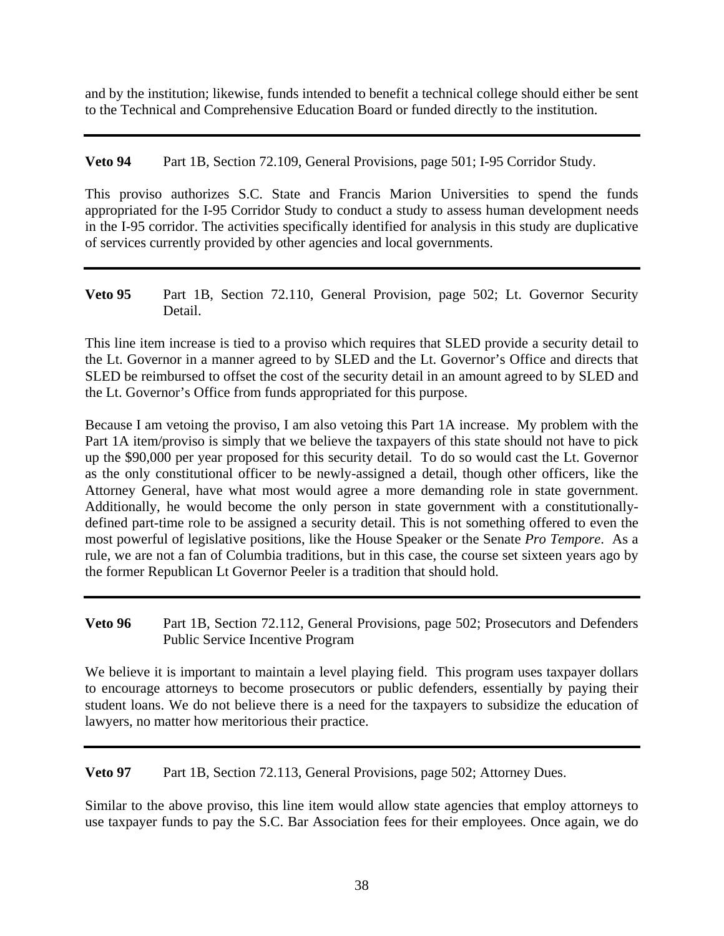and by the institution; likewise, funds intended to benefit a technical college should either be sent to the Technical and Comprehensive Education Board or funded directly to the institution.

**Veto 94** Part 1B, Section 72.109, General Provisions, page 501; I-95 Corridor Study.

This proviso authorizes S.C. State and Francis Marion Universities to spend the funds appropriated for the I-95 Corridor Study to conduct a study to assess human development needs in the I-95 corridor. The activities specifically identified for analysis in this study are duplicative of services currently provided by other agencies and local governments.

**Veto 95** Part 1B, Section 72.110, General Provision, page 502; Lt. Governor Security Detail.

This line item increase is tied to a proviso which requires that SLED provide a security detail to the Lt. Governor in a manner agreed to by SLED and the Lt. Governor's Office and directs that SLED be reimbursed to offset the cost of the security detail in an amount agreed to by SLED and the Lt. Governor's Office from funds appropriated for this purpose.

Because I am vetoing the proviso, I am also vetoing this Part 1A increase. My problem with the Part 1A item/proviso is simply that we believe the taxpayers of this state should not have to pick up the \$90,000 per year proposed for this security detail. To do so would cast the Lt. Governor as the only constitutional officer to be newly-assigned a detail, though other officers, like the Attorney General, have what most would agree a more demanding role in state government. Additionally, he would become the only person in state government with a constitutionallydefined part-time role to be assigned a security detail. This is not something offered to even the most powerful of legislative positions, like the House Speaker or the Senate *Pro Tempore*. As a rule, we are not a fan of Columbia traditions, but in this case, the course set sixteen years ago by the former Republican Lt Governor Peeler is a tradition that should hold.

**Veto 96** Part 1B, Section 72.112, General Provisions, page 502; Prosecutors and Defenders Public Service Incentive Program

We believe it is important to maintain a level playing field. This program uses taxpayer dollars to encourage attorneys to become prosecutors or public defenders, essentially by paying their student loans. We do not believe there is a need for the taxpayers to subsidize the education of lawyers, no matter how meritorious their practice.

**Veto 97** Part 1B, Section 72.113, General Provisions, page 502; Attorney Dues.

Similar to the above proviso, this line item would allow state agencies that employ attorneys to use taxpayer funds to pay the S.C. Bar Association fees for their employees. Once again, we do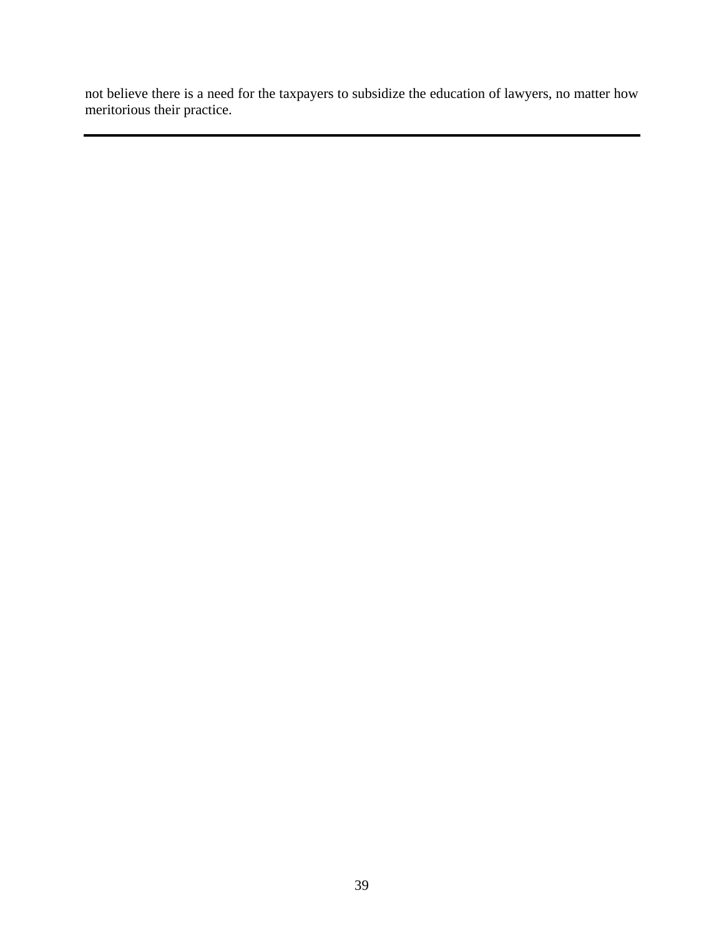not believe there is a need for the taxpayers to subsidize the education of lawyers, no matter how meritorious their practice.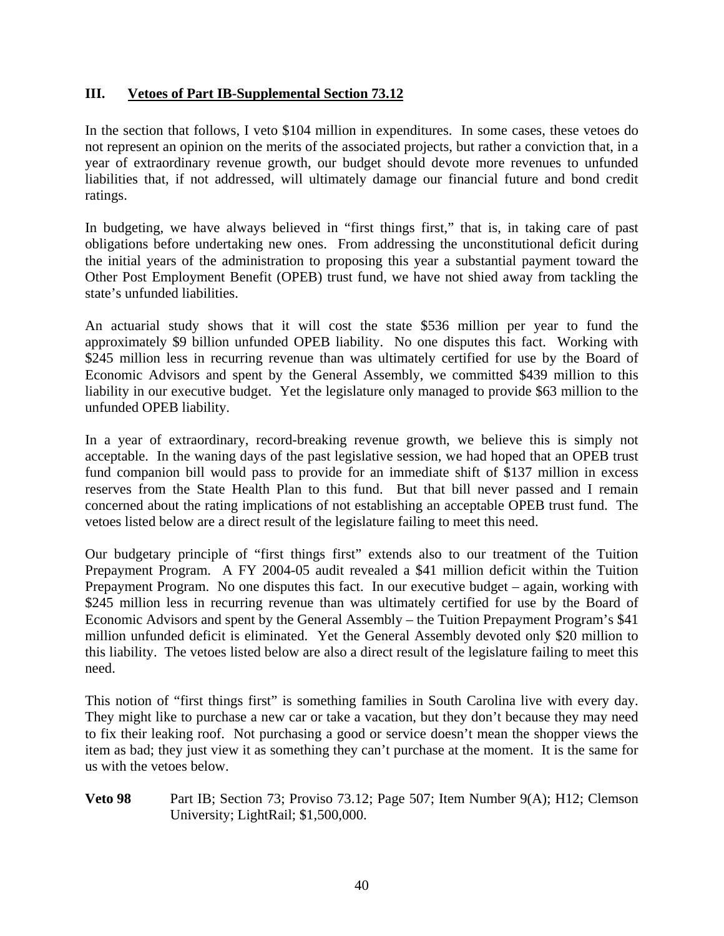#### **III. Vetoes of Part IB-Supplemental Section 73.12**

In the section that follows, I veto \$104 million in expenditures. In some cases, these vetoes do not represent an opinion on the merits of the associated projects, but rather a conviction that, in a year of extraordinary revenue growth, our budget should devote more revenues to unfunded liabilities that, if not addressed, will ultimately damage our financial future and bond credit ratings.

In budgeting, we have always believed in "first things first," that is, in taking care of past obligations before undertaking new ones. From addressing the unconstitutional deficit during the initial years of the administration to proposing this year a substantial payment toward the Other Post Employment Benefit (OPEB) trust fund, we have not shied away from tackling the state's unfunded liabilities.

An actuarial study shows that it will cost the state \$536 million per year to fund the approximately \$9 billion unfunded OPEB liability. No one disputes this fact. Working with \$245 million less in recurring revenue than was ultimately certified for use by the Board of Economic Advisors and spent by the General Assembly, we committed \$439 million to this liability in our executive budget. Yet the legislature only managed to provide \$63 million to the unfunded OPEB liability.

In a year of extraordinary, record-breaking revenue growth, we believe this is simply not acceptable. In the waning days of the past legislative session, we had hoped that an OPEB trust fund companion bill would pass to provide for an immediate shift of \$137 million in excess reserves from the State Health Plan to this fund. But that bill never passed and I remain concerned about the rating implications of not establishing an acceptable OPEB trust fund. The vetoes listed below are a direct result of the legislature failing to meet this need.

Our budgetary principle of "first things first" extends also to our treatment of the Tuition Prepayment Program. A FY 2004-05 audit revealed a \$41 million deficit within the Tuition Prepayment Program. No one disputes this fact. In our executive budget – again, working with \$245 million less in recurring revenue than was ultimately certified for use by the Board of Economic Advisors and spent by the General Assembly – the Tuition Prepayment Program's \$41 million unfunded deficit is eliminated. Yet the General Assembly devoted only \$20 million to this liability. The vetoes listed below are also a direct result of the legislature failing to meet this need.

This notion of "first things first" is something families in South Carolina live with every day. They might like to purchase a new car or take a vacation, but they don't because they may need to fix their leaking roof. Not purchasing a good or service doesn't mean the shopper views the item as bad; they just view it as something they can't purchase at the moment. It is the same for us with the vetoes below.

**Veto 98** Part IB; Section 73; Proviso 73.12; Page 507; Item Number 9(A); H12; Clemson University; LightRail; \$1,500,000.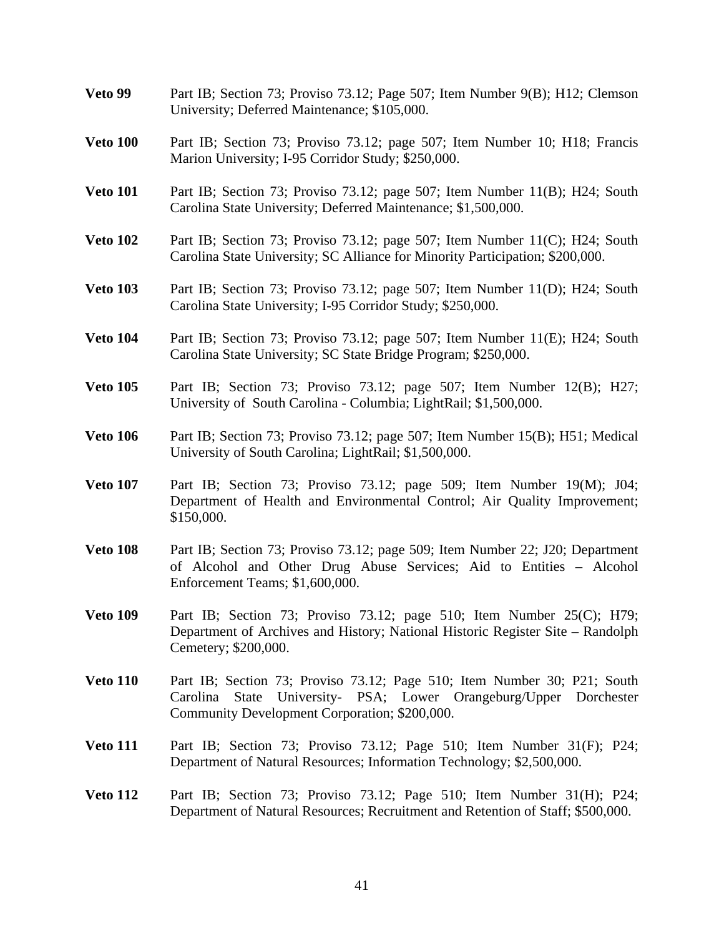**Veto 99** Part IB; Section 73; Proviso 73.12; Page 507; Item Number 9(B); H12; Clemson University; Deferred Maintenance; \$105,000. **Veto 100** Part IB; Section 73; Proviso 73.12; page 507; Item Number 10; H18; Francis Marion University; I-95 Corridor Study; \$250,000. **Veto 101** Part IB; Section 73; Proviso 73.12; page 507; Item Number 11(B); H24; South Carolina State University; Deferred Maintenance; \$1,500,000. **Veto 102** Part IB; Section 73; Proviso 73.12; page 507; Item Number 11(C); H24; South Carolina State University; SC Alliance for Minority Participation; \$200,000. **Veto 103** Part IB; Section 73; Proviso 73.12; page 507; Item Number 11(D); H24; South Carolina State University; I-95 Corridor Study; \$250,000. **Veto 104** Part IB; Section 73; Proviso 73.12; page 507; Item Number 11(E); H24; South Carolina State University; SC State Bridge Program; \$250,000. **Veto 105** Part IB; Section 73; Proviso 73.12; page 507; Item Number 12(B); H27; University of South Carolina - Columbia; LightRail; \$1,500,000. **Veto 106** Part IB; Section 73; Proviso 73.12; page 507; Item Number 15(B); H51; Medical University of South Carolina; LightRail; \$1,500,000. **Veto 107** Part IB; Section 73; Proviso 73.12; page 509; Item Number 19(M); J04; Department of Health and Environmental Control; Air Quality Improvement; \$150,000. **Veto 108** Part IB; Section 73; Proviso 73.12; page 509; Item Number 22; J20; Department of Alcohol and Other Drug Abuse Services; Aid to Entities – Alcohol Enforcement Teams; \$1,600,000. **Veto 109** Part IB; Section 73; Proviso 73.12; page 510; Item Number 25(C); H79; Department of Archives and History; National Historic Register Site – Randolph Cemetery; \$200,000. **Veto 110** Part IB; Section 73; Proviso 73.12; Page 510; Item Number 30; P21; South Carolina State University- PSA; Lower Orangeburg/Upper Dorchester Community Development Corporation; \$200,000. **Veto 111** Part IB; Section 73; Proviso 73.12; Page 510; Item Number 31(F); P24; Department of Natural Resources; Information Technology; \$2,500,000. **Veto 112** Part IB; Section 73; Proviso 73.12; Page 510; Item Number 31(H); P24; Department of Natural Resources; Recruitment and Retention of Staff; \$500,000.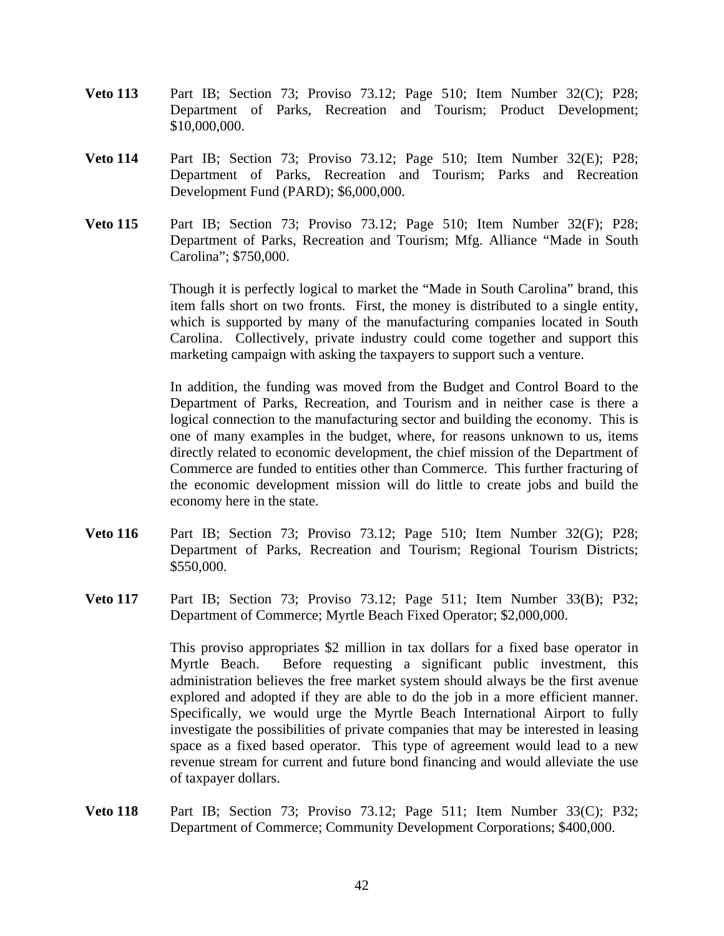- **Veto 113** Part IB; Section 73; Proviso 73.12; Page 510; Item Number 32(C); P28; Department of Parks, Recreation and Tourism; Product Development; \$10,000,000.
- **Veto 114** Part IB; Section 73; Proviso 73.12; Page 510; Item Number 32(E); P28; Department of Parks, Recreation and Tourism; Parks and Recreation Development Fund (PARD); \$6,000,000.
- **Veto 115** Part IB; Section 73; Proviso 73.12; Page 510; Item Number 32(F); P28; Department of Parks, Recreation and Tourism; Mfg. Alliance "Made in South Carolina"; \$750,000.

Though it is perfectly logical to market the "Made in South Carolina" brand, this item falls short on two fronts. First, the money is distributed to a single entity, which is supported by many of the manufacturing companies located in South Carolina. Collectively, private industry could come together and support this marketing campaign with asking the taxpayers to support such a venture.

 In addition, the funding was moved from the Budget and Control Board to the Department of Parks, Recreation, and Tourism and in neither case is there a logical connection to the manufacturing sector and building the economy. This is one of many examples in the budget, where, for reasons unknown to us, items directly related to economic development, the chief mission of the Department of Commerce are funded to entities other than Commerce. This further fracturing of the economic development mission will do little to create jobs and build the economy here in the state.

- **Veto 116** Part IB; Section 73; Proviso 73.12; Page 510; Item Number 32(G); P28; Department of Parks, Recreation and Tourism; Regional Tourism Districts; \$550,000.
- **Veto 117** Part IB; Section 73; Proviso 73.12; Page 511; Item Number 33(B); P32; Department of Commerce; Myrtle Beach Fixed Operator; \$2,000,000.

 This proviso appropriates \$2 million in tax dollars for a fixed base operator in Myrtle Beach. Before requesting a significant public investment, this administration believes the free market system should always be the first avenue explored and adopted if they are able to do the job in a more efficient manner. Specifically, we would urge the Myrtle Beach International Airport to fully investigate the possibilities of private companies that may be interested in leasing space as a fixed based operator. This type of agreement would lead to a new revenue stream for current and future bond financing and would alleviate the use of taxpayer dollars.

**Veto 118** Part IB; Section 73; Proviso 73.12; Page 511; Item Number 33(C); P32; Department of Commerce; Community Development Corporations; \$400,000.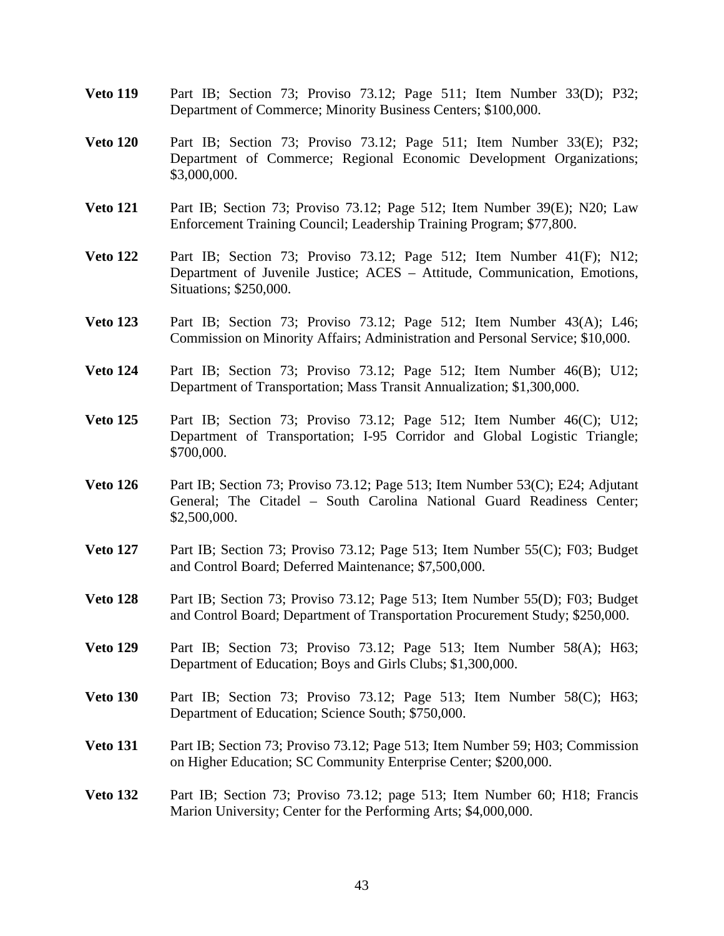- **Veto 119** Part IB; Section 73; Proviso 73.12; Page 511; Item Number 33(D); P32; Department of Commerce; Minority Business Centers; \$100,000.
- **Veto 120** Part IB; Section 73; Proviso 73.12; Page 511; Item Number 33(E); P32; Department of Commerce; Regional Economic Development Organizations; \$3,000,000.
- **Veto 121** Part IB; Section 73; Proviso 73.12; Page 512; Item Number 39(E); N20; Law Enforcement Training Council; Leadership Training Program; \$77,800.
- **Veto 122** Part IB; Section 73; Proviso 73.12; Page 512; Item Number 41(F); N12; Department of Juvenile Justice; ACES – Attitude, Communication, Emotions, Situations; \$250,000.
- **Veto 123** Part IB; Section 73; Proviso 73.12; Page 512; Item Number 43(A); L46; Commission on Minority Affairs; Administration and Personal Service; \$10,000.
- **Veto 124** Part IB; Section 73; Proviso 73.12; Page 512; Item Number 46(B); U12; Department of Transportation; Mass Transit Annualization; \$1,300,000.
- **Veto 125** Part IB; Section 73; Proviso 73.12; Page 512; Item Number 46(C); U12; Department of Transportation; I-95 Corridor and Global Logistic Triangle; \$700,000.
- **Veto 126** Part IB; Section 73; Proviso 73.12; Page 513; Item Number 53(C); E24; Adjutant General; The Citadel – South Carolina National Guard Readiness Center; \$2,500,000.
- **Veto 127** Part IB; Section 73; Proviso 73.12; Page 513; Item Number 55(C); F03; Budget and Control Board; Deferred Maintenance; \$7,500,000.
- **Veto 128** Part IB; Section 73; Proviso 73.12; Page 513; Item Number 55(D); F03; Budget and Control Board; Department of Transportation Procurement Study; \$250,000.
- **Veto 129** Part IB; Section 73; Proviso 73.12; Page 513; Item Number 58(A); H63; Department of Education; Boys and Girls Clubs; \$1,300,000.
- **Veto 130** Part IB; Section 73; Proviso 73.12; Page 513; Item Number 58(C); H63; Department of Education; Science South; \$750,000.
- **Veto 131** Part IB; Section 73; Proviso 73.12; Page 513; Item Number 59; H03; Commission on Higher Education; SC Community Enterprise Center; \$200,000.
- **Veto 132** Part IB; Section 73; Proviso 73.12; page 513; Item Number 60; H18; Francis Marion University; Center for the Performing Arts; \$4,000,000.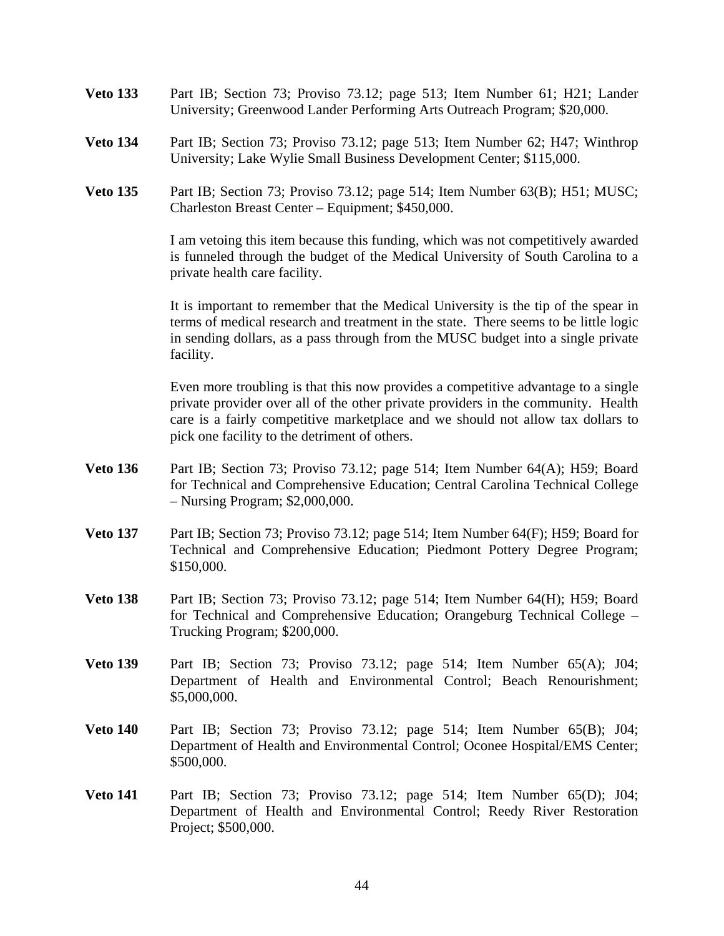- **Veto 133** Part IB; Section 73; Proviso 73.12; page 513; Item Number 61; H21; Lander University; Greenwood Lander Performing Arts Outreach Program; \$20,000.
- **Veto 134** Part IB; Section 73; Proviso 73.12; page 513; Item Number 62; H47; Winthrop University; Lake Wylie Small Business Development Center; \$115,000.
- **Veto 135** Part IB; Section 73; Proviso 73.12; page 514; Item Number 63(B); H51; MUSC; Charleston Breast Center – Equipment; \$450,000.

 I am vetoing this item because this funding, which was not competitively awarded is funneled through the budget of the Medical University of South Carolina to a private health care facility.

 It is important to remember that the Medical University is the tip of the spear in terms of medical research and treatment in the state. There seems to be little logic in sending dollars, as a pass through from the MUSC budget into a single private facility.

 Even more troubling is that this now provides a competitive advantage to a single private provider over all of the other private providers in the community. Health care is a fairly competitive marketplace and we should not allow tax dollars to pick one facility to the detriment of others.

- **Veto 136** Part IB; Section 73; Proviso 73.12; page 514; Item Number 64(A); H59; Board for Technical and Comprehensive Education; Central Carolina Technical College – Nursing Program; \$2,000,000.
- **Veto 137** Part IB; Section 73; Proviso 73.12; page 514; Item Number 64(F); H59; Board for Technical and Comprehensive Education; Piedmont Pottery Degree Program; \$150,000.
- **Veto 138** Part IB; Section 73; Proviso 73.12; page 514; Item Number 64(H); H59; Board for Technical and Comprehensive Education; Orangeburg Technical College – Trucking Program; \$200,000.
- **Veto 139** Part IB; Section 73; Proviso 73.12; page 514; Item Number 65(A); J04; Department of Health and Environmental Control; Beach Renourishment; \$5,000,000.
- **Veto 140** Part IB; Section 73; Proviso 73.12; page 514; Item Number 65(B); J04; Department of Health and Environmental Control; Oconee Hospital/EMS Center; \$500,000.
- **Veto 141** Part IB; Section 73; Proviso 73.12; page 514; Item Number 65(D); J04; Department of Health and Environmental Control; Reedy River Restoration Project; \$500,000.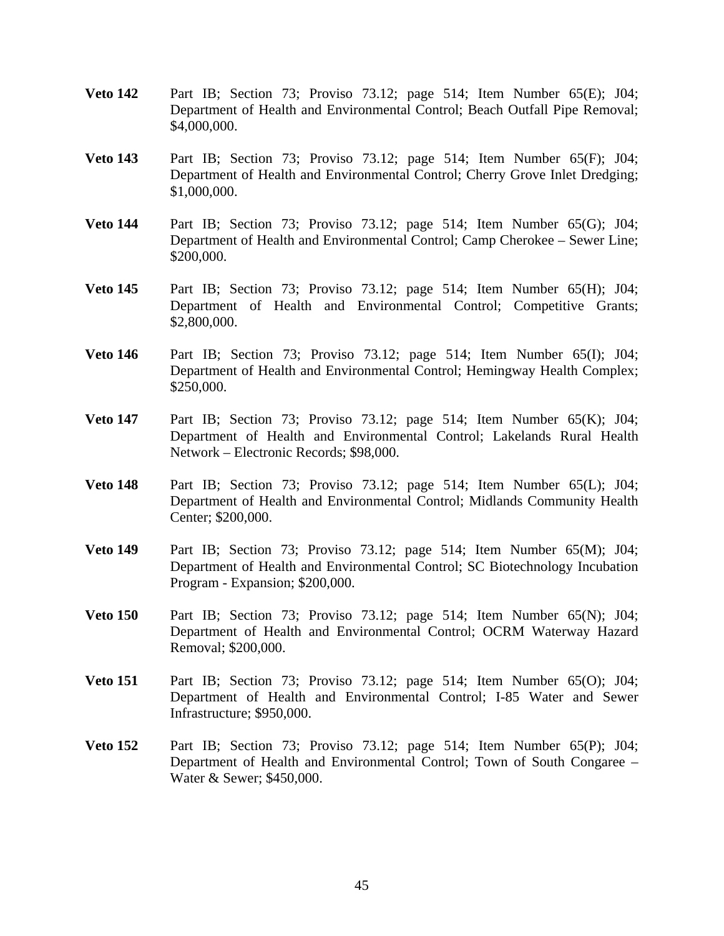- **Veto 142** Part IB; Section 73; Proviso 73.12; page 514; Item Number 65(E); J04; Department of Health and Environmental Control; Beach Outfall Pipe Removal; \$4,000,000.
- **Veto 143** Part IB; Section 73; Proviso 73.12; page 514; Item Number 65(F); J04; Department of Health and Environmental Control; Cherry Grove Inlet Dredging; \$1,000,000.
- **Veto 144** Part IB; Section 73; Proviso 73.12; page 514; Item Number 65(G); J04; Department of Health and Environmental Control; Camp Cherokee – Sewer Line; \$200,000.
- **Veto 145** Part IB; Section 73; Proviso 73.12; page 514; Item Number 65(H); J04; Department of Health and Environmental Control; Competitive Grants; \$2,800,000.
- **Veto 146** Part IB; Section 73; Proviso 73.12; page 514; Item Number 65(I); J04; Department of Health and Environmental Control; Hemingway Health Complex; \$250,000.
- **Veto 147** Part IB; Section 73; Proviso 73.12; page 514; Item Number 65(K); J04; Department of Health and Environmental Control; Lakelands Rural Health Network – Electronic Records; \$98,000.
- **Veto 148** Part IB; Section 73; Proviso 73.12; page 514; Item Number 65(L); J04; Department of Health and Environmental Control; Midlands Community Health Center; \$200,000.
- **Veto 149** Part IB; Section 73; Proviso 73.12; page 514; Item Number 65(M); J04; Department of Health and Environmental Control; SC Biotechnology Incubation Program - Expansion; \$200,000.
- **Veto 150** Part IB; Section 73; Proviso 73.12; page 514; Item Number 65(N); J04; Department of Health and Environmental Control; OCRM Waterway Hazard Removal; \$200,000.
- **Veto 151** Part IB; Section 73; Proviso 73.12; page 514; Item Number 65(O); J04; Department of Health and Environmental Control; I-85 Water and Sewer Infrastructure; \$950,000.
- **Veto 152** Part IB; Section 73; Proviso 73.12; page 514; Item Number 65(P); J04; Department of Health and Environmental Control; Town of South Congaree – Water & Sewer; \$450,000.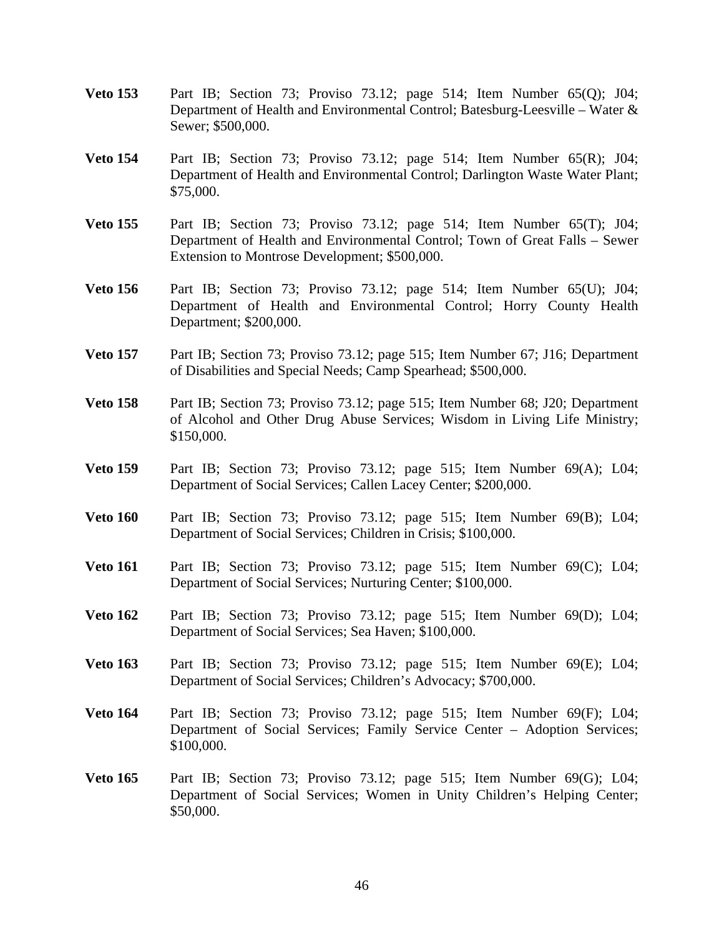- **Veto 153** Part IB; Section 73; Proviso 73.12; page 514; Item Number 65(Q); J04; Department of Health and Environmental Control; Batesburg-Leesville – Water & Sewer; \$500,000.
- **Veto 154** Part IB; Section 73; Proviso 73.12; page 514; Item Number 65(R); J04; Department of Health and Environmental Control; Darlington Waste Water Plant; \$75,000.
- **Veto 155** Part IB; Section 73; Proviso 73.12; page 514; Item Number 65(T); J04; Department of Health and Environmental Control; Town of Great Falls – Sewer Extension to Montrose Development; \$500,000.
- **Veto 156** Part IB; Section 73; Proviso 73.12; page 514; Item Number 65(U); J04; Department of Health and Environmental Control; Horry County Health Department; \$200,000.
- **Veto 157** Part IB; Section 73; Proviso 73.12; page 515; Item Number 67; J16; Department of Disabilities and Special Needs; Camp Spearhead; \$500,000.
- **Veto 158** Part IB; Section 73; Proviso 73.12; page 515; Item Number 68; J20; Department of Alcohol and Other Drug Abuse Services; Wisdom in Living Life Ministry; \$150,000.
- **Veto 159** Part IB; Section 73; Proviso 73.12; page 515; Item Number 69(A); L04; Department of Social Services; Callen Lacey Center; \$200,000.
- **Veto 160** Part IB; Section 73; Proviso 73.12; page 515; Item Number 69(B); L04; Department of Social Services; Children in Crisis; \$100,000.
- **Veto 161** Part IB; Section 73; Proviso 73.12; page 515; Item Number 69(C); L04; Department of Social Services; Nurturing Center; \$100,000.
- **Veto 162** Part IB; Section 73; Proviso 73.12; page 515; Item Number 69(D); L04; Department of Social Services; Sea Haven; \$100,000.
- **Veto 163** Part IB; Section 73; Proviso 73.12; page 515; Item Number 69(E); L04; Department of Social Services; Children's Advocacy; \$700,000.
- **Veto 164** Part IB; Section 73; Proviso 73.12; page 515; Item Number 69(F); L04; Department of Social Services; Family Service Center – Adoption Services; \$100,000.
- **Veto 165** Part IB; Section 73; Proviso 73.12; page 515; Item Number 69(G); L04; Department of Social Services; Women in Unity Children's Helping Center; \$50,000.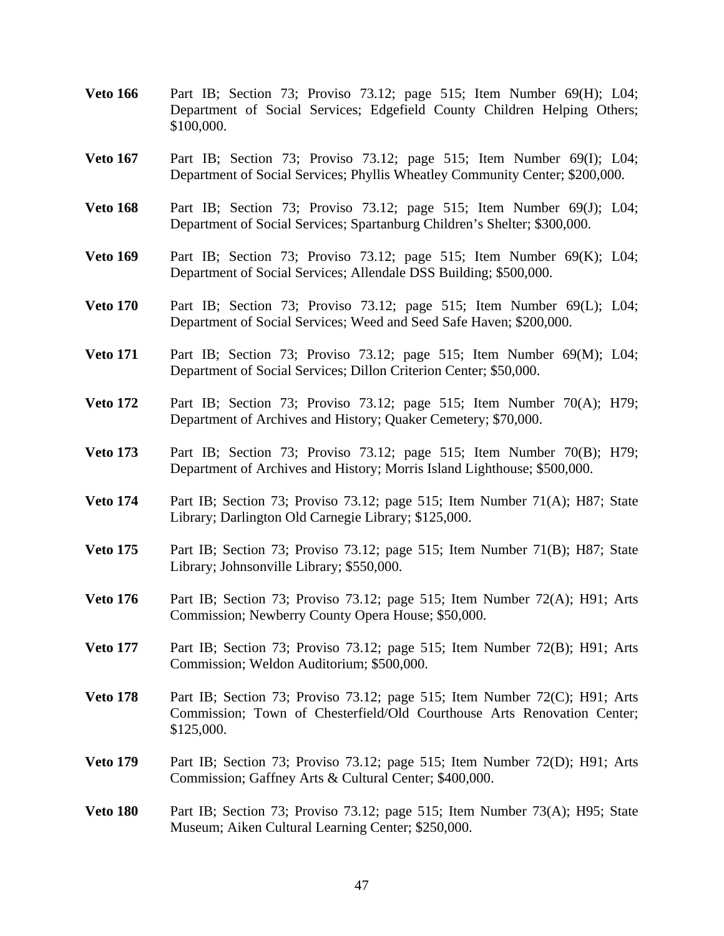- **Veto 166** Part IB; Section 73; Proviso 73.12; page 515; Item Number 69(H); L04; Department of Social Services; Edgefield County Children Helping Others; \$100,000.
- **Veto 167** Part IB; Section 73; Proviso 73.12; page 515; Item Number 69(I); L04; Department of Social Services; Phyllis Wheatley Community Center; \$200,000.
- **Veto 168** Part IB; Section 73; Proviso 73.12; page 515; Item Number 69(J); L04; Department of Social Services; Spartanburg Children's Shelter; \$300,000.
- **Veto 169** Part IB; Section 73; Proviso 73.12; page 515; Item Number 69(K); L04; Department of Social Services; Allendale DSS Building; \$500,000.
- **Veto 170** Part IB; Section 73; Proviso 73.12; page 515; Item Number 69(L); L04; Department of Social Services; Weed and Seed Safe Haven; \$200,000.
- **Veto 171** Part IB; Section 73; Proviso 73.12; page 515; Item Number 69(M); L04; Department of Social Services; Dillon Criterion Center; \$50,000.
- **Veto 172** Part IB; Section 73; Proviso 73.12; page 515; Item Number 70(A); H79; Department of Archives and History; Quaker Cemetery; \$70,000.
- **Veto 173** Part IB; Section 73; Proviso 73.12; page 515; Item Number 70(B); H79; Department of Archives and History; Morris Island Lighthouse; \$500,000.
- **Veto 174** Part IB; Section 73; Proviso 73.12; page 515; Item Number 71(A); H87; State Library; Darlington Old Carnegie Library; \$125,000.
- **Veto 175** Part IB; Section 73; Proviso 73.12; page 515; Item Number 71(B); H87; State Library; Johnsonville Library; \$550,000.
- **Veto 176** Part IB; Section 73; Proviso 73.12; page 515; Item Number 72(A); H91; Arts Commission; Newberry County Opera House; \$50,000.
- **Veto 177** Part IB; Section 73; Proviso 73.12; page 515; Item Number 72(B); H91; Arts Commission; Weldon Auditorium; \$500,000.
- **Veto 178** Part IB; Section 73; Proviso 73.12; page 515; Item Number 72(C); H91; Arts Commission; Town of Chesterfield/Old Courthouse Arts Renovation Center; \$125,000.
- **Veto 179** Part IB; Section 73; Proviso 73.12; page 515; Item Number 72(D); H91; Arts Commission; Gaffney Arts & Cultural Center; \$400,000.
- **Veto 180** Part IB; Section 73; Proviso 73.12; page 515; Item Number 73(A); H95; State Museum; Aiken Cultural Learning Center; \$250,000.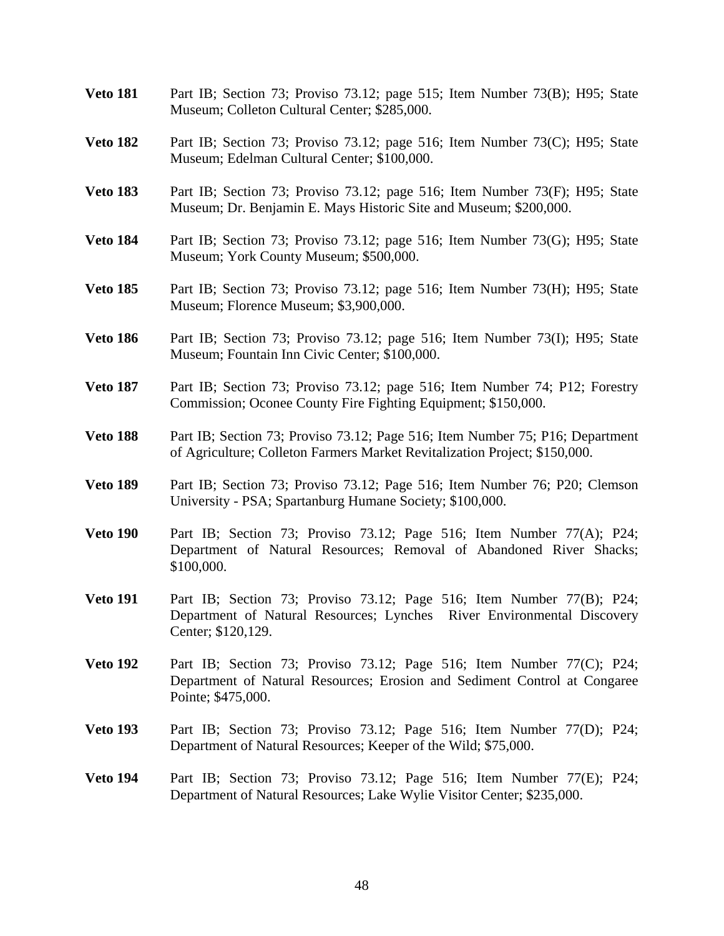- **Veto 181** Part IB; Section 73; Proviso 73.12; page 515; Item Number 73(B); H95; State Museum; Colleton Cultural Center; \$285,000.
- **Veto 182** Part IB; Section 73; Proviso 73.12; page 516; Item Number 73(C); H95; State Museum; Edelman Cultural Center; \$100,000.
- **Veto 183** Part IB; Section 73; Proviso 73.12; page 516; Item Number 73(F); H95; State Museum; Dr. Benjamin E. Mays Historic Site and Museum; \$200,000.
- **Veto 184** Part IB; Section 73; Proviso 73.12; page 516; Item Number 73(G); H95; State Museum; York County Museum; \$500,000.
- **Veto 185** Part IB; Section 73; Proviso 73.12; page 516; Item Number 73(H); H95; State Museum; Florence Museum; \$3,900,000.
- **Veto 186** Part IB; Section 73; Proviso 73.12; page 516; Item Number 73(I); H95; State Museum; Fountain Inn Civic Center; \$100,000.
- **Veto 187** Part IB; Section 73; Proviso 73.12; page 516; Item Number 74; P12; Forestry Commission; Oconee County Fire Fighting Equipment; \$150,000.
- **Veto 188** Part IB; Section 73; Proviso 73.12; Page 516; Item Number 75; P16; Department of Agriculture; Colleton Farmers Market Revitalization Project; \$150,000.
- **Veto 189** Part IB; Section 73; Proviso 73.12; Page 516; Item Number 76; P20; Clemson University - PSA; Spartanburg Humane Society; \$100,000.
- **Veto 190** Part IB; Section 73; Proviso 73.12; Page 516; Item Number 77(A); P24; Department of Natural Resources; Removal of Abandoned River Shacks; \$100,000.
- **Veto 191** Part IB; Section 73; Proviso 73.12; Page 516; Item Number 77(B); P24; Department of Natural Resources; Lynches River Environmental Discovery Center; \$120,129.
- **Veto 192** Part IB; Section 73; Proviso 73.12; Page 516; Item Number 77(C); P24; Department of Natural Resources; Erosion and Sediment Control at Congaree Pointe; \$475,000.
- **Veto 193** Part IB; Section 73; Proviso 73.12; Page 516; Item Number 77(D); P24; Department of Natural Resources; Keeper of the Wild; \$75,000.
- **Veto 194** Part IB; Section 73; Proviso 73.12; Page 516; Item Number 77(E); P24; Department of Natural Resources; Lake Wylie Visitor Center; \$235,000.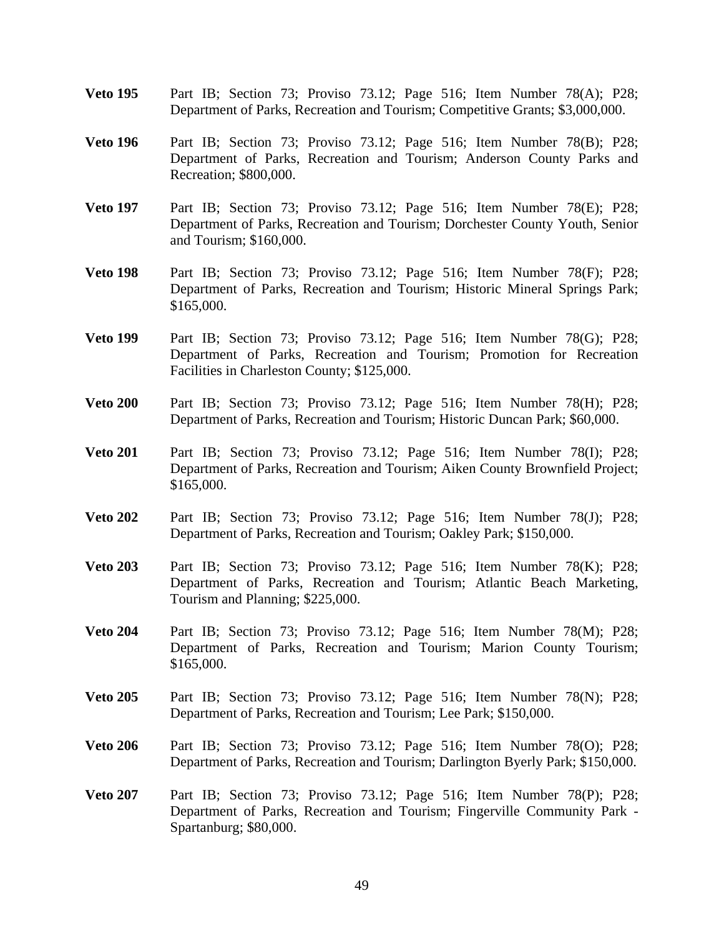- **Veto 195** Part IB; Section 73; Proviso 73.12; Page 516; Item Number 78(A); P28; Department of Parks, Recreation and Tourism; Competitive Grants; \$3,000,000.
- **Veto 196** Part IB; Section 73; Proviso 73.12; Page 516; Item Number 78(B); P28; Department of Parks, Recreation and Tourism; Anderson County Parks and Recreation; \$800,000.
- **Veto 197** Part IB; Section 73; Proviso 73.12; Page 516; Item Number 78(E); P28; Department of Parks, Recreation and Tourism; Dorchester County Youth, Senior and Tourism; \$160,000.
- **Veto 198** Part IB; Section 73; Proviso 73.12; Page 516; Item Number 78(F); P28; Department of Parks, Recreation and Tourism; Historic Mineral Springs Park; \$165,000.
- **Veto 199** Part IB; Section 73; Proviso 73.12; Page 516; Item Number 78(G); P28; Department of Parks, Recreation and Tourism; Promotion for Recreation Facilities in Charleston County; \$125,000.
- **Veto 200** Part IB; Section 73; Proviso 73.12; Page 516; Item Number 78(H); P28; Department of Parks, Recreation and Tourism; Historic Duncan Park; \$60,000.
- **Veto 201** Part IB; Section 73; Proviso 73.12; Page 516; Item Number 78(I); P28; Department of Parks, Recreation and Tourism; Aiken County Brownfield Project; \$165,000.
- **Veto 202** Part IB; Section 73; Proviso 73.12; Page 516; Item Number 78(J); P28; Department of Parks, Recreation and Tourism; Oakley Park; \$150,000.
- **Veto 203** Part IB; Section 73; Proviso 73.12; Page 516; Item Number 78(K); P28; Department of Parks, Recreation and Tourism; Atlantic Beach Marketing, Tourism and Planning; \$225,000.
- **Veto 204** Part IB; Section 73; Proviso 73.12; Page 516; Item Number 78(M); P28; Department of Parks, Recreation and Tourism; Marion County Tourism; \$165,000.
- **Veto 205** Part IB; Section 73; Proviso 73.12; Page 516; Item Number 78(N); P28; Department of Parks, Recreation and Tourism; Lee Park; \$150,000.
- **Veto 206** Part IB; Section 73; Proviso 73.12; Page 516; Item Number 78(O); P28; Department of Parks, Recreation and Tourism; Darlington Byerly Park; \$150,000.
- **Veto 207** Part IB; Section 73; Proviso 73.12; Page 516; Item Number 78(P); P28; Department of Parks, Recreation and Tourism; Fingerville Community Park - Spartanburg; \$80,000.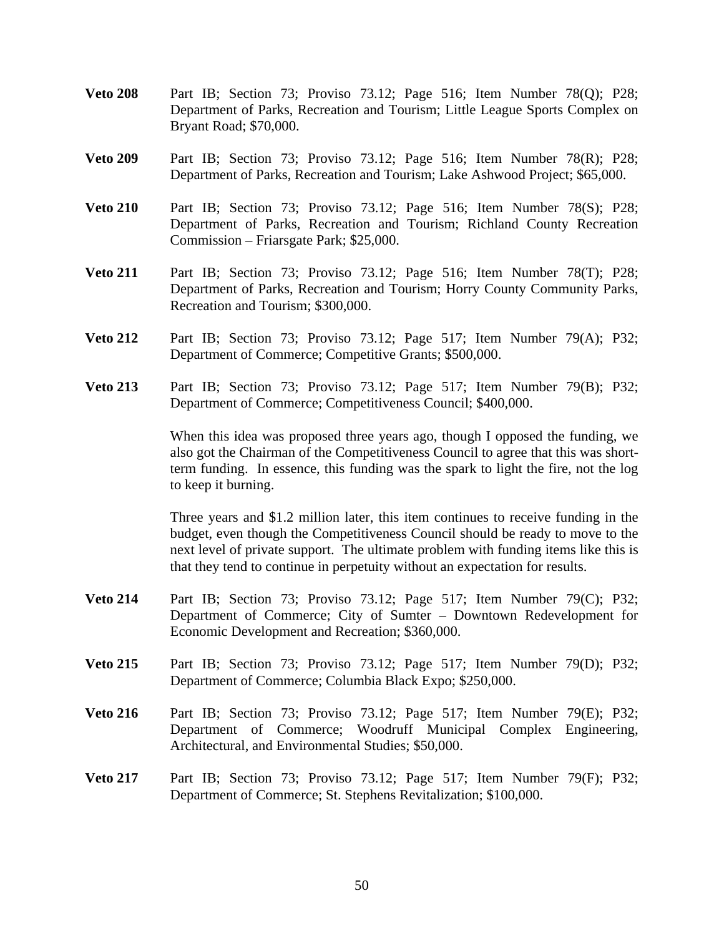- **Veto 208** Part IB; Section 73; Proviso 73.12; Page 516; Item Number 78(Q); P28; Department of Parks, Recreation and Tourism; Little League Sports Complex on Bryant Road; \$70,000.
- **Veto 209** Part IB; Section 73; Proviso 73.12; Page 516; Item Number 78(R); P28; Department of Parks, Recreation and Tourism; Lake Ashwood Project; \$65,000.
- **Veto 210** Part IB; Section 73; Proviso 73.12; Page 516; Item Number 78(S); P28; Department of Parks, Recreation and Tourism; Richland County Recreation Commission – Friarsgate Park; \$25,000.
- **Veto 211** Part IB; Section 73; Proviso 73.12; Page 516; Item Number 78(T); P28; Department of Parks, Recreation and Tourism; Horry County Community Parks, Recreation and Tourism; \$300,000.
- **Veto 212** Part IB; Section 73; Proviso 73.12; Page 517; Item Number 79(A); P32; Department of Commerce; Competitive Grants; \$500,000.
- **Veto 213** Part IB; Section 73; Proviso 73.12; Page 517; Item Number 79(B); P32; Department of Commerce; Competitiveness Council; \$400,000.

 When this idea was proposed three years ago, though I opposed the funding, we also got the Chairman of the Competitiveness Council to agree that this was shortterm funding. In essence, this funding was the spark to light the fire, not the log to keep it burning.

 Three years and \$1.2 million later, this item continues to receive funding in the budget, even though the Competitiveness Council should be ready to move to the next level of private support. The ultimate problem with funding items like this is that they tend to continue in perpetuity without an expectation for results.

- **Veto 214** Part IB; Section 73; Proviso 73.12; Page 517; Item Number 79(C); P32; Department of Commerce; City of Sumter – Downtown Redevelopment for Economic Development and Recreation; \$360,000.
- **Veto 215** Part IB; Section 73; Proviso 73.12; Page 517; Item Number 79(D); P32; Department of Commerce; Columbia Black Expo; \$250,000.
- **Veto 216** Part IB; Section 73; Proviso 73.12; Page 517; Item Number 79(E); P32; Department of Commerce; Woodruff Municipal Complex Engineering, Architectural, and Environmental Studies; \$50,000.
- **Veto 217** Part IB; Section 73; Proviso 73.12; Page 517; Item Number 79(F); P32; Department of Commerce; St. Stephens Revitalization; \$100,000.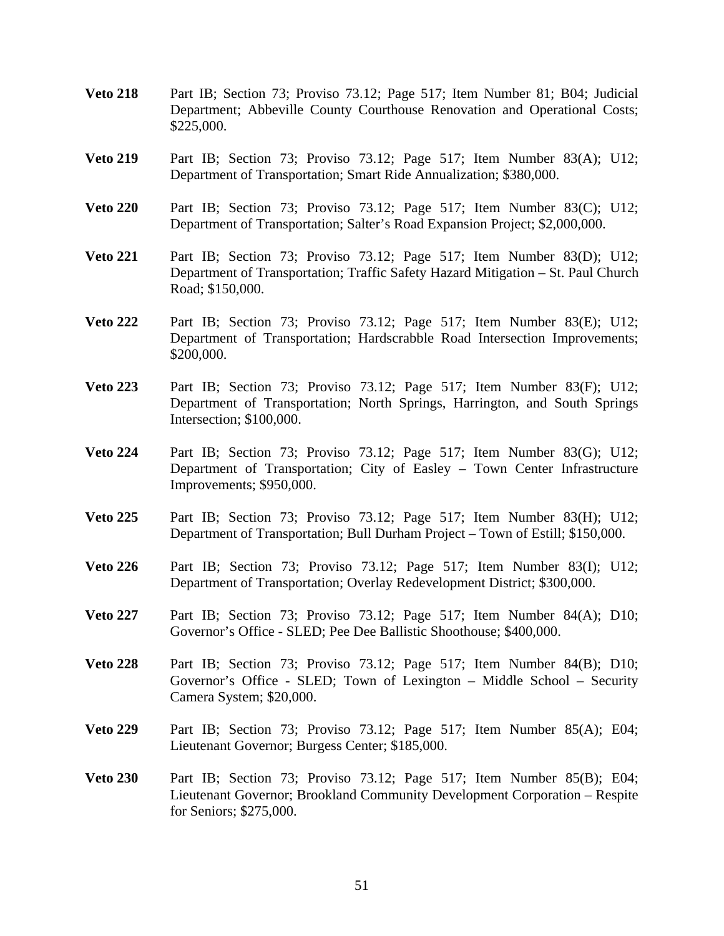- **Veto 218** Part IB; Section 73; Proviso 73.12; Page 517; Item Number 81; B04; Judicial Department; Abbeville County Courthouse Renovation and Operational Costs; \$225,000.
- **Veto 219** Part IB; Section 73; Proviso 73.12; Page 517; Item Number 83(A); U12; Department of Transportation; Smart Ride Annualization; \$380,000.
- **Veto 220** Part IB; Section 73; Proviso 73.12; Page 517; Item Number 83(C); U12; Department of Transportation; Salter's Road Expansion Project; \$2,000,000.
- **Veto 221** Part IB; Section 73; Proviso 73.12; Page 517; Item Number 83(D); U12; Department of Transportation; Traffic Safety Hazard Mitigation – St. Paul Church Road; \$150,000.
- **Veto 222** Part IB; Section 73; Proviso 73.12; Page 517; Item Number 83(E); U12; Department of Transportation; Hardscrabble Road Intersection Improvements; \$200,000.
- **Veto 223** Part IB; Section 73; Proviso 73.12; Page 517; Item Number 83(F); U12; Department of Transportation; North Springs, Harrington, and South Springs Intersection; \$100,000.
- **Veto 224** Part IB; Section 73; Proviso 73.12; Page 517; Item Number 83(G); U12; Department of Transportation; City of Easley – Town Center Infrastructure Improvements; \$950,000.
- **Veto 225** Part IB; Section 73; Proviso 73.12; Page 517; Item Number 83(H); U12; Department of Transportation; Bull Durham Project – Town of Estill; \$150,000.
- **Veto 226** Part IB; Section 73; Proviso 73.12; Page 517; Item Number 83(I); U12; Department of Transportation; Overlay Redevelopment District; \$300,000.
- **Veto 227** Part IB; Section 73; Proviso 73.12; Page 517; Item Number 84(A); D10; Governor's Office - SLED; Pee Dee Ballistic Shoothouse; \$400,000.
- **Veto 228** Part IB; Section 73; Proviso 73.12; Page 517; Item Number 84(B); D10; Governor's Office - SLED; Town of Lexington – Middle School – Security Camera System; \$20,000.
- **Veto 229** Part IB; Section 73; Proviso 73.12; Page 517; Item Number 85(A); E04; Lieutenant Governor; Burgess Center; \$185,000.
- **Veto 230** Part IB; Section 73; Proviso 73.12; Page 517; Item Number 85(B); E04; Lieutenant Governor; Brookland Community Development Corporation – Respite for Seniors; \$275,000.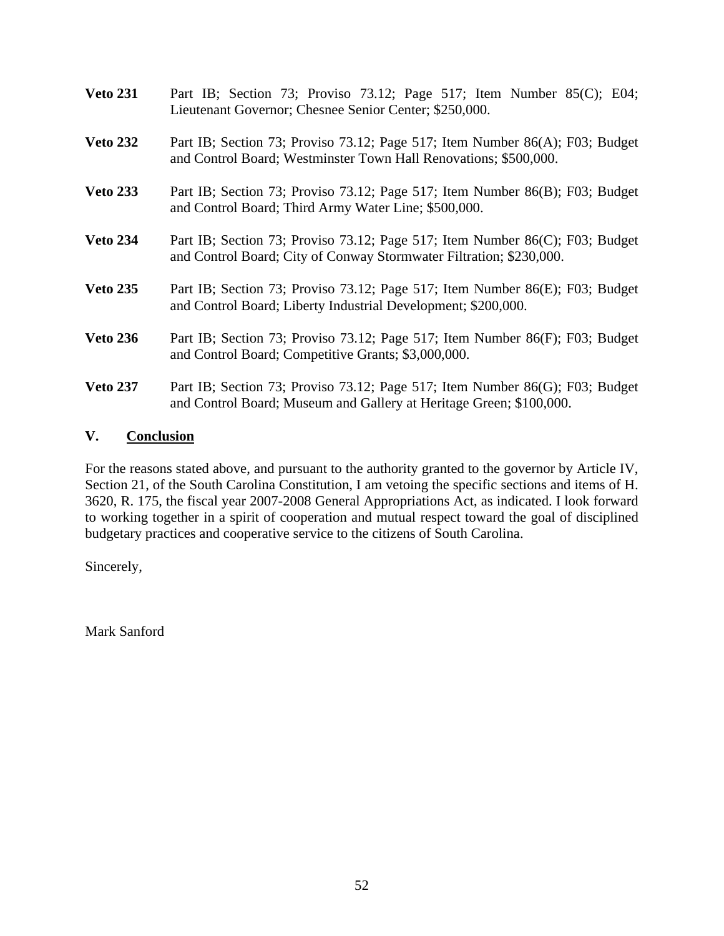| <b>Veto 231</b> | Part IB; Section 73; Proviso 73.12; Page 517; Item Number 85(C); E04;<br>Lieutenant Governor; Chesnee Senior Center; \$250,000.                     |
|-----------------|-----------------------------------------------------------------------------------------------------------------------------------------------------|
| <b>Veto 232</b> | Part IB; Section 73; Proviso 73.12; Page 517; Item Number 86(A); F03; Budget<br>and Control Board; Westminster Town Hall Renovations; \$500,000.    |
| <b>Veto 233</b> | Part IB; Section 73; Proviso 73.12; Page 517; Item Number 86(B); F03; Budget<br>and Control Board; Third Army Water Line; \$500,000.                |
| <b>Veto 234</b> | Part IB; Section 73; Proviso 73.12; Page 517; Item Number 86(C); F03; Budget<br>and Control Board; City of Conway Stormwater Filtration; \$230,000. |
| <b>Veto 235</b> | Part IB; Section 73; Proviso 73.12; Page 517; Item Number 86(E); F03; Budget<br>and Control Board; Liberty Industrial Development; \$200,000.       |
| <b>Veto 236</b> | Part IB; Section 73; Proviso 73.12; Page 517; Item Number 86(F); F03; Budget<br>and Control Board; Competitive Grants; \$3,000,000.                 |
| <b>Veto 237</b> | Part IB; Section 73; Proviso 73.12; Page 517; Item Number 86(G); F03; Budget<br>and Control Board; Museum and Gallery at Heritage Green; \$100,000. |

#### **V. Conclusion**

For the reasons stated above, and pursuant to the authority granted to the governor by Article IV, Section 21, of the South Carolina Constitution, I am vetoing the specific sections and items of H. 3620, R. 175, the fiscal year 2007-2008 General Appropriations Act, as indicated. I look forward to working together in a spirit of cooperation and mutual respect toward the goal of disciplined budgetary practices and cooperative service to the citizens of South Carolina.

Sincerely,

Mark Sanford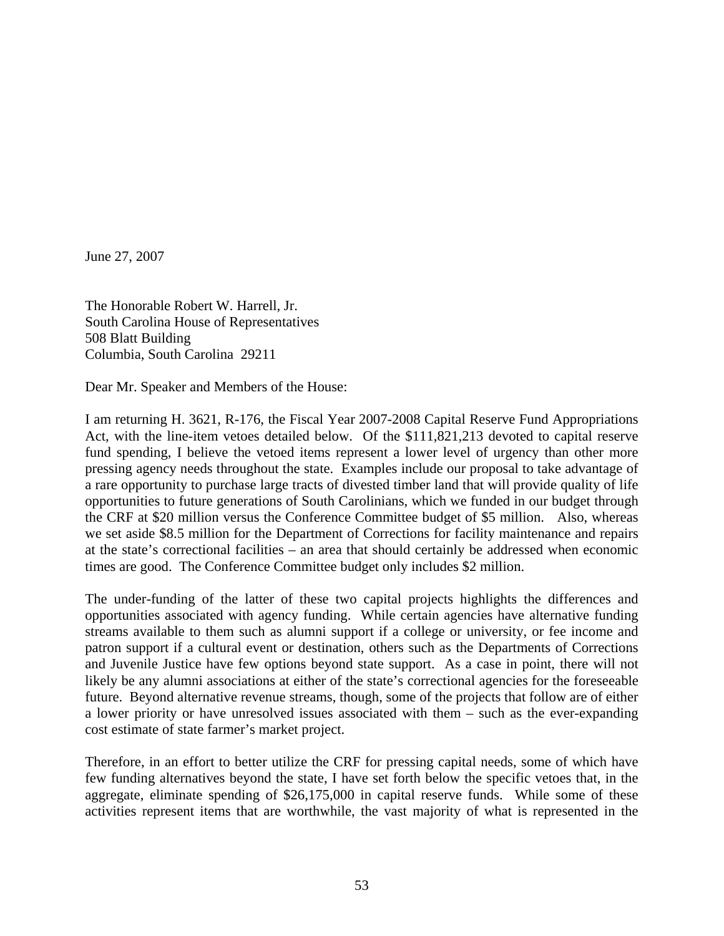June 27, 2007

The Honorable Robert W. Harrell, Jr. South Carolina House of Representatives 508 Blatt Building Columbia, South Carolina 29211

Dear Mr. Speaker and Members of the House:

I am returning H. 3621, R-176, the Fiscal Year 2007-2008 Capital Reserve Fund Appropriations Act, with the line-item vetoes detailed below. Of the \$111,821,213 devoted to capital reserve fund spending, I believe the vetoed items represent a lower level of urgency than other more pressing agency needs throughout the state. Examples include our proposal to take advantage of a rare opportunity to purchase large tracts of divested timber land that will provide quality of life opportunities to future generations of South Carolinians, which we funded in our budget through the CRF at \$20 million versus the Conference Committee budget of \$5 million. Also, whereas we set aside \$8.5 million for the Department of Corrections for facility maintenance and repairs at the state's correctional facilities – an area that should certainly be addressed when economic times are good. The Conference Committee budget only includes \$2 million.

The under-funding of the latter of these two capital projects highlights the differences and opportunities associated with agency funding. While certain agencies have alternative funding streams available to them such as alumni support if a college or university, or fee income and patron support if a cultural event or destination, others such as the Departments of Corrections and Juvenile Justice have few options beyond state support. As a case in point, there will not likely be any alumni associations at either of the state's correctional agencies for the foreseeable future. Beyond alternative revenue streams, though, some of the projects that follow are of either a lower priority or have unresolved issues associated with them – such as the ever-expanding cost estimate of state farmer's market project.

Therefore, in an effort to better utilize the CRF for pressing capital needs, some of which have few funding alternatives beyond the state, I have set forth below the specific vetoes that, in the aggregate, eliminate spending of \$26,175,000 in capital reserve funds. While some of these activities represent items that are worthwhile, the vast majority of what is represented in the